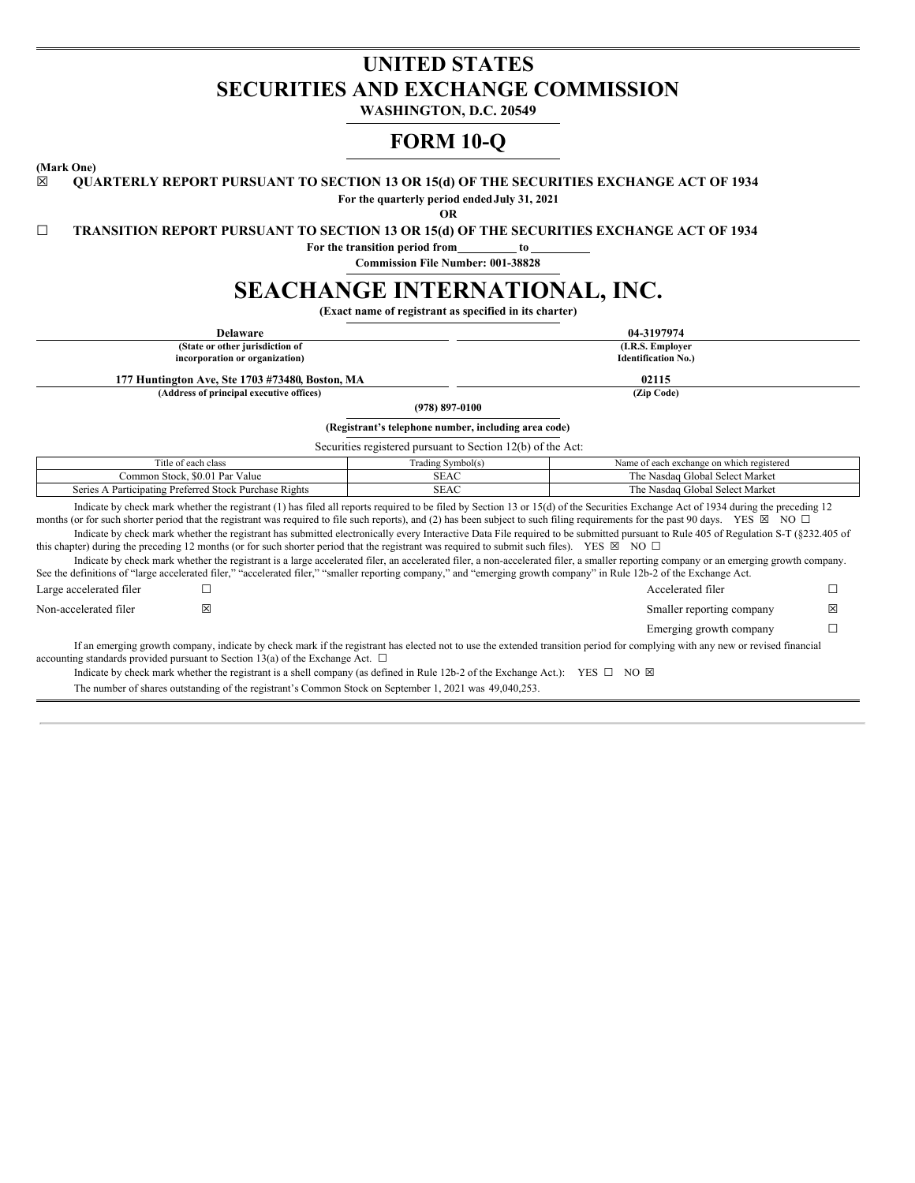# **UNITED STATES SECURITIES AND EXCHANGE COMMISSION**

**WASHINGTON, D.C. 20549**

# **FORM 10-Q**

**(Mark One)**

# ☒ **QUARTERLY REPORT PURSUANT TO SECTION 13 OR 15(d) OF THE SECURITIES EXCHANGE ACT OF 1934**

**For the quarterly period endedJuly 31, 2021**

**OR**

☐ **TRANSITION REPORT PURSUANT TO SECTION 13 OR 15(d) OF THE SECURITIES EXCHANGE ACT OF 1934**

**For the transition period from to**

**Commission File Number: 001-38828**

# **SEACHANGE INTERNATIONAL, INC.**

**(Exact name of registrant as specified in its charter)**

| <b>Delaware</b>                                                                                                                                                                                                                                                                                                                                               |                                                             | 04-3197974                                                                                                                                                                                                                                                                                                                                                                |        |  |  |  |  |  |  |
|---------------------------------------------------------------------------------------------------------------------------------------------------------------------------------------------------------------------------------------------------------------------------------------------------------------------------------------------------------------|-------------------------------------------------------------|---------------------------------------------------------------------------------------------------------------------------------------------------------------------------------------------------------------------------------------------------------------------------------------------------------------------------------------------------------------------------|--------|--|--|--|--|--|--|
| (State or other jurisdiction of                                                                                                                                                                                                                                                                                                                               |                                                             | (I.R.S. Employer                                                                                                                                                                                                                                                                                                                                                          |        |  |  |  |  |  |  |
| incorporation or organization)                                                                                                                                                                                                                                                                                                                                |                                                             | <b>Identification No.)</b>                                                                                                                                                                                                                                                                                                                                                |        |  |  |  |  |  |  |
| 177 Huntington Ave, Ste 1703 #73480, Boston, MA                                                                                                                                                                                                                                                                                                               |                                                             | 02115                                                                                                                                                                                                                                                                                                                                                                     |        |  |  |  |  |  |  |
| (Address of principal executive offices)                                                                                                                                                                                                                                                                                                                      |                                                             | (Zip Code)                                                                                                                                                                                                                                                                                                                                                                |        |  |  |  |  |  |  |
|                                                                                                                                                                                                                                                                                                                                                               | $(978) 897 - 0100$                                          |                                                                                                                                                                                                                                                                                                                                                                           |        |  |  |  |  |  |  |
|                                                                                                                                                                                                                                                                                                                                                               | (Registrant's telephone number, including area code)        |                                                                                                                                                                                                                                                                                                                                                                           |        |  |  |  |  |  |  |
|                                                                                                                                                                                                                                                                                                                                                               | Securities registered pursuant to Section 12(b) of the Act: |                                                                                                                                                                                                                                                                                                                                                                           |        |  |  |  |  |  |  |
| Title of each class                                                                                                                                                                                                                                                                                                                                           | Trading Symbol(s)                                           | Name of each exchange on which registered                                                                                                                                                                                                                                                                                                                                 |        |  |  |  |  |  |  |
| Common Stock, \$0.01 Par Value                                                                                                                                                                                                                                                                                                                                | <b>SEAC</b><br>The Nasdaq Global Select Market              |                                                                                                                                                                                                                                                                                                                                                                           |        |  |  |  |  |  |  |
| Series A Participating Preferred Stock Purchase Rights                                                                                                                                                                                                                                                                                                        | The Nasdaq Global Select Market<br><b>SEAC</b>              |                                                                                                                                                                                                                                                                                                                                                                           |        |  |  |  |  |  |  |
| months (or for such shorter period that the registrant was required to file such reports), and (2) has been subject to such filing requirements for the past 90 days. YES $\boxtimes$ NO $\Box$<br>this chapter) during the preceding 12 months (or for such shorter period that the registrant was required to submit such files). YES $\boxtimes$ NO $\Box$ |                                                             | Indicate by check mark whether the registrant (1) has filed all reports required to be filed by Section 13 or 15(d) of the Securities Exchange Act of 1934 during the preceding 12<br>Indicate by check mark whether the registrant has submitted electronically every Interactive Data File required to be submitted pursuant to Rule 405 of Regulation S-T (§232.405 of |        |  |  |  |  |  |  |
| See the definitions of "large accelerated filer," "accelerated filer," "smaller reporting company," and "emerging growth company" in Rule 12b-2 of the Exchange Act.                                                                                                                                                                                          |                                                             | Indicate by check mark whether the registrant is a large accelerated filer, an accelerated filer, a non-accelerated filer, a smaller reporting company or an emerging growth company.                                                                                                                                                                                     |        |  |  |  |  |  |  |
| Large accelerated filer                                                                                                                                                                                                                                                                                                                                       |                                                             | Accelerated filer                                                                                                                                                                                                                                                                                                                                                         | □      |  |  |  |  |  |  |
| ⊠<br>Non-accelerated filer                                                                                                                                                                                                                                                                                                                                    |                                                             | Smaller reporting company                                                                                                                                                                                                                                                                                                                                                 | ⊠      |  |  |  |  |  |  |
|                                                                                                                                                                                                                                                                                                                                                               |                                                             | Emerging growth company                                                                                                                                                                                                                                                                                                                                                   | $\Box$ |  |  |  |  |  |  |
| accounting standards provided pursuant to Section 13(a) of the Exchange Act. $\square$<br>Indicate by check mark whether the registrant is a shell company (as defined in Rule 12b-2 of the Exchange Act.): YES $\Box$ NO $\boxtimes$                                                                                                                         |                                                             | If an emerging growth company, indicate by check mark if the registrant has elected not to use the extended transition period for complying with any new or revised financial                                                                                                                                                                                             |        |  |  |  |  |  |  |
| The number of shares outstanding of the registrant's Common Stock on September 1, 2021 was 49,040,253.                                                                                                                                                                                                                                                        |                                                             |                                                                                                                                                                                                                                                                                                                                                                           |        |  |  |  |  |  |  |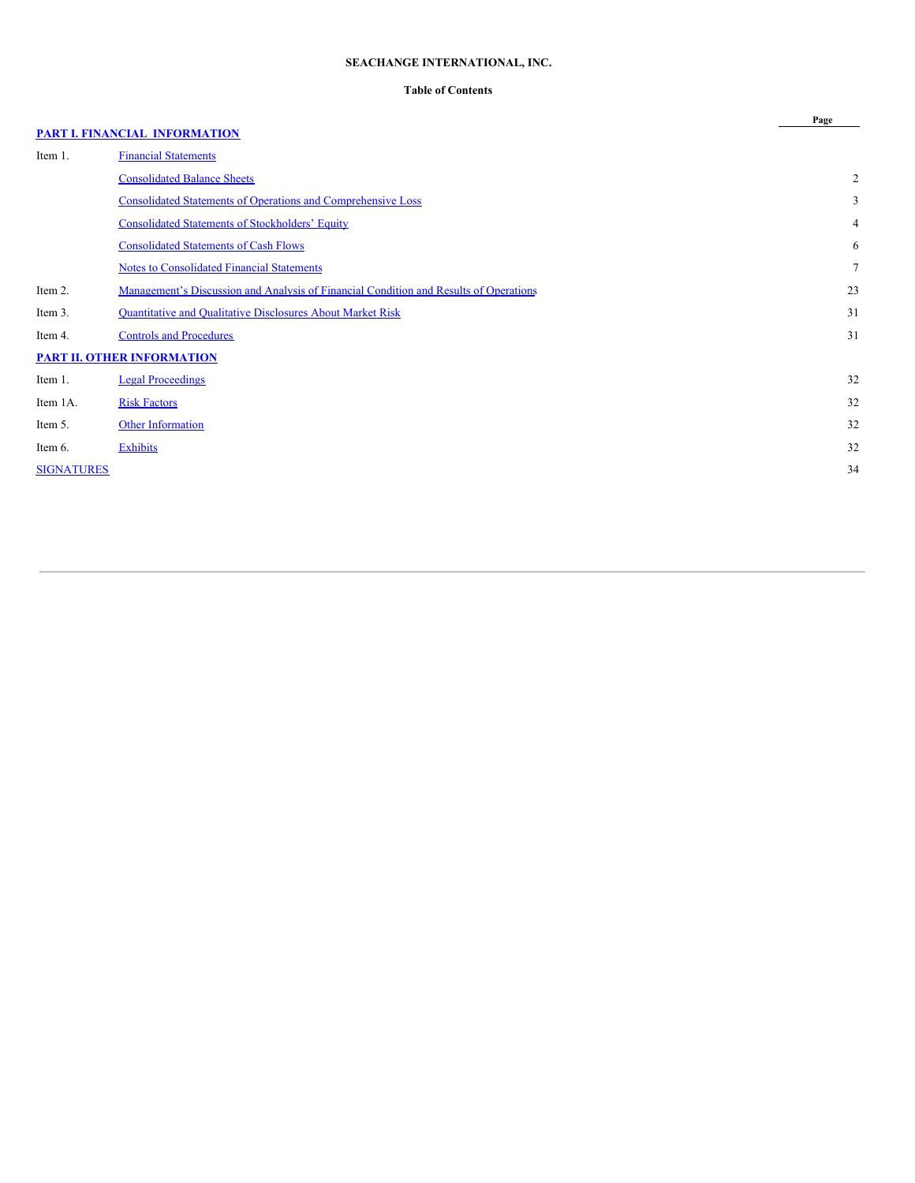# **SEACHANGE INTERNATIONAL, INC.**

# **Table of Contents**

**Page**

# **PART I. FINANCIAL [INFORMATION](#page-2-0)**

| Item 1.           | <b>Financial Statements</b>                                                           |                |
|-------------------|---------------------------------------------------------------------------------------|----------------|
|                   | <b>Consolidated Balance Sheets</b>                                                    | $\overline{2}$ |
|                   | <b>Consolidated Statements of Operations and Comprehensive Loss</b>                   | 3              |
|                   | <b>Consolidated Statements of Stockholders' Equity</b>                                | $\overline{4}$ |
|                   | <b>Consolidated Statements of Cash Flows</b>                                          | 6              |
|                   | <b>Notes to Consolidated Financial Statements</b>                                     | $\tau$         |
| Item 2.           | Management's Discussion and Analysis of Financial Condition and Results of Operations | 23             |
| Item 3.           | <b>Quantitative and Qualitative Disclosures About Market Risk</b>                     | 31             |
| Item 4.           | <b>Controls and Procedures</b>                                                        | 31             |
|                   | <b>PART II. OTHER INFORMATION</b>                                                     |                |
| Item 1.           | <b>Legal Proceedings</b>                                                              | 32             |
| Item 1A.          | <b>Risk Factors</b>                                                                   | 32             |
| Item 5.           | <b>Other Information</b>                                                              | 32             |
| Item 6.           | Exhibits                                                                              | 32             |
| <b>SIGNATURES</b> |                                                                                       | 34             |
|                   |                                                                                       |                |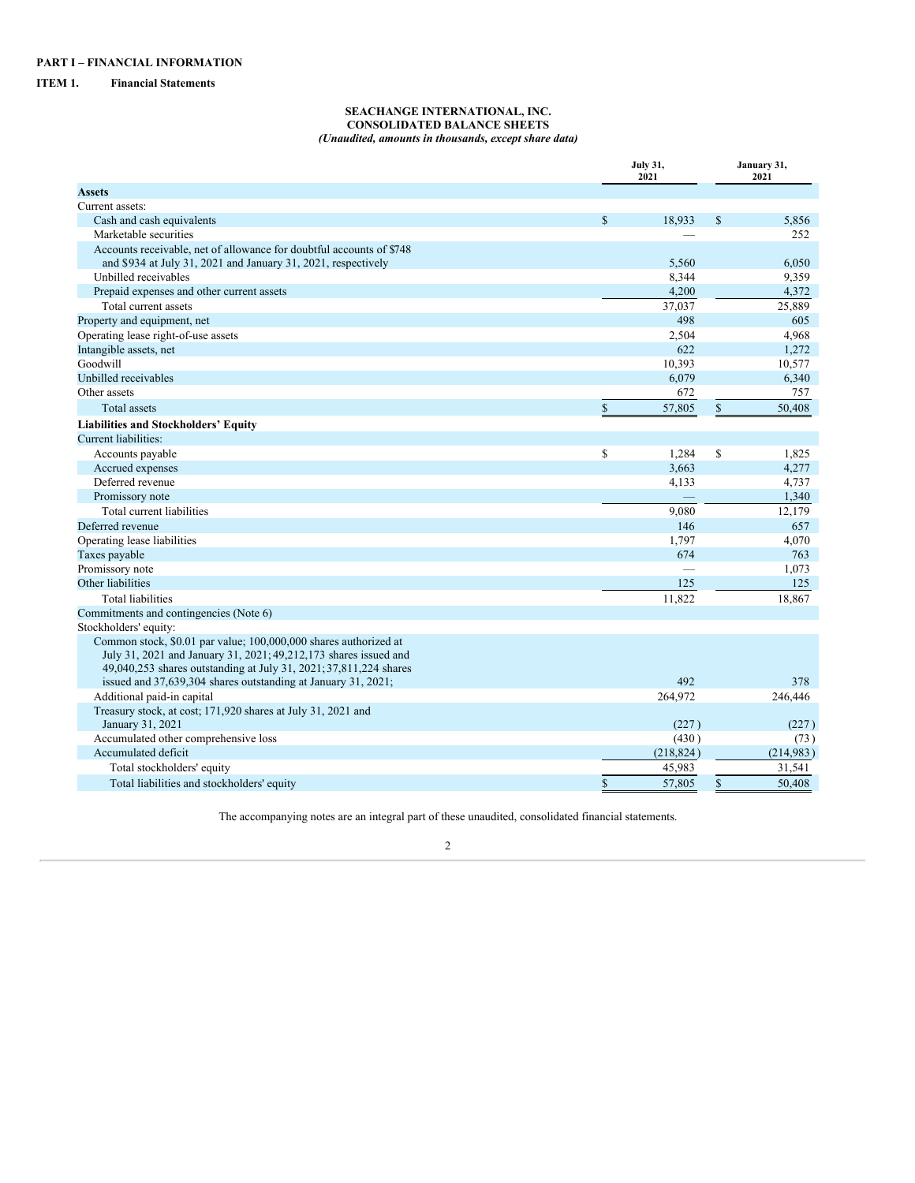# <span id="page-2-2"></span><span id="page-2-1"></span><span id="page-2-0"></span>**ITEM 1. Financial Statements**

#### **SEACHANGE INTERNATIONAL, INC. CONSOLIDATED BALANCE SHEETS** *(Unaudited, amounts in thousands, except share data)*

|                                                                                                                                        |              | <b>July 31,</b><br>2021 |    |           |  |  |
|----------------------------------------------------------------------------------------------------------------------------------------|--------------|-------------------------|----|-----------|--|--|
| <b>Assets</b>                                                                                                                          |              |                         |    | 2021      |  |  |
| Current assets:                                                                                                                        |              |                         |    |           |  |  |
| Cash and cash equivalents                                                                                                              | $\mathbb{S}$ | 18,933                  | \$ | 5,856     |  |  |
| Marketable securities                                                                                                                  |              |                         |    | 252       |  |  |
| Accounts receivable, net of allowance for doubtful accounts of \$748                                                                   |              |                         |    |           |  |  |
| and \$934 at July 31, 2021 and January 31, 2021, respectively                                                                          |              | 5,560                   |    | 6,050     |  |  |
| Unbilled receivables                                                                                                                   |              | 8,344                   |    | 9,359     |  |  |
| Prepaid expenses and other current assets                                                                                              |              | 4,200                   |    | 4,372     |  |  |
| Total current assets                                                                                                                   |              | 37,037                  |    | 25,889    |  |  |
| Property and equipment, net                                                                                                            |              | 498                     |    | 605       |  |  |
| Operating lease right-of-use assets                                                                                                    |              | 2,504                   |    | 4,968     |  |  |
| Intangible assets, net                                                                                                                 |              | 622                     |    | 1,272     |  |  |
| Goodwill                                                                                                                               |              | 10,393                  |    | 10,577    |  |  |
| Unbilled receivables                                                                                                                   |              | 6,079                   |    | 6,340     |  |  |
| Other assets                                                                                                                           |              | 672                     |    | 757       |  |  |
| Total assets                                                                                                                           | \$           | 57,805                  | \$ | 50,408    |  |  |
| <b>Liabilities and Stockholders' Equity</b>                                                                                            |              |                         |    |           |  |  |
| Current liabilities:                                                                                                                   |              |                         |    |           |  |  |
| Accounts payable                                                                                                                       | \$           | 1,284                   | \$ | 1,825     |  |  |
| Accrued expenses                                                                                                                       |              | 3,663                   |    | 4,277     |  |  |
| Deferred revenue                                                                                                                       |              | 4,133                   |    | 4,737     |  |  |
| Promissory note                                                                                                                        |              |                         |    | 1,340     |  |  |
| Total current liabilities                                                                                                              |              | 9.080                   |    | 12,179    |  |  |
| Deferred revenue                                                                                                                       |              | 146                     |    | 657       |  |  |
| Operating lease liabilities                                                                                                            |              | 1,797                   |    | 4,070     |  |  |
| Taxes payable                                                                                                                          |              | 674                     |    | 763       |  |  |
| Promissory note                                                                                                                        |              |                         |    | 1,073     |  |  |
| Other liabilities                                                                                                                      |              | 125                     |    | 125       |  |  |
| <b>Total liabilities</b>                                                                                                               |              | 11,822                  |    | 18,867    |  |  |
| Commitments and contingencies (Note 6)                                                                                                 |              |                         |    |           |  |  |
| Stockholders' equity:                                                                                                                  |              |                         |    |           |  |  |
| Common stock, \$0.01 par value; 100,000,000 shares authorized at<br>July 31, 2021 and January 31, 2021; 49, 212, 173 shares issued and |              |                         |    |           |  |  |
| 49,040,253 shares outstanding at July 31, 2021; 37,811,224 shares                                                                      |              |                         |    |           |  |  |
| issued and 37,639,304 shares outstanding at January 31, 2021;                                                                          |              | 492                     |    | 378       |  |  |
| Additional paid-in capital                                                                                                             |              | 264,972                 |    | 246,446   |  |  |
| Treasury stock, at cost; 171,920 shares at July 31, 2021 and<br>January 31, 2021                                                       |              | (227)                   |    | (227)     |  |  |
| Accumulated other comprehensive loss                                                                                                   |              | (430)                   |    | (73)      |  |  |
| Accumulated deficit                                                                                                                    |              | (218, 824)              |    | (214,983) |  |  |
| Total stockholders' equity                                                                                                             |              | 45,983                  |    | 31,541    |  |  |
| Total liabilities and stockholders' equity                                                                                             | \$           | 57,805                  | \$ | 50.408    |  |  |

The accompanying notes are an integral part of these unaudited, consolidated financial statements.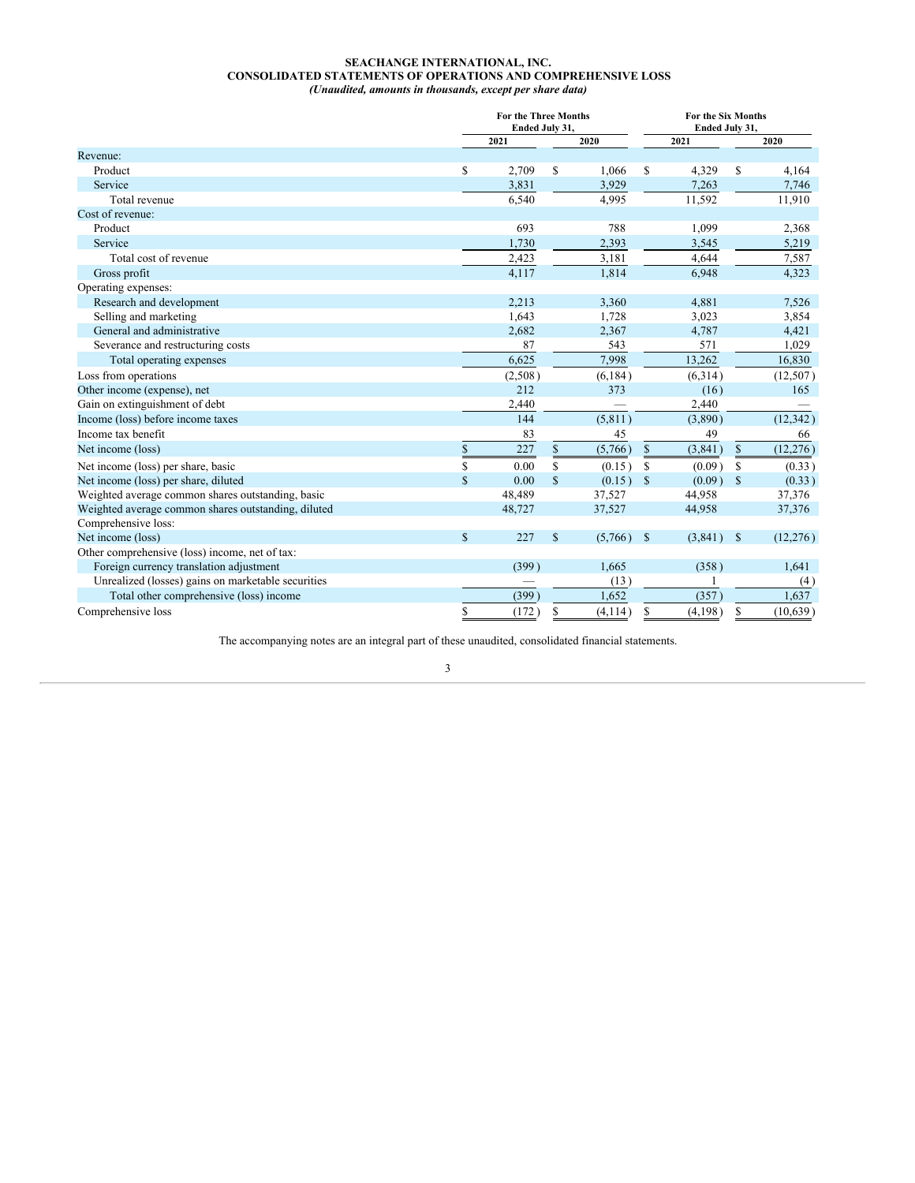#### **SEACHANGE INTERNATIONAL, INC. CONSOLIDATED STATEMENTS OF OPERATIONS AND COMPREHENSIVE LOSS** *(Unaudited, amounts in thousands, except per share data)*

<span id="page-3-0"></span>

|                                                     |             | <b>For the Three Months</b><br>Ended July 31, |              |          |               | For the Six Months<br>Ended July 31, |               |           |
|-----------------------------------------------------|-------------|-----------------------------------------------|--------------|----------|---------------|--------------------------------------|---------------|-----------|
|                                                     |             | 2021                                          |              | 2020     |               | 2021                                 |               | 2020      |
| Revenue:                                            |             |                                               |              |          |               |                                      |               |           |
| Product                                             | \$          | 2,709                                         | \$           | 1,066    | \$            | 4,329                                | S             | 4,164     |
| Service                                             |             | 3,831                                         |              | 3,929    |               | 7,263                                |               | 7,746     |
| Total revenue                                       |             | 6,540                                         |              | 4,995    |               | 11,592                               |               | 11,910    |
| Cost of revenue:                                    |             |                                               |              |          |               |                                      |               |           |
| Product                                             |             | 693                                           |              | 788      |               | 1,099                                |               | 2,368     |
| Service                                             |             | 1,730                                         |              | 2,393    |               | 3,545                                |               | 5,219     |
| Total cost of revenue                               |             | 2,423                                         |              | 3,181    |               | 4,644                                |               | 7,587     |
| Gross profit                                        |             | 4,117                                         |              | 1,814    |               | 6,948                                |               | 4,323     |
| Operating expenses:                                 |             |                                               |              |          |               |                                      |               |           |
| Research and development                            |             | 2,213                                         |              | 3,360    |               | 4,881                                |               | 7,526     |
| Selling and marketing                               |             | 1,643                                         |              | 1,728    |               | 3,023                                |               | 3,854     |
| General and administrative                          |             | 2,682                                         |              | 2,367    |               | 4,787                                |               | 4,421     |
| Severance and restructuring costs                   |             | 87                                            |              | 543      |               | 571                                  |               | 1,029     |
| Total operating expenses                            |             | 6,625                                         |              | 7,998    |               | 13,262                               |               | 16,830    |
| Loss from operations                                |             | (2,508)                                       |              | (6, 184) |               | (6,314)                              |               | (12, 507) |
| Other income (expense), net                         |             | 212                                           |              | 373      |               | (16)                                 |               | 165       |
| Gain on extinguishment of debt                      |             | 2,440                                         |              |          |               | 2,440                                |               |           |
| Income (loss) before income taxes                   |             | 144                                           |              | (5, 811) |               | (3,890)                              |               | (12, 342) |
| Income tax benefit                                  |             | 83                                            |              | 45       |               | 49                                   |               | 66        |
| Net income (loss)                                   | \$          | 227                                           | \$           | (5,766)  | \$            | (3, 841)                             | $\mathbf S$   | (12, 276) |
| Net income (loss) per share, basic                  | \$          | 0.00                                          | \$           | (0.15)   | \$            | (0.09)                               | \$            | (0.33)    |
| Net income (loss) per share, diluted                | $\mathbf S$ | 0.00                                          | $\mathbb{S}$ | (0.15)   | \$            | (0.09)                               | $\mathbf S$   | (0.33)    |
| Weighted average common shares outstanding, basic   |             | 48,489                                        |              | 37,527   |               | 44,958                               |               | 37,376    |
| Weighted average common shares outstanding, diluted |             | 48,727                                        |              | 37,527   |               | 44,958                               |               | 37,376    |
| Comprehensive loss:                                 |             |                                               |              |          |               |                                      |               |           |
| Net income (loss)                                   | $\mathbf S$ | 227                                           | $\mathbb{S}$ | (5,766)  | $\mathcal{S}$ | (3,841)                              | <sup>\$</sup> | (12, 276) |
| Other comprehensive (loss) income, net of tax:      |             |                                               |              |          |               |                                      |               |           |
| Foreign currency translation adjustment             |             | (399)                                         |              | 1,665    |               | (358)                                |               | 1,641     |
| Unrealized (losses) gains on marketable securities  |             |                                               |              | (13)     |               |                                      |               | (4)       |
| Total other comprehensive (loss) income             |             | (399)                                         |              | 1,652    |               | (357)                                |               | 1,637     |
| Comprehensive loss                                  | \$          | (172)                                         | S            | (4, 114) | \$            | (4, 198)                             | S             | (10, 639) |

The accompanying notes are an integral part of these unaudited, consolidated financial statements.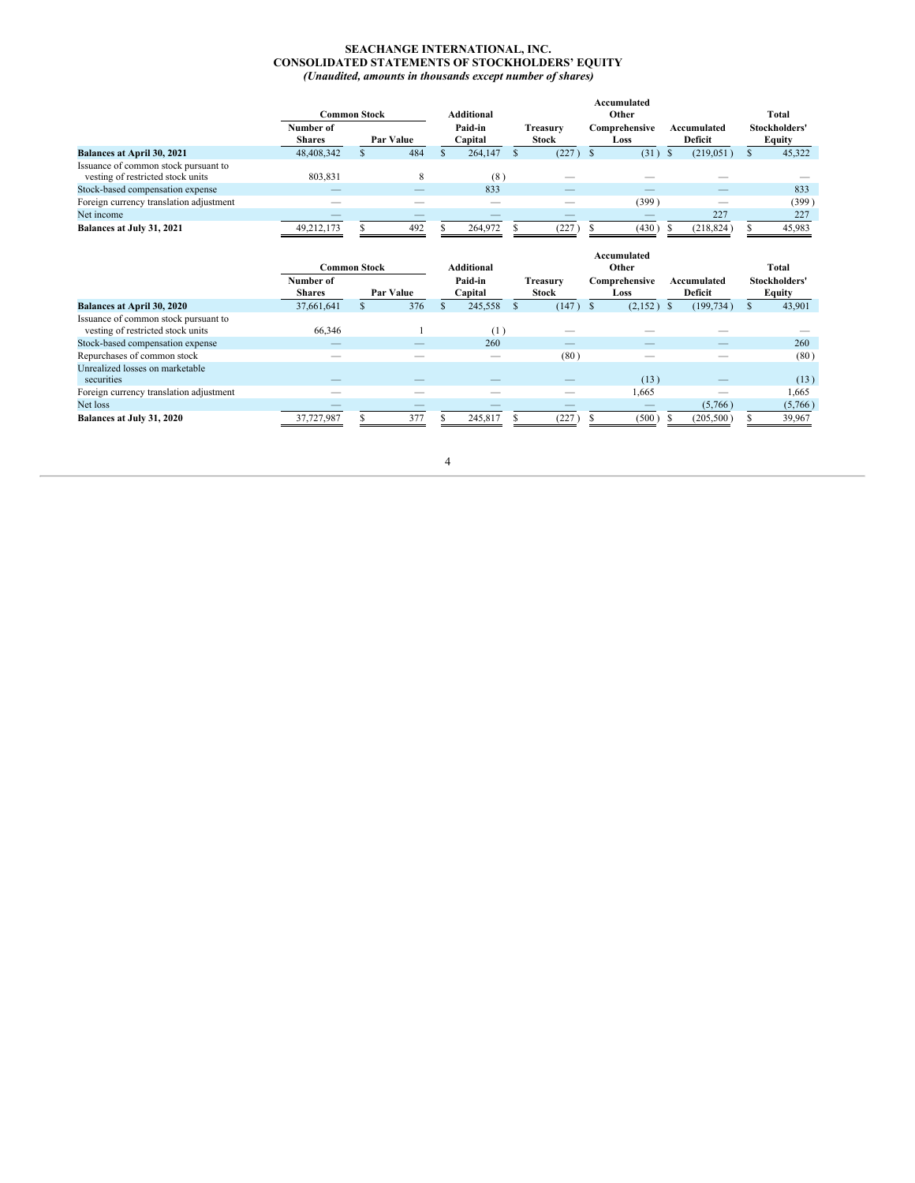#### **SEACHANGE INTERNATIONAL, INC. CONSOLIDATED STATEMENTS OF STOCKHOLDERS' EQUITY** *(Unaudited, amounts in thousands except number of shares)*

<span id="page-4-0"></span>

|                                                                           | Common Stock               |  |           |  | <b>Additional</b>  | Accumulated<br>Other     |  |                       |  |                        |  | Total                          |  |  |
|---------------------------------------------------------------------------|----------------------------|--|-----------|--|--------------------|--------------------------|--|-----------------------|--|------------------------|--|--------------------------------|--|--|
|                                                                           | Number of<br><b>Shares</b> |  | Par Value |  | Paid-in<br>Capital | Treasurv<br><b>Stock</b> |  | Comprehensive<br>Loss |  | Accumulated<br>Deficit |  | Stockholders'<br><b>Equity</b> |  |  |
| <b>Balances at April 30, 2021</b>                                         | 48,408,342                 |  | 484       |  | 264,147            | (227)                    |  | (31)                  |  | (219, 051)             |  | 45.322                         |  |  |
| Issuance of common stock pursuant to<br>vesting of restricted stock units | 803,831                    |  |           |  | (8)                |                          |  |                       |  |                        |  |                                |  |  |
| Stock-based compensation expense                                          |                            |  |           |  | 833                |                          |  |                       |  |                        |  | 833                            |  |  |
| Foreign currency translation adjustment                                   |                            |  |           |  |                    |                          |  | (399)                 |  | __                     |  | (399)                          |  |  |
| Net income                                                                | __                         |  |           |  |                    |                          |  |                       |  | 227                    |  | 227                            |  |  |
| Balances at July 31, 2021                                                 | 49,212,173                 |  | 492       |  | 264,972            | (227)                    |  | (430)                 |  | (218, 824)             |  | 45,983                         |  |  |

|                                         |                            | <b>Common Stock</b>      | <b>Additional</b>  |         |                          | Total |                       |                        |                                |
|-----------------------------------------|----------------------------|--------------------------|--------------------|---------|--------------------------|-------|-----------------------|------------------------|--------------------------------|
|                                         | Number of<br><b>Shares</b> | Par Value                | Paid-in<br>Capital |         | Treasurv<br><b>Stock</b> |       | Comprehensive<br>Loss | Accumulated<br>Deficit | Stockholders'<br><b>Equity</b> |
| Balances at April 30, 2020              | 37.661.641                 | 376                      |                    | 245,558 |                          | (147) | $(2,152)$ \$<br>- S   | (199, 734)             | 43,901                         |
| Issuance of common stock pursuant to    |                            |                          |                    |         |                          |       |                       |                        |                                |
| vesting of restricted stock units       | 66,346                     |                          |                    | (1)     |                          |       |                       |                        |                                |
| Stock-based compensation expense        |                            |                          |                    | 260     |                          | $-$   |                       | __                     | 260                            |
| Repurchases of common stock             |                            |                          |                    | _       |                          | (80)  |                       |                        | (80)                           |
| Unrealized losses on marketable         |                            |                          |                    |         |                          |       |                       |                        |                                |
| securities                              | __                         | $\overline{\phantom{a}}$ |                    |         |                          |       | (13)                  |                        | (13)                           |
| Foreign currency translation adjustment |                            |                          |                    |         |                          |       | 1,665                 |                        | 1,665                          |
| Net loss                                |                            |                          |                    |         |                          |       |                       | (5,766)                | (5,766)                        |
| Balances at July 31, 2020               | 37,727,987                 | 377                      |                    | 245,817 |                          | 227   | (500)                 | (205,500)              | 39,967                         |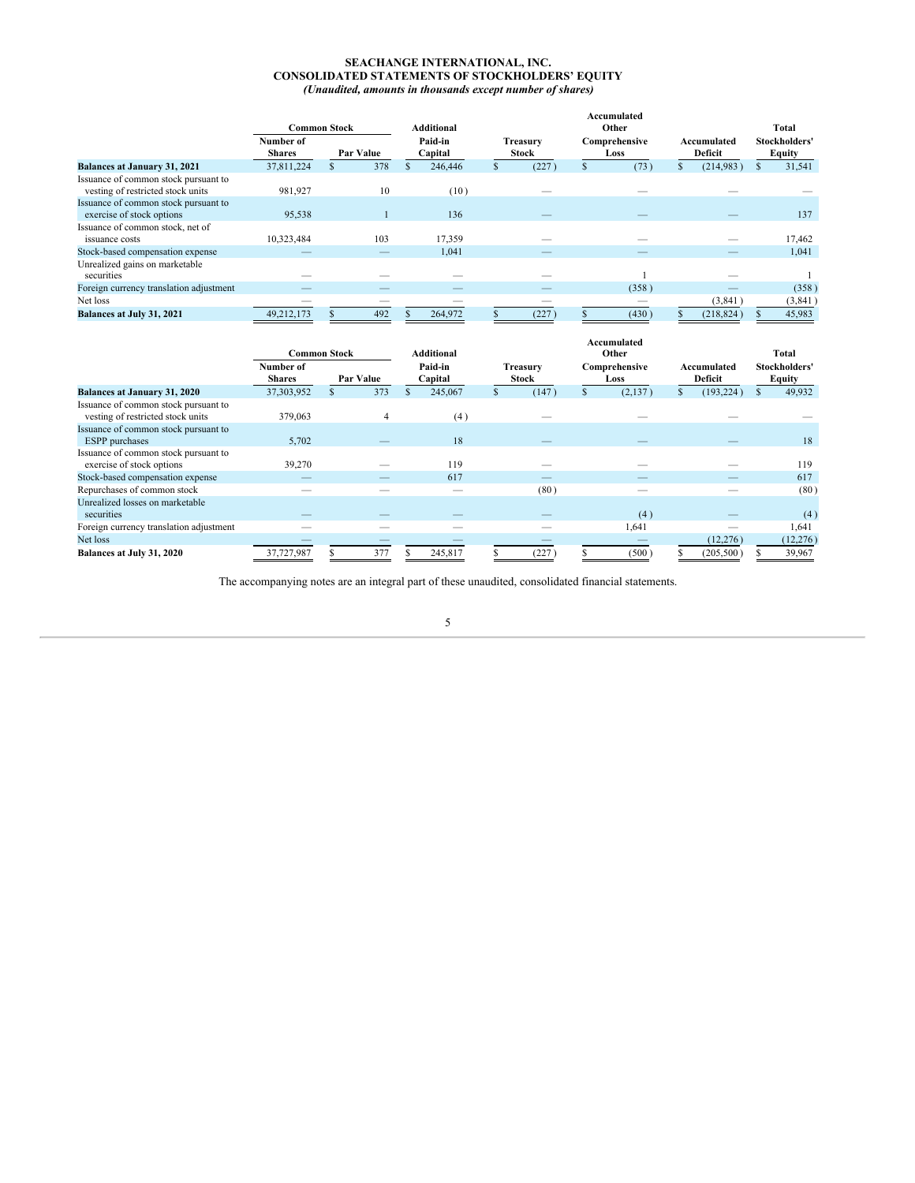#### **SEACHANGE INTERNATIONAL, INC. CONSOLIDATED STATEMENTS OF STOCKHOLDERS' EQUITY** *(Unaudited, amounts in thousands except number of shares)*

|                                                                           | <b>Common Stock</b>        |  |           | <b>Additional</b>        |    |                          | Accumulated<br>Other |                       |  |                        | Total |                         |  |
|---------------------------------------------------------------------------|----------------------------|--|-----------|--------------------------|----|--------------------------|----------------------|-----------------------|--|------------------------|-------|-------------------------|--|
|                                                                           | Number of<br><b>Shares</b> |  | Par Value | Paid-in<br>Capital       |    | Treasurv<br><b>Stock</b> |                      | Comprehensive<br>Loss |  | Accumulated<br>Deficit |       | Stockholders'<br>Equity |  |
| Balances at January 31, 2021                                              | 37,811,224                 |  | 378       | 246,446                  | Ъ. | (227)                    | .ъ                   | (73)                  |  | (214,983)              |       | 31,541                  |  |
| Issuance of common stock pursuant to<br>vesting of restricted stock units | 981,927                    |  | 10        | (10)                     |    |                          |                      |                       |  |                        |       |                         |  |
| Issuance of common stock pursuant to<br>exercise of stock options         | 95,538                     |  |           | 136                      |    |                          |                      |                       |  |                        |       | 137                     |  |
| Issuance of common stock, net of<br>issuance costs                        | 10,323,484                 |  | 103       | 17,359                   |    |                          |                      |                       |  |                        |       | 17,462                  |  |
| Stock-based compensation expense                                          |                            |  |           | 1,041                    |    |                          |                      |                       |  |                        |       | 1,041                   |  |
| Unrealized gains on marketable<br>securities                              |                            |  |           |                          |    |                          |                      |                       |  |                        |       |                         |  |
| Foreign currency translation adjustment                                   |                            |  | __        | $\overline{\phantom{a}}$ |    | --                       |                      | (358)                 |  |                        |       | (358)                   |  |
| Net loss                                                                  | __                         |  | __        | $\overline{\phantom{a}}$ |    | __                       |                      | $-$                   |  | (3,841)                |       | (3, 841)                |  |
| Balances at July 31, 2021                                                 | 49,212,173                 |  | 492       | 264,972                  |    | (227)                    |                      | (430)                 |  | (218, 824)             |       | 45,983                  |  |

|                                                                           | <b>Common Stock</b>        |  |           |  | <b>Additional</b>        |    |                                 | Accumulated<br>Other |                       |              |                               | Total |                         |  |
|---------------------------------------------------------------------------|----------------------------|--|-----------|--|--------------------------|----|---------------------------------|----------------------|-----------------------|--------------|-------------------------------|-------|-------------------------|--|
|                                                                           | Number of<br><b>Shares</b> |  | Par Value |  | Paid-in<br>Capital       |    | <b>Treasury</b><br><b>Stock</b> |                      | Comprehensive<br>Loss |              | Accumulated<br><b>Deficit</b> |       | Stockholders'<br>Equity |  |
| Balances at January 31, 2020                                              | 37,303,952                 |  | 373       |  | 245,067                  | S. | (147)                           |                      | (2,137)               | $\mathbf{s}$ | (193, 224)                    |       | 49.932                  |  |
| Issuance of common stock pursuant to<br>vesting of restricted stock units | 379,063                    |  | 4         |  | (4)                      |    |                                 |                      |                       |              |                               |       |                         |  |
| Issuance of common stock pursuant to<br><b>ESPP</b> purchases             | 5,702                      |  |           |  | 18                       |    |                                 |                      |                       |              |                               |       | 18                      |  |
| Issuance of common stock pursuant to<br>exercise of stock options         | 39,270                     |  |           |  | 119                      |    |                                 |                      |                       |              |                               |       | 119                     |  |
| Stock-based compensation expense                                          |                            |  |           |  | 617                      |    |                                 |                      |                       |              |                               |       | 617                     |  |
| Repurchases of common stock                                               |                            |  |           |  |                          |    | (80)                            |                      |                       |              |                               |       | (80)                    |  |
| Unrealized losses on marketable<br>securities                             |                            |  |           |  |                          |    |                                 |                      | (4)                   |              |                               |       | (4)                     |  |
| Foreign currency translation adjustment                                   |                            |  |           |  | $\overline{\phantom{a}}$ |    |                                 |                      | 1,641                 |              |                               |       | 1,641                   |  |
| Net loss                                                                  |                            |  |           |  |                          |    |                                 |                      |                       |              | (12, 276)                     |       | (12, 276)               |  |
| Balances at July 31, 2020                                                 | 37,727,987                 |  | 377       |  | 245,817                  |    | (227)                           |                      | (500)                 |              | (205, 500)                    |       | 39,967                  |  |

The accompanying notes are an integral part of these unaudited, consolidated financial statements.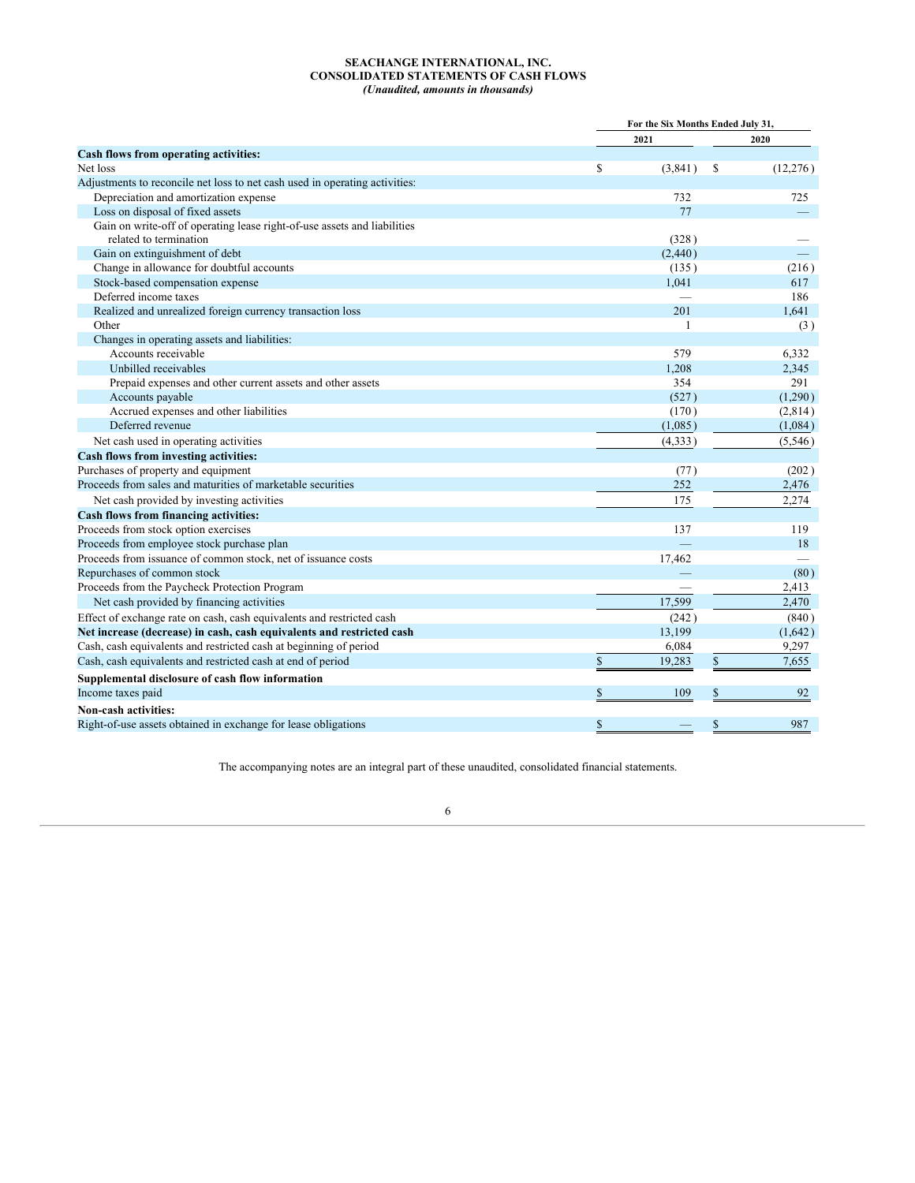#### **SEACHANGE INTERNATIONAL, INC. CONSOLIDATED STATEMENTS OF CASH FLOWS** *(Unaudited, amounts in thousands)*

<span id="page-6-0"></span>

|                                                                                                    | For the Six Months Ended July 31, |                 |
|----------------------------------------------------------------------------------------------------|-----------------------------------|-----------------|
|                                                                                                    | 2021                              | 2020            |
| Cash flows from operating activities:                                                              |                                   |                 |
| Net loss                                                                                           | \$<br>(3,841)                     | \$<br>(12, 276) |
| Adjustments to reconcile net loss to net cash used in operating activities:                        |                                   |                 |
| Depreciation and amortization expense                                                              | 732                               | 725             |
| Loss on disposal of fixed assets                                                                   | 77                                |                 |
| Gain on write-off of operating lease right-of-use assets and liabilities<br>related to termination | (328)                             |                 |
| Gain on extinguishment of debt                                                                     | (2,440)                           |                 |
| Change in allowance for doubtful accounts                                                          | (135)                             | (216)           |
| Stock-based compensation expense                                                                   | 1,041                             | 617             |
| Deferred income taxes                                                                              |                                   | 186             |
| Realized and unrealized foreign currency transaction loss                                          | 201                               | 1.641           |
| Other                                                                                              | $\mathbf{1}$                      | (3)             |
| Changes in operating assets and liabilities:                                                       |                                   |                 |
| Accounts receivable                                                                                | 579                               | 6,332           |
| Unbilled receivables                                                                               | 1,208                             | 2,345           |
| Prepaid expenses and other current assets and other assets                                         | 354                               | 291             |
| Accounts payable                                                                                   | (527)                             | (1,290)         |
| Accrued expenses and other liabilities                                                             | (170)                             | (2,814)         |
| Deferred revenue                                                                                   | (1,085)                           | (1,084)         |
| Net cash used in operating activities                                                              | (4,333)                           | (5,546)         |
| <b>Cash flows from investing activities:</b>                                                       |                                   |                 |
| Purchases of property and equipment                                                                | (77)                              | (202)           |
| Proceeds from sales and maturities of marketable securities                                        | 252                               | 2,476           |
| Net cash provided by investing activities                                                          | 175                               | 2,274           |
| Cash flows from financing activities:                                                              |                                   |                 |
| Proceeds from stock option exercises                                                               | 137                               | 119             |
| Proceeds from employee stock purchase plan                                                         |                                   | 18              |
| Proceeds from issuance of common stock, net of issuance costs                                      | 17,462                            |                 |
| Repurchases of common stock                                                                        |                                   | (80)            |
| Proceeds from the Paycheck Protection Program                                                      |                                   | 2,413           |
| Net cash provided by financing activities                                                          | 17,599                            | 2,470           |
| Effect of exchange rate on cash, cash equivalents and restricted cash                              | (242)                             | (840)           |
| Net increase (decrease) in cash, cash equivalents and restricted cash                              | 13,199                            | (1,642)         |
| Cash, cash equivalents and restricted cash at beginning of period                                  | 6,084                             | 9,297           |
| Cash, cash equivalents and restricted cash at end of period                                        | \$<br>19,283                      | \$<br>7,655     |
| Supplemental disclosure of cash flow information                                                   |                                   |                 |
| Income taxes paid                                                                                  | \$<br>109                         | \$<br>92        |
| Non-cash activities:                                                                               |                                   |                 |
| Right-of-use assets obtained in exchange for lease obligations                                     | \$                                | \$<br>987       |

The accompanying notes are an integral part of these unaudited, consolidated financial statements.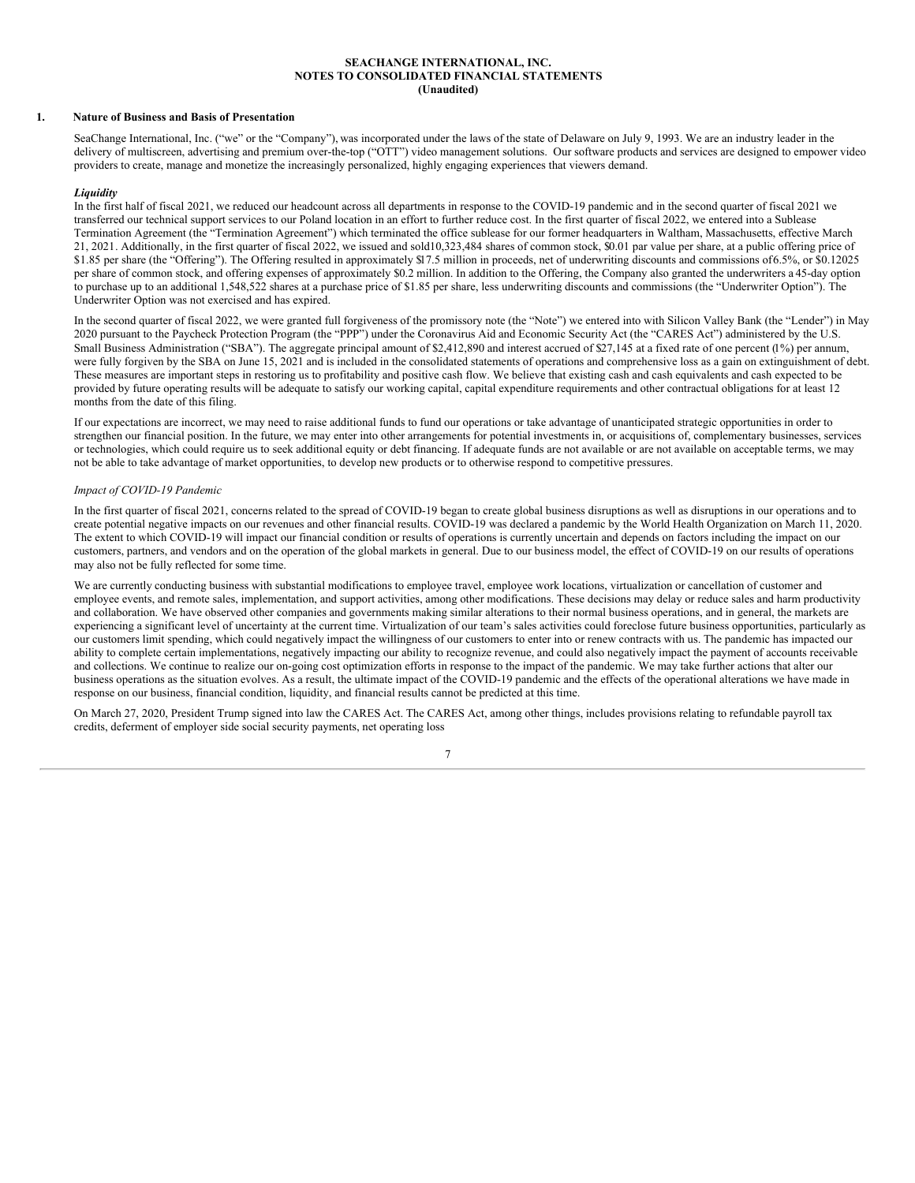#### **SEACHANGE INTERNATIONAL, INC. NOTES TO CONSOLIDATED FINANCIAL STATEMENTS (Unaudited)**

#### <span id="page-7-0"></span>**1. Nature of Business and Basis of Presentation**

SeaChange International, Inc. ("we" or the "Company"), was incorporated under the laws of the state of Delaware on July 9, 1993. We are an industry leader in the delivery of multiscreen, advertising and premium over-the-top ("OTT") video management solutions. Our software products and services are designed to empower video providers to create, manage and monetize the increasingly personalized, highly engaging experiences that viewers demand.

#### *Liquidity*

In the first half of fiscal 2021, we reduced our headcount across all departments in response to the COVID-19 pandemic and in the second quarter of fiscal 2021 we transferred our technical support services to our Poland location in an effort to further reduce cost. In the first quarter of fiscal 2022, we entered into a Sublease Termination Agreement (the "Termination Agreement") which terminated the office sublease for our former headquarters in Waltham, Massachusetts, effective March 21, 2021. Additionally, in the first quarter of fiscal 2022, we issued and sold10,323,484 shares of common stock, \$0.01 par value per share, at a public offering price of \$1.85 per share (the "Offering"). The Offering resulted in approximately \$17.5 million in proceeds, net of underwriting discounts and commissions of 6.5%, or \$0.12025 per share of common stock, and offering expenses of approximately \$0.2 million. In addition to the Offering, the Company also granted the underwriters a 45-day option to purchase up to an additional 1,548,522 shares at a purchase price of \$1.85 per share, less underwriting discounts and commissions (the "Underwriter Option"). The Underwriter Option was not exercised and has expired.

In the second quarter of fiscal 2022, we were granted full forgiveness of the promissory note (the "Note") we entered into with Silicon Valley Bank (the "Lender") in May 2020 pursuant to the Paycheck Protection Program (the "PPP") under the Coronavirus Aid and Economic Security Act (the "CARES Act") administered by the U.S. Small Business Administration ("SBA"). The aggregate principal amount of \$2,412,890 and interest accrued of \$27,145 at a fixed rate of one percent (1%) per annum, were fully forgiven by the SBA on June 15, 2021 and is included in the consolidated statements of operations and comprehensive loss as a gain on extinguishment of debt. These measures are important steps in restoring us to profitability and positive cash flow. We believe that existing cash and cash equivalents and cash expected to be provided by future operating results will be adequate to satisfy our working capital, capital expenditure requirements and other contractual obligations for at least 12 months from the date of this filing.

If our expectations are incorrect, we may need to raise additional funds to fund our operations or take advantage of unanticipated strategic opportunities in order to strengthen our financial position. In the future, we may enter into other arrangements for potential investments in, or acquisitions of, complementary businesses, services or technologies, which could require us to seek additional equity or debt financing. If adequate funds are not available or are not available on acceptable terms, we may not be able to take advantage of market opportunities, to develop new products or to otherwise respond to competitive pressures.

### *Impact of COVID-19 Pandemic*

In the first quarter of fiscal 2021, concerns related to the spread of COVID-19 began to create global business disruptions as well as disruptions in our operations and to create potential negative impacts on our revenues and other financial results. COVID-19 was declared a pandemic by the World Health Organization on March 11, 2020. The extent to which COVID-19 will impact our financial condition or results of operations is currently uncertain and depends on factors including the impact on our customers, partners, and vendors and on the operation of the global markets in general. Due to our business model, the effect of COVID-19 on our results of operations may also not be fully reflected for some time.

We are currently conducting business with substantial modifications to employee travel, employee work locations, virtualization or cancellation of customer and employee events, and remote sales, implementation, and support activities, among other modifications. These decisions may delay or reduce sales and harm productivity and collaboration. We have observed other companies and governments making similar alterations to their normal business operations, and in general, the markets are experiencing a significant level of uncertainty at the current time. Virtualization of our team's sales activities could foreclose future business opportunities, particularly as our customers limit spending, which could negatively impact the willingness of our customers to enter into or renew contracts with us. The pandemic has impacted our ability to complete certain implementations, negatively impacting our ability to recognize revenue, and could also negatively impact the payment of accounts receivable and collections. We continue to realize our on-going cost optimization efforts in response to the impact of the pandemic. We may take further actions that alter our business operations as the situation evolves. As a result, the ultimate impact of the COVID-19 pandemic and the effects of the operational alterations we have made in response on our business, financial condition, liquidity, and financial results cannot be predicted at this time.

On March 27, 2020, President Trump signed into law the CARES Act. The CARES Act, among other things, includes provisions relating to refundable payroll tax credits, deferment of employer side social security payments, net operating loss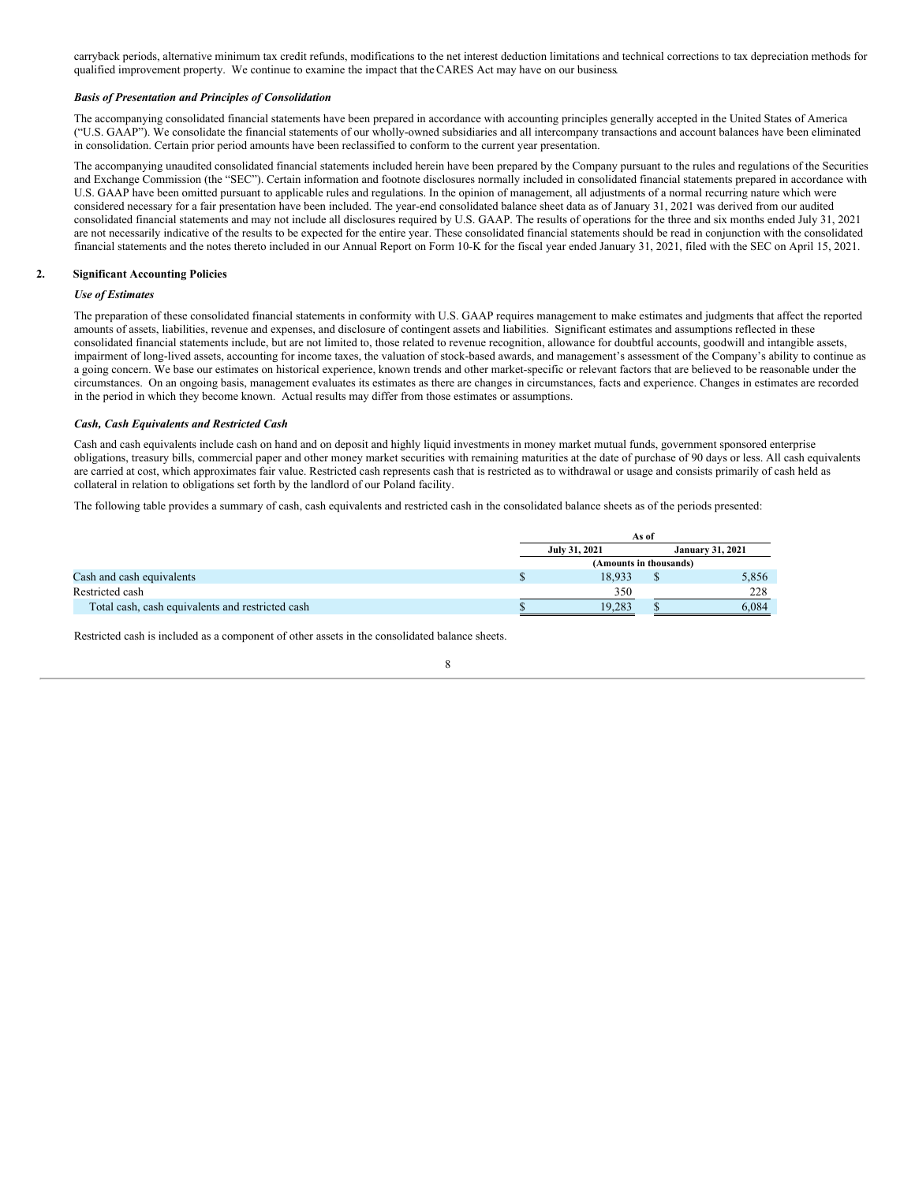carryback periods, alternative minimum tax credit refunds, modifications to the net interest deduction limitations and technical corrections to tax depreciation methods for qualified improvement property. We continue to examine the impact that theCARES Act may have on our business.

#### *Basis of Presentation and Principles of Consolidation*

The accompanying consolidated financial statements have been prepared in accordance with accounting principles generally accepted in the United States of America ("U.S. GAAP"). We consolidate the financial statements of our wholly-owned subsidiaries and all intercompany transactions and account balances have been eliminated in consolidation. Certain prior period amounts have been reclassified to conform to the current year presentation.

The accompanying unaudited consolidated financial statements included herein have been prepared by the Company pursuant to the rules and regulations of the Securities and Exchange Commission (the "SEC"). Certain information and footnote disclosures normally included in consolidated financial statements prepared in accordance with U.S. GAAP have been omitted pursuant to applicable rules and regulations. In the opinion of management, all adjustments of a normal recurring nature which were considered necessary for a fair presentation have been included. The year-end consolidated balance sheet data as of January 31, 2021 was derived from our audited consolidated financial statements and may not include all disclosures required by U.S. GAAP. The results of operations for the three and six months ended July 31, 2021 are not necessarily indicative of the results to be expected for the entire year. These consolidated financial statements should be read in conjunction with the consolidated financial statements and the notes thereto included in our Annual Report on Form 10-K for the fiscal year ended January 31, 2021, filed with the SEC on April 15, 2021.

#### **2. Significant Accounting Policies**

#### *Use of Estimates*

The preparation of these consolidated financial statements in conformity with U.S. GAAP requires management to make estimates and judgments that affect the reported amounts of assets, liabilities, revenue and expenses, and disclosure of contingent assets and liabilities. Significant estimates and assumptions reflected in these consolidated financial statements include, but are not limited to, those related to revenue recognition, allowance for doubtful accounts, goodwill and intangible assets, impairment of long-lived assets, accounting for income taxes, the valuation of stock-based awards, and management's assessment of the Company's ability to continue as a going concern. We base our estimates on historical experience, known trends and other market-specific or relevant factors that are believed to be reasonable under the circumstances. On an ongoing basis, management evaluates its estimates as there are changes in circumstances, facts and experience. Changes in estimates are recorded in the period in which they become known. Actual results may differ from those estimates or assumptions.

#### *Cash, Cash Equivalents and Restricted Cash*

Cash and cash equivalents include cash on hand and on deposit and highly liquid investments in money market mutual funds, government sponsored enterprise obligations, treasury bills, commercial paper and other money market securities with remaining maturities at the date of purchase of 90 days or less. All cash equivalents are carried at cost, which approximates fair value. Restricted cash represents cash that is restricted as to withdrawal or usage and consists primarily of cash held as collateral in relation to obligations set forth by the landlord of our Poland facility.

The following table provides a summary of cash, cash equivalents and restricted cash in the consolidated balance sheets as of the periods presented:

|                                                  | As of                  |  |                         |  |  |  |
|--------------------------------------------------|------------------------|--|-------------------------|--|--|--|
|                                                  | July 31, 2021          |  | <b>January 31, 2021</b> |  |  |  |
|                                                  | (Amounts in thousands) |  |                         |  |  |  |
| Cash and cash equivalents                        | 18.933                 |  | 5,856                   |  |  |  |
| Restricted cash                                  | 350                    |  | 228                     |  |  |  |
| Total cash, cash equivalents and restricted cash | 19.283                 |  | 6.084                   |  |  |  |

Restricted cash is included as a component of other assets in the consolidated balance sheets.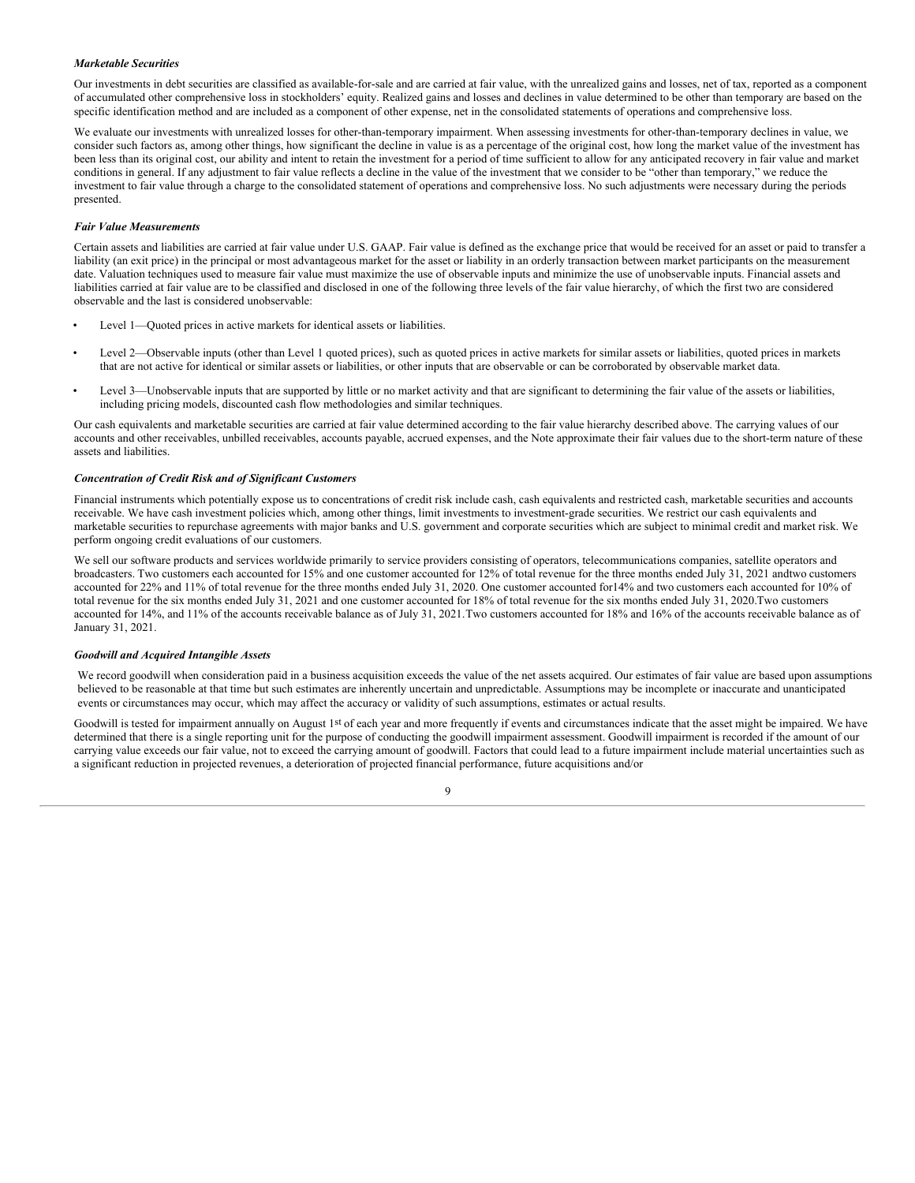#### *Marketable Securities*

Our investments in debt securities are classified as available-for-sale and are carried at fair value, with the unrealized gains and losses, net of tax, reported as a component of accumulated other comprehensive loss in stockholders' equity. Realized gains and losses and declines in value determined to be other than temporary are based on the specific identification method and are included as a component of other expense, net in the consolidated statements of operations and comprehensive loss.

We evaluate our investments with unrealized losses for other-than-temporary impairment. When assessing investments for other-than-temporary declines in value, we consider such factors as, among other things, how significant the decline in value is as a percentage of the original cost, how long the market value of the investment has been less than its original cost, our ability and intent to retain the investment for a period of time sufficient to allow for any anticipated recovery in fair value and market conditions in general. If any adjustment to fair value reflects a decline in the value of the investment that we consider to be "other than temporary," we reduce the investment to fair value through a charge to the consolidated statement of operations and comprehensive loss. No such adjustments were necessary during the periods presented.

#### *Fair Value Measurements*

Certain assets and liabilities are carried at fair value under U.S. GAAP. Fair value is defined as the exchange price that would be received for an asset or paid to transfer a liability (an exit price) in the principal or most advantageous market for the asset or liability in an orderly transaction between market participants on the measurement date. Valuation techniques used to measure fair value must maximize the use of observable inputs and minimize the use of unobservable inputs. Financial assets and liabilities carried at fair value are to be classified and disclosed in one of the following three levels of the fair value hierarchy, of which the first two are considered observable and the last is considered unobservable:

- Level 1—Quoted prices in active markets for identical assets or liabilities.
- Level 2—Observable inputs (other than Level 1 quoted prices), such as quoted prices in active markets for similar assets or liabilities, quoted prices in markets that are not active for identical or similar assets or liabilities, or other inputs that are observable or can be corroborated by observable market data.
- Level 3—Unobservable inputs that are supported by little or no market activity and that are significant to determining the fair value of the assets or liabilities, including pricing models, discounted cash flow methodologies and similar techniques.

Our cash equivalents and marketable securities are carried at fair value determined according to the fair value hierarchy described above. The carrying values of our accounts and other receivables, unbilled receivables, accounts payable, accrued expenses, and the Note approximate their fair values due to the short-term nature of these assets and liabilities.

#### *Concentration of Credit Risk and of Significant Customers*

Financial instruments which potentially expose us to concentrations of credit risk include cash, cash equivalents and restricted cash, marketable securities and accounts receivable. We have cash investment policies which, among other things, limit investments to investment-grade securities. We restrict our cash equivalents and marketable securities to repurchase agreements with major banks and U.S. government and corporate securities which are subject to minimal credit and market risk. We perform ongoing credit evaluations of our customers.

We sell our software products and services worldwide primarily to service providers consisting of operators, telecommunications companies, satellite operators and broadcasters. Two customers each accounted for 15% and one customer accounted for 12% of total revenue for the three months ended July 31, 2021 andtwo customers accounted for 22% and 11% of total revenue for the three months ended July 31, 2020. One customer accounted for14% and two customers each accounted for 10% of total revenue for the six months ended July 31, 2021 and one customer accounted for 18% of total revenue for the six months ended July 31, 2020.Two customers accounted for 14%, and 11% of the accounts receivable balance as of July 31, 2021.Two customers accounted for 18% and 16% of the accounts receivable balance as of January 31, 2021.

#### *Goodwill and Acquired Intangible Assets*

We record goodwill when consideration paid in a business acquisition exceeds the value of the net assets acquired. Our estimates of fair value are based upon assumptions believed to be reasonable at that time but such estimates are inherently uncertain and unpredictable. Assumptions may be incomplete or inaccurate and unanticipated events or circumstances may occur, which may affect the accuracy or validity of such assumptions, estimates or actual results.

Goodwill is tested for impairment annually on August 1st of each year and more frequently if events and circumstances indicate that the asset might be impaired. We have determined that there is a single reporting unit for the purpose of conducting the goodwill impairment assessment. Goodwill impairment is recorded if the amount of our carrying value exceeds our fair value, not to exceed the carrying amount of goodwill. Factors that could lead to a future impairment include material uncertainties such as a significant reduction in projected revenues, a deterioration of projected financial performance, future acquisitions and/or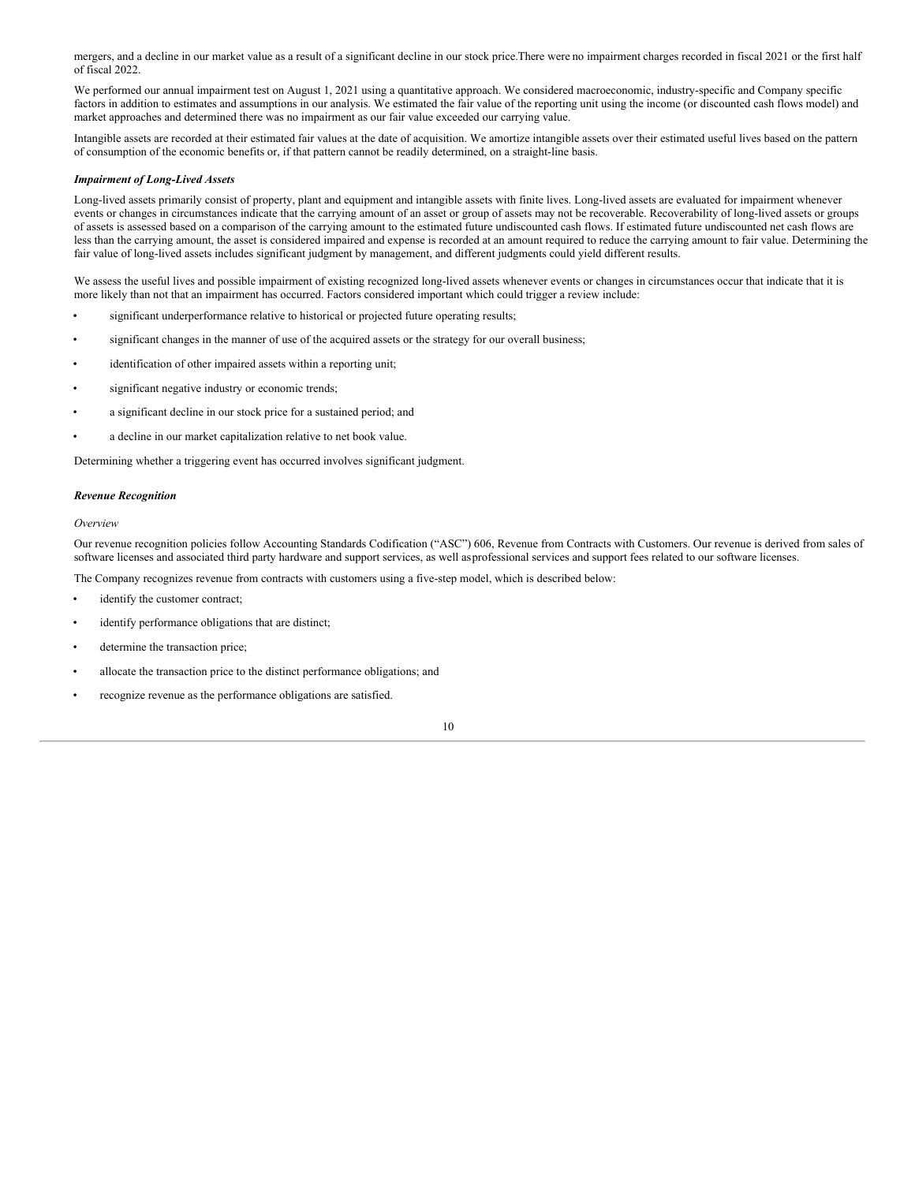mergers, and a decline in our market value as a result of a significant decline in our stock price.There were no impairment charges recorded in fiscal 2021 or the first half of fiscal 2022.

We performed our annual impairment test on August 1, 2021 using a quantitative approach. We considered macroeconomic, industry-specific and Company specific factors in addition to estimates and assumptions in our analysis. We estimated the fair value of the reporting unit using the income (or discounted cash flows model) and market approaches and determined there was no impairment as our fair value exceeded our carrying value.

Intangible assets are recorded at their estimated fair values at the date of acquisition. We amortize intangible assets over their estimated useful lives based on the pattern of consumption of the economic benefits or, if that pattern cannot be readily determined, on a straight-line basis.

#### *Impairment of Long-Lived Assets*

Long-lived assets primarily consist of property, plant and equipment and intangible assets with finite lives. Long-lived assets are evaluated for impairment whenever events or changes in circumstances indicate that the carrying amount of an asset or group of assets may not be recoverable. Recoverability of long-lived assets or groups of assets is assessed based on a comparison of the carrying amount to the estimated future undiscounted cash flows. If estimated future undiscounted net cash flows are less than the carrying amount, the asset is considered impaired and expense is recorded at an amount required to reduce the carrying amount to fair value. Determining the fair value of long-lived assets includes significant judgment by management, and different judgments could yield different results.

We assess the useful lives and possible impairment of existing recognized long-lived assets whenever events or changes in circumstances occur that indicate that it is more likely than not that an impairment has occurred. Factors considered important which could trigger a review include:

- significant underperformance relative to historical or projected future operating results;
- significant changes in the manner of use of the acquired assets or the strategy for our overall business;
- identification of other impaired assets within a reporting unit;
- significant negative industry or economic trends;
- a significant decline in our stock price for a sustained period; and
- a decline in our market capitalization relative to net book value.

Determining whether a triggering event has occurred involves significant judgment.

#### *Revenue Recognition*

#### *Overview*

Our revenue recognition policies follow Accounting Standards Codification ("ASC") 606, Revenue from Contracts with Customers. Our revenue is derived from sales of software licenses and associated third party hardware and support services, as well asprofessional services and support fees related to our software licenses.

The Company recognizes revenue from contracts with customers using a five-step model, which is described below:

- identify the customer contract;
- identify performance obligations that are distinct;
- determine the transaction price;
- allocate the transaction price to the distinct performance obligations; and
- recognize revenue as the performance obligations are satisfied.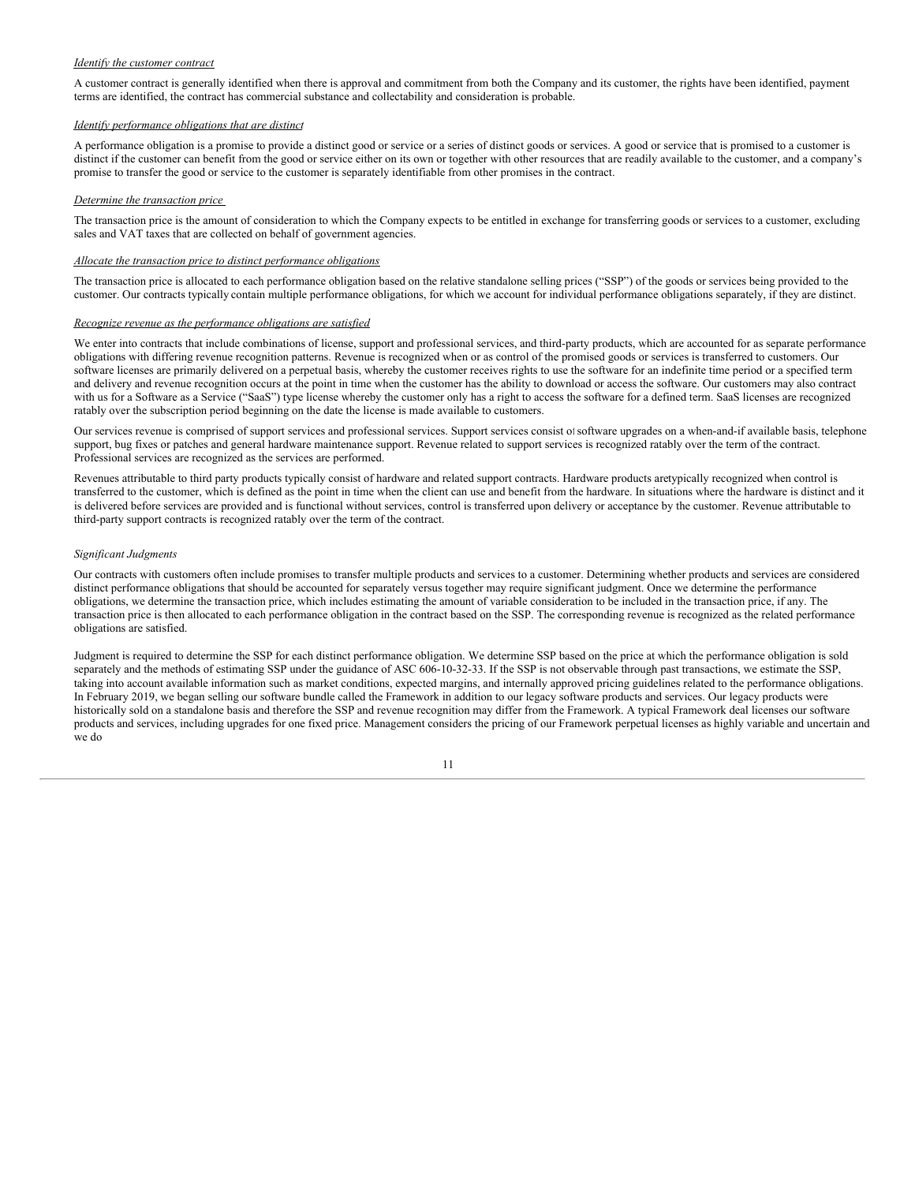#### *Identify the customer contract*

A customer contract is generally identified when there is approval and commitment from both the Company and its customer, the rights have been identified, payment terms are identified, the contract has commercial substance and collectability and consideration is probable.

#### *Identify performance obligations that are distinct*

A performance obligation is a promise to provide a distinct good or service or a series of distinct goods or services. A good or service that is promised to a customer is distinct if the customer can benefit from the good or service either on its own or together with other resources that are readily available to the customer, and a company's promise to transfer the good or service to the customer is separately identifiable from other promises in the contract.

#### *Determine the transaction price*

The transaction price is the amount of consideration to which the Company expects to be entitled in exchange for transferring goods or services to a customer, excluding sales and VAT taxes that are collected on behalf of government agencies.

#### *Allocate the transaction price to distinct performance obligations*

The transaction price is allocated to each performance obligation based on the relative standalone selling prices ("SSP") of the goods or services being provided to the customer. Our contracts typically contain multiple performance obligations, for which we account for individual performance obligations separately, if they are distinct.

#### *Recognize revenue as the performance obligations are satisfied*

We enter into contracts that include combinations of license, support and professional services, and third-party products, which are accounted for as separate performance obligations with differing revenue recognition patterns. Revenue is recognized when or as control of the promised goods or services is transferred to customers. Our software licenses are primarily delivered on a perpetual basis, whereby the customer receives rights to use the software for an indefinite time period or a specified term and delivery and revenue recognition occurs at the point in time when the customer has the ability to download or access the software. Our customers may also contract with us for a Software as a Service ("SaaS") type license whereby the customer only has a right to access the software for a defined term. SaaS licenses are recognized ratably over the subscription period beginning on the date the license is made available to customers.

Our services revenue is comprised of support services and professional services. Support services consist of software upgrades on a when-and-if available basis, telephone support, bug fixes or patches and general hardware maintenance support. Revenue related to support services is recognized ratably over the term of the contract. Professional services are recognized as the services are performed.

Revenues attributable to third party products typically consist of hardware and related support contracts. Hardware products aretypically recognized when control is transferred to the customer, which is defined as the point in time when the client can use and benefit from the hardware. In situations where the hardware is distinct and it is delivered before services are provided and is functional without services, control is transferred upon delivery or acceptance by the customer. Revenue attributable to third-party support contracts is recognized ratably over the term of the contract.

#### *Significant Judgments*

Our contracts with customers often include promises to transfer multiple products and services to a customer. Determining whether products and services are considered distinct performance obligations that should be accounted for separately versus together may require significant judgment. Once we determine the performance obligations, we determine the transaction price, which includes estimating the amount of variable consideration to be included in the transaction price, if any. The transaction price is then allocated to each performance obligation in the contract based on the SSP. The corresponding revenue is recognized as the related performance obligations are satisfied.

Judgment is required to determine the SSP for each distinct performance obligation. We determine SSP based on the price at which the performance obligation is sold separately and the methods of estimating SSP under the guidance of ASC 606-10-32-33. If the SSP is not observable through past transactions, we estimate the SSP, taking into account available information such as market conditions, expected margins, and internally approved pricing guidelines related to the performance obligations. In February 2019, we began selling our software bundle called the Framework in addition to our legacy software products and services. Our legacy products were historically sold on a standalone basis and therefore the SSP and revenue recognition may differ from the Framework. A typical Framework deal licenses our software products and services, including upgrades for one fixed price. Management considers the pricing of our Framework perpetual licenses as highly variable and uncertain and we do

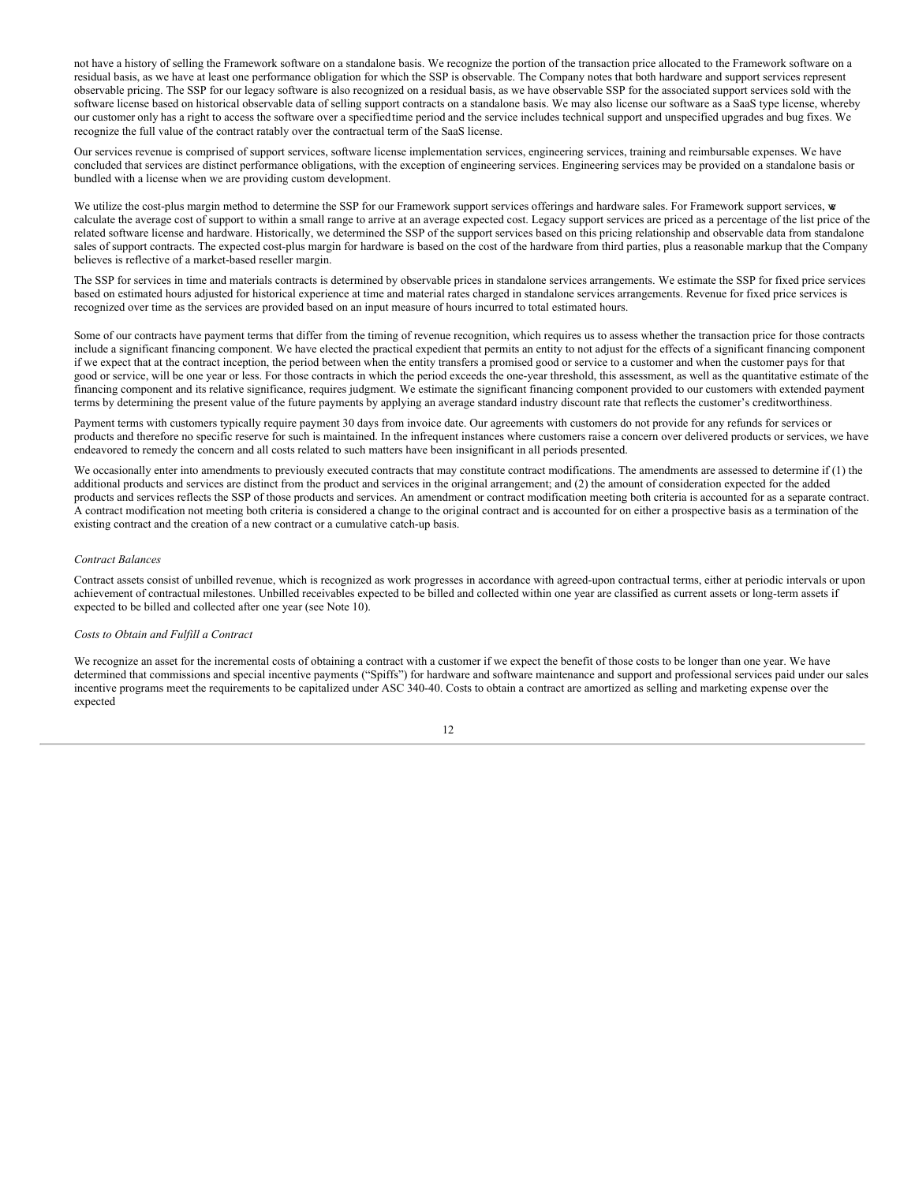not have a history of selling the Framework software on a standalone basis. We recognize the portion of the transaction price allocated to the Framework software on a residual basis, as we have at least one performance obligation for which the SSP is observable. The Company notes that both hardware and support services represent observable pricing. The SSP for our legacy software is also recognized on a residual basis, as we have observable SSP for the associated support services sold with the software license based on historical observable data of selling support contracts on a standalone basis. We may also license our software as a SaaS type license, whereby our customer only has a right to access the software over a specifiedtime period and the service includes technical support and unspecified upgrades and bug fixes. We recognize the full value of the contract ratably over the contractual term of the SaaS license.

Our services revenue is comprised of support services, software license implementation services, engineering services, training and reimbursable expenses. We have concluded that services are distinct performance obligations, with the exception of engineering services. Engineering services may be provided on a standalone basis or bundled with a license when we are providing custom development.

We utilize the cost-plus margin method to determine the SSP for our Framework support services offerings and hardware sales. For Framework support services, we calculate the average cost of support to within a small range to arrive at an average expected cost. Legacy support services are priced as a percentage of the list price of the related software license and hardware. Historically, we determined the SSP of the support services based on this pricing relationship and observable data from standalone sales of support contracts. The expected cost-plus margin for hardware is based on the cost of the hardware from third parties, plus a reasonable markup that the Company believes is reflective of a market-based reseller margin.

The SSP for services in time and materials contracts is determined by observable prices in standalone services arrangements. We estimate the SSP for fixed price services based on estimated hours adjusted for historical experience at time and material rates charged in standalone services arrangements. Revenue for fixed price services is recognized over time as the services are provided based on an input measure of hours incurred to total estimated hours.

Some of our contracts have payment terms that differ from the timing of revenue recognition, which requires us to assess whether the transaction price for those contracts include a significant financing component. We have elected the practical expedient that permits an entity to not adjust for the effects of a significant financing component if we expect that at the contract inception, the period between when the entity transfers a promised good or service to a customer and when the customer pays for that good or service, will be one year or less. For those contracts in which the period exceeds the one-year threshold, this assessment, as well as the quantitative estimate of the financing component and its relative significance, requires judgment. We estimate the significant financing component provided to our customers with extended payment terms by determining the present value of the future payments by applying an average standard industry discount rate that reflects the customer's creditworthiness.

Payment terms with customers typically require payment 30 days from invoice date. Our agreements with customers do not provide for any refunds for services or products and therefore no specific reserve for such is maintained. In the infrequent instances where customers raise a concern over delivered products or services, we have endeavored to remedy the concern and all costs related to such matters have been insignificant in all periods presented.

We occasionally enter into amendments to previously executed contracts that may constitute contract modifications. The amendments are assessed to determine if (1) the additional products and services are distinct from the product and services in the original arrangement; and (2) the amount of consideration expected for the added products and services reflects the SSP of those products and services. An amendment or contract modification meeting both criteria is accounted for as a separate contract. A contract modification not meeting both criteria is considered a change to the original contract and is accounted for on either a prospective basis as a termination of the existing contract and the creation of a new contract or a cumulative catch-up basis.

#### *Contract Balances*

Contract assets consist of unbilled revenue, which is recognized as work progresses in accordance with agreed-upon contractual terms, either at periodic intervals or upon achievement of contractual milestones. Unbilled receivables expected to be billed and collected within one year are classified as current assets or long-term assets if expected to be billed and collected after one year (see Note 10).

#### *Costs to Obtain and Fulfill a Contract*

We recognize an asset for the incremental costs of obtaining a contract with a customer if we expect the benefit of those costs to be longer than one year. We have determined that commissions and special incentive payments ("Spiffs") for hardware and software maintenance and support and professional services paid under our sales incentive programs meet the requirements to be capitalized under ASC 340-40. Costs to obtain a contract are amortized as selling and marketing expense over the expected

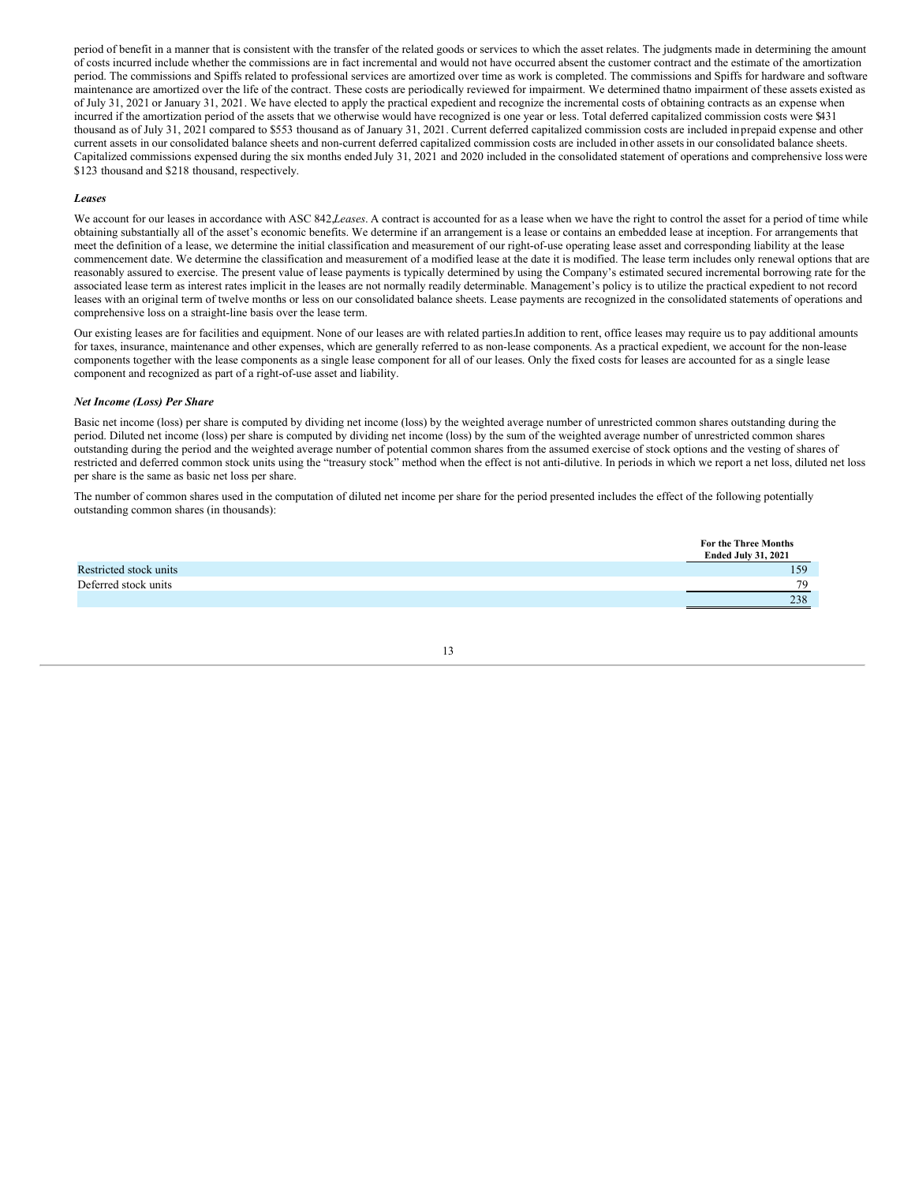period of benefit in a manner that is consistent with the transfer of the related goods or services to which the asset relates. The judgments made in determining the amount of costs incurred include whether the commissions are in fact incremental and would not have occurred absent the customer contract and the estimate of the amortization period. The commissions and Spiffs related to professional services are amortized over time as work is completed. The commissions and Spiffs for hardware and software maintenance are amortized over the life of the contract. These costs are periodically reviewed for impairment. We determined thatno impairment of these assets existed as of July 31, 2021 or January 31, 2021. We have elected to apply the practical expedient and recognize the incremental costs of obtaining contracts as an expense when incurred if the amortization period of the assets that we otherwise would have recognized is one year or less. Total deferred capitalized commission costs were \$431 thousand as of July 31, 2021 compared to \$553 thousand as of January 31, 2021. Current deferred capitalized commission costs are included in prepaid expense and other current assets in our consolidated balance sheets and non-current deferred capitalized commission costs are included inother assetsin our consolidated balance sheets. Capitalized commissions expensed during the six months ended July 31, 2021 and 2020 included in the consolidated statement of operations and comprehensive loss were \$123 thousand and \$218 thousand, respectively.

#### *Leases*

We account for our leases in accordance with ASC 842,*Leases*. A contract is accounted for as a lease when we have the right to control the asset for a period of time while obtaining substantially all of the asset's economic benefits. We determine if an arrangement is a lease or contains an embedded lease at inception. For arrangements that meet the definition of a lease, we determine the initial classification and measurement of our right-of-use operating lease asset and corresponding liability at the lease commencement date. We determine the classification and measurement of a modified lease at the date it is modified. The lease term includes only renewal options that are reasonably assured to exercise. The present value of lease payments is typically determined by using the Company's estimated secured incremental borrowing rate for the associated lease term as interest rates implicit in the leases are not normally readily determinable. Management's policy is to utilize the practical expedient to not record leases with an original term of twelve months or less on our consolidated balance sheets. Lease payments are recognized in the consolidated statements of operations and comprehensive loss on a straight-line basis over the lease term.

Our existing leases are for facilities and equipment. None of our leases are with related parties.In addition to rent, office leases may require us to pay additional amounts for taxes, insurance, maintenance and other expenses, which are generally referred to as non-lease components. As a practical expedient, we account for the non-lease components together with the lease components as a single lease component for all of our leases. Only the fixed costs for leases are accounted for as a single lease component and recognized as part of a right-of-use asset and liability.

#### *Net Income (Loss) Per Share*

Basic net income (loss) per share is computed by dividing net income (loss) by the weighted average number of unrestricted common shares outstanding during the period. Diluted net income (loss) per share is computed by dividing net income (loss) by the sum of the weighted average number of unrestricted common shares outstanding during the period and the weighted average number of potential common shares from the assumed exercise of stock options and the vesting of shares of restricted and deferred common stock units using the "treasury stock" method when the effect is not anti-dilutive. In periods in which we report a net loss, diluted net loss per share is the same as basic net loss per share.

The number of common shares used in the computation of diluted net income per share for the period presented includes the effect of the following potentially outstanding common shares (in thousands):

|                        | <b>For the Three Months</b><br><b>Ended July 31, 2021</b> |
|------------------------|-----------------------------------------------------------|
| Restricted stock units | 159                                                       |
| Deferred stock units   | 70                                                        |
|                        | 238                                                       |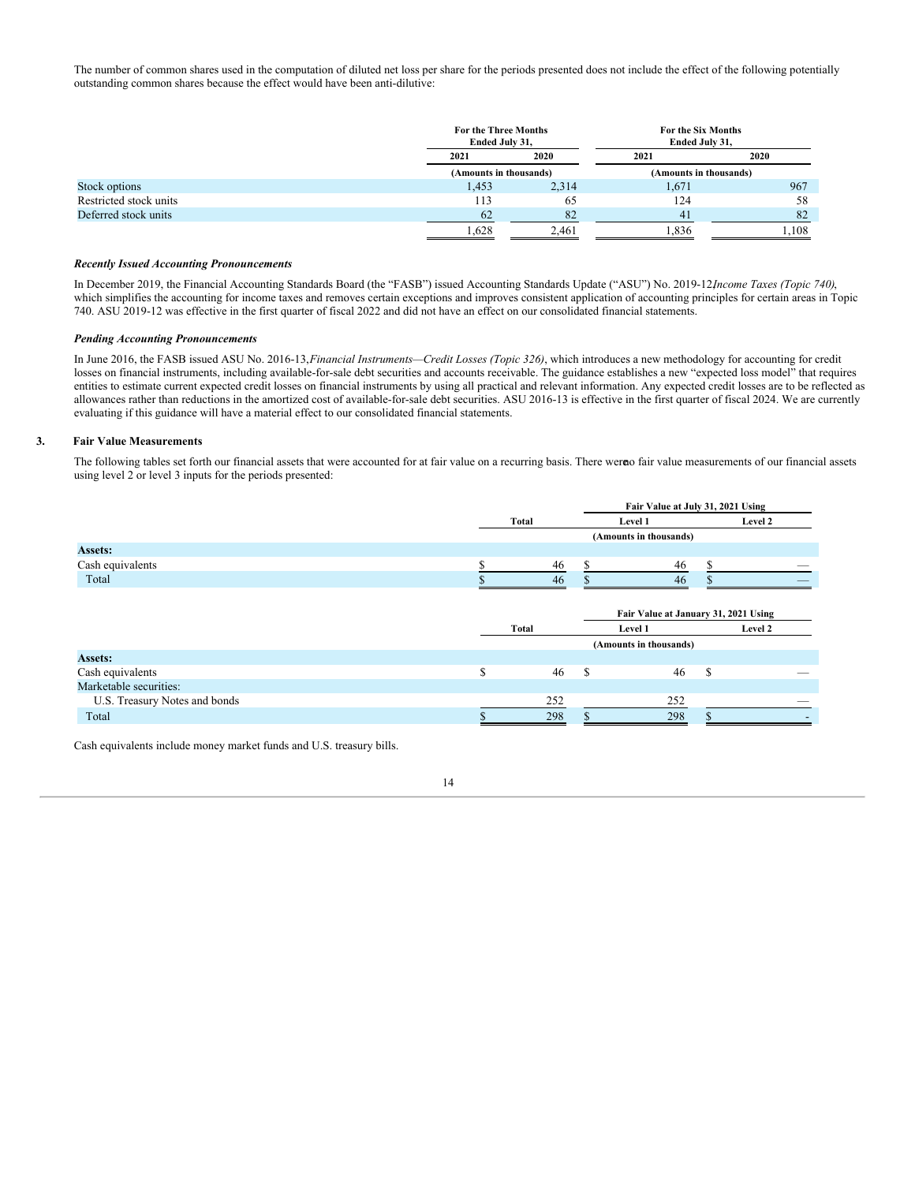The number of common shares used in the computation of diluted net loss per share for the periods presented does not include the effect of the following potentially outstanding common shares because the effect would have been anti-dilutive:

|                        | For the Three Months<br>Ended July 31, |       | For the Six Months<br>Ended July 31, |       |  |  |
|------------------------|----------------------------------------|-------|--------------------------------------|-------|--|--|
|                        | 2021                                   | 2020  | 2021                                 | 2020  |  |  |
|                        | (Amounts in thousands)                 |       | (Amounts in thousands)               |       |  |  |
| Stock options          | 1,453                                  | 2,314 | 1,671                                | 967   |  |  |
| Restricted stock units | 113                                    | 65    | 124                                  | 58    |  |  |
| Deferred stock units   | 62                                     | 82    | 41                                   | 82    |  |  |
|                        | 1,628                                  | 2,461 | 1,836                                | 1.108 |  |  |

#### *Recently Issued Accounting Pronouncements*

In December 2019, the Financial Accounting Standards Board (the "FASB") issued Accounting Standards Update ("ASU") No. 2019-12,*Income Taxes (Topic 740)*, which simplifies the accounting for income taxes and removes certain exceptions and improves consistent application of accounting principles for certain areas in Topic 740. ASU 2019-12 was effective in the first quarter of fiscal 2022 and did not have an effect on our consolidated financial statements.

### *Pending Accounting Pronouncements*

In June 2016, the FASB issued ASU No. 2016-13,*Financial Instruments—Credit Losses (Topic 326)*, which introduces a new methodology for accounting for credit losses on financial instruments, including available-for-sale debt securities and accounts receivable. The guidance establishes a new "expected loss model" that requires entities to estimate current expected credit losses on financial instruments by using all practical and relevant information. Any expected credit losses are to be reflected as allowances rather than reductions in the amortized cost of available-for-sale debt securities. ASU 2016-13 is effective in the first quarter of fiscal 2024. We are currently evaluating if this guidance will have a material effect to our consolidated financial statements.

#### **3. Fair Value Measurements**

The following tables set forth our financial assets that were accounted for at fair value on a recurring basis. There were of air value measurements of our financial assets using level 2 or level 3 inputs for the periods presented:

|                               |    |       | Fair Value at July 31, 2021 Using |                        |         |                                      |  |
|-------------------------------|----|-------|-----------------------------------|------------------------|---------|--------------------------------------|--|
|                               |    | Total |                                   | Level 1                | Level 2 |                                      |  |
|                               |    |       |                                   | (Amounts in thousands) |         |                                      |  |
| <b>Assets:</b>                |    |       |                                   |                        |         |                                      |  |
| Cash equivalents              | ¢  | 46    | S                                 | 46                     | \$      |                                      |  |
| Total                         |    | 46    |                                   | 46                     |         |                                      |  |
|                               |    |       |                                   |                        |         |                                      |  |
|                               |    |       |                                   |                        |         | Fair Value at January 31, 2021 Using |  |
|                               |    | Total | Level 1                           |                        |         | Level 2                              |  |
|                               |    |       |                                   | (Amounts in thousands) |         |                                      |  |
| <b>Assets:</b>                |    |       |                                   |                        |         |                                      |  |
| Cash equivalents              | \$ | 46    | <sup>\$</sup>                     | 46                     | S       |                                      |  |
| Marketable securities:        |    |       |                                   |                        |         |                                      |  |
| U.S. Treasury Notes and bonds |    | 252   |                                   | 252                    |         |                                      |  |
| Total                         |    | 298   |                                   | 298                    |         |                                      |  |
|                               |    |       |                                   |                        |         |                                      |  |

Cash equivalents include money market funds and U.S. treasury bills.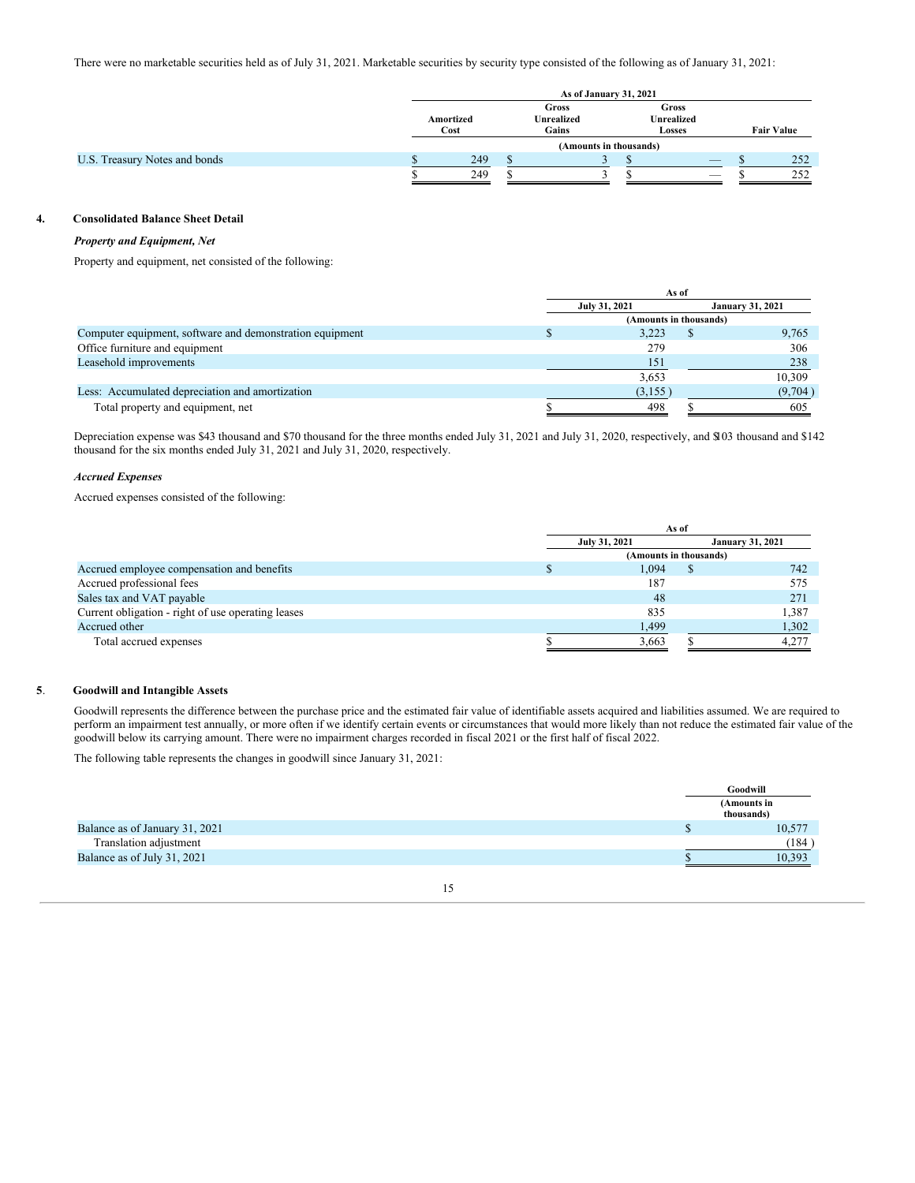There were no marketable securities held as of July 31, 2021. Marketable securities by security type consisted of the following as of January 31, 2021:

|                               | As of January 31, 2021                                   |  |                        |                                             |                                |  |                   |  |
|-------------------------------|----------------------------------------------------------|--|------------------------|---------------------------------------------|--------------------------------|--|-------------------|--|
|                               | Gross<br><b>Unrealized</b><br>Amortized<br>Gains<br>Cost |  |                        | Gross<br><b>Unrealized</b><br><b>Losses</b> |                                |  | <b>Fair Value</b> |  |
|                               |                                                          |  | (Amounts in thousands) |                                             |                                |  |                   |  |
| U.S. Treasury Notes and bonds | 249                                                      |  |                        |                                             | $\overbrace{\hspace{25mm}}^{}$ |  | 252               |  |
|                               | 249                                                      |  |                        |                                             |                                |  | 252               |  |

#### **4. Consolidated Balance Sheet Detail**

#### *Property and Equipment, Net*

Property and equipment, net consisted of the following:

|                                                          | As of                  |                         |
|----------------------------------------------------------|------------------------|-------------------------|
|                                                          | July 31, 2021          | <b>January 31, 2021</b> |
|                                                          | (Amounts in thousands) |                         |
| Computer equipment, software and demonstration equipment | 3.223                  | 9,765                   |
| Office furniture and equipment                           | 279                    | 306                     |
| Leasehold improvements                                   | 151                    | 238                     |
|                                                          | 3,653                  | 10.309                  |
| Less: Accumulated depreciation and amortization          | (3,155)                | (9,704)                 |
| Total property and equipment, net                        | 498                    | 605                     |

Depreciation expense was \$43 thousand and \$70 thousand for the three months ended July 31, 2021 and July 31, 2020, respectively, and \$103 thousand and \$142 thousand for the six months ended July 31, 2021 and July 31, 2020, respectively.

#### *Accrued Expenses*

Accrued expenses consisted of the following:

|                                                    |  |                        | As of                   |       |
|----------------------------------------------------|--|------------------------|-------------------------|-------|
|                                                    |  | July 31, 2021          | <b>January 31, 2021</b> |       |
|                                                    |  | (Amounts in thousands) |                         |       |
| Accrued employee compensation and benefits         |  | 1.094                  |                         | 742   |
| Accrued professional fees                          |  | 187                    |                         | 575   |
| Sales tax and VAT payable                          |  | 48                     |                         | 271   |
| Current obligation - right of use operating leases |  | 835                    |                         | 1,387 |
| Accrued other                                      |  | 1,499                  |                         | 1,302 |
| Total accrued expenses                             |  | 3.663                  |                         | 4.277 |

### **5**. **Goodwill and Intangible Assets**

Goodwill represents the difference between the purchase price and the estimated fair value of identifiable assets acquired and liabilities assumed. We are required to perform an impairment test annually, or more often if we identify certain events or circumstances that would more likely than not reduce the estimated fair value of the goodwill below its carrying amount. There were no impairment charges recorded in fiscal 2021 or the first half of fiscal 2022.

The following table represents the changes in goodwill since January 31, 2021:

|                                | Goodwill                  |
|--------------------------------|---------------------------|
|                                | (Amounts in<br>thousands) |
| Balance as of January 31, 2021 | 10,577                    |
| Translation adjustment         | (184)                     |
| Balance as of July 31, 2021    | 10,393                    |

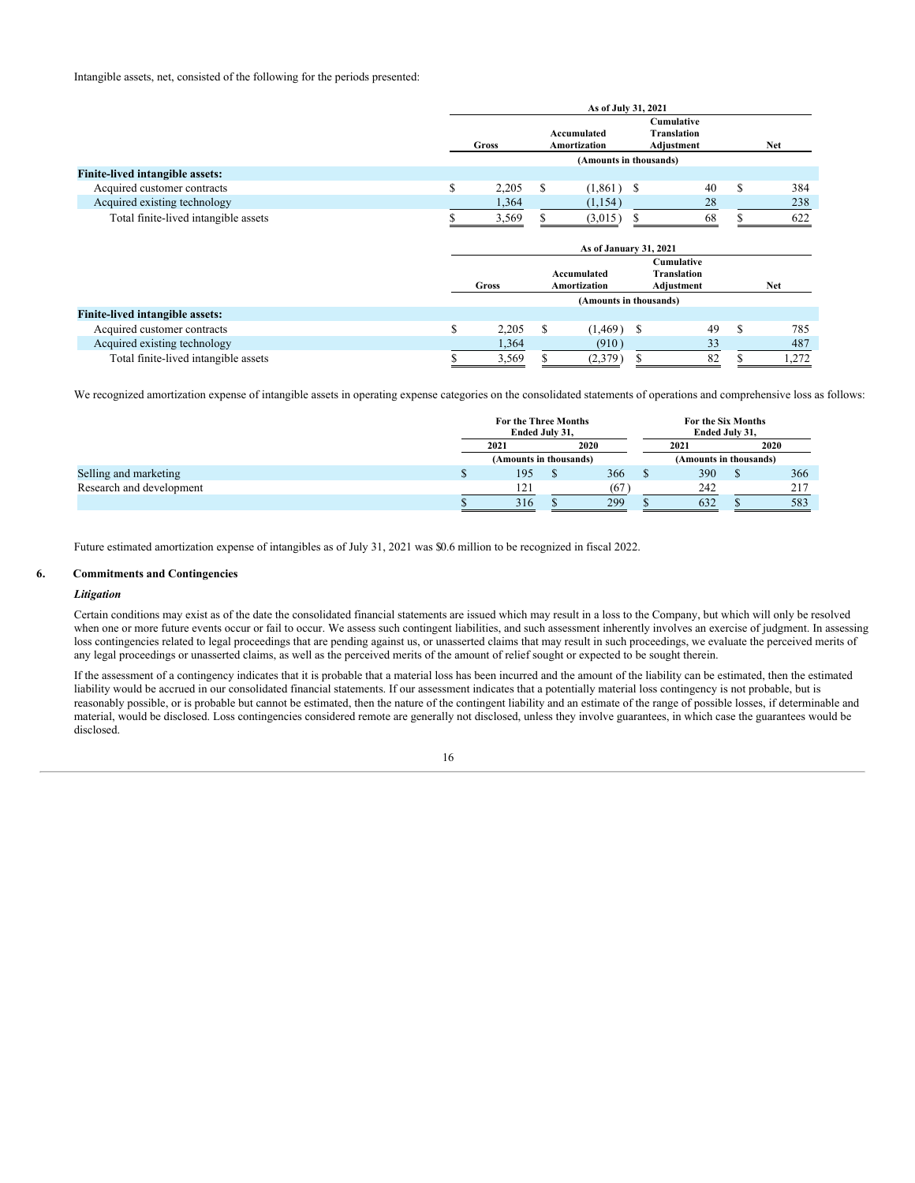|                                        |    |                        |    | As of July 31, 2021         |   |                                                |    |            |
|----------------------------------------|----|------------------------|----|-----------------------------|---|------------------------------------------------|----|------------|
|                                        |    | Gross                  |    | Accumulated<br>Amortization |   | Cumulative<br>Translation<br>Adjustment        |    | <b>Net</b> |
|                                        |    |                        |    | (Amounts in thousands)      |   |                                                |    |            |
| <b>Finite-lived intangible assets:</b> |    |                        |    |                             |   |                                                |    |            |
| Acquired customer contracts            | \$ | 2,205                  | \$ | $(1,861)$ \$                |   | 40                                             | \$ | 384        |
| Acquired existing technology           |    | 1,364                  |    | (1,154)                     |   | 28                                             |    | 238        |
| Total finite-lived intangible assets   |    | 3,569                  |    | (3,015)                     |   | 68                                             | ጦ  | 622        |
|                                        |    | As of January 31, 2021 |    |                             |   |                                                |    |            |
|                                        |    | Gross                  |    | Accumulated<br>Amortization |   | Cumulative<br><b>Translation</b><br>Adjustment |    | <b>Net</b> |
|                                        |    |                        |    | (Amounts in thousands)      |   |                                                |    |            |
| <b>Finite-lived intangible assets:</b> |    |                        |    |                             |   |                                                |    |            |
| Acquired customer contracts            | \$ | 2,205                  | \$ | $(1,469)$ \$                |   | 49                                             | S  | 785        |
| Acquired existing technology           |    | 1,364                  |    | (910)                       |   | 33                                             |    | 487        |
| Total finite-lived intangible assets   | S  | 3,569                  | S  | (2,379)                     | S | 82                                             | S  | 1,272      |

We recognized amortization expense of intangible assets in operating expense categories on the consolidated statements of operations and comprehensive loss as follows:

|                          | <b>For the Three Months</b><br>Ended July 31, |  |      | For the Six Months<br>Ended July 31, |      |  |     |
|--------------------------|-----------------------------------------------|--|------|--------------------------------------|------|--|-----|
|                          | 2021<br>2020                                  |  | 2021 |                                      | 2020 |  |     |
|                          | (Amounts in thousands)                        |  |      | (Amounts in thousands)               |      |  |     |
| Selling and marketing    | 195                                           |  | 366  |                                      | 390  |  | 366 |
| Research and development | 121                                           |  | (67  |                                      | 242  |  | 217 |
|                          | 316                                           |  | 299  |                                      | 632  |  | 583 |

Future estimated amortization expense of intangibles as of July 31, 2021 was \$0.6 million to be recognized in fiscal 2022.

#### **6. Commitments and Contingencies**

#### *Litigation*

Certain conditions may exist as of the date the consolidated financial statements are issued which may result in a loss to the Company, but which will only be resolved when one or more future events occur or fail to occur. We assess such contingent liabilities, and such assessment inherently involves an exercise of judgment. In assessing loss contingencies related to legal proceedings that are pending against us, or unasserted claims that may result in such proceedings, we evaluate the perceived merits of any legal proceedings or unasserted claims, as well as the perceived merits of the amount of relief sought or expected to be sought therein.

If the assessment of a contingency indicates that it is probable that a material loss has been incurred and the amount of the liability can be estimated, then the estimated liability would be accrued in our consolidated financial statements. If our assessment indicates that a potentially material loss contingency is not probable, but is reasonably possible, or is probable but cannot be estimated, then the nature of the contingent liability and an estimate of the range of possible losses, if determinable and material, would be disclosed. Loss contingencies considered remote are generally not disclosed, unless they involve guarantees, in which case the guarantees would be disclosed.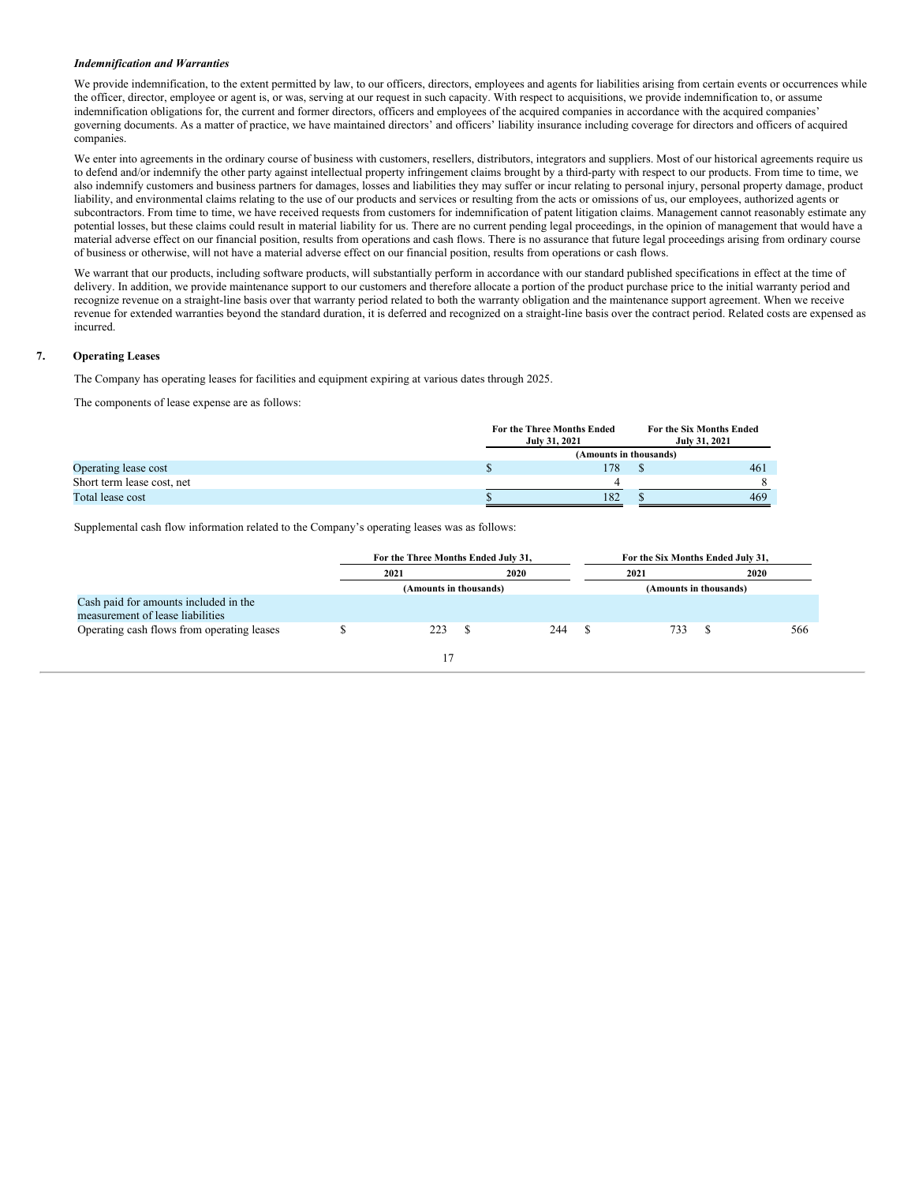#### *Indemnification and Warranties*

We provide indemnification, to the extent permitted by law, to our officers, directors, employees and agents for liabilities arising from certain events or occurrences while the officer, director, employee or agent is, or was, serving at our request in such capacity. With respect to acquisitions, we provide indemnification to, or assume indemnification obligations for, the current and former directors, officers and employees of the acquired companies in accordance with the acquired companies' governing documents. As a matter of practice, we have maintained directors' and officers' liability insurance including coverage for directors and officers of acquired companies.

We enter into agreements in the ordinary course of business with customers, resellers, distributors, integrators and suppliers. Most of our historical agreements require us to defend and/or indemnify the other party against intellectual property infringement claims brought by a third-party with respect to our products. From time to time, we also indemnify customers and business partners for damages, losses and liabilities they may suffer or incur relating to personal injury, personal property damage, product liability, and environmental claims relating to the use of our products and services or resulting from the acts or omissions of us, our employees, authorized agents or subcontractors. From time to time, we have received requests from customers for indemnification of patent litigation claims. Management cannot reasonably estimate any potential losses, but these claims could result in material liability for us. There are no current pending legal proceedings, in the opinion of management that would have a material adverse effect on our financial position, results from operations and cash flows. There is no assurance that future legal proceedings arising from ordinary course of business or otherwise, will not have a material adverse effect on our financial position, results from operations or cash flows.

We warrant that our products, including software products, will substantially perform in accordance with our standard published specifications in effect at the time of delivery. In addition, we provide maintenance support to our customers and therefore allocate a portion of the product purchase price to the initial warranty period and recognize revenue on a straight-line basis over that warranty period related to both the warranty obligation and the maintenance support agreement. When we receive revenue for extended warranties beyond the standard duration, it is deferred and recognized on a straight-line basis over the contract period. Related costs are expensed as incurred.

#### **7. Operating Leases**

The Company has operating leases for facilities and equipment expiring at various dates through 2025.

The components of lease expense are as follows:

|                            | July 31, 2021 | For the Three Months Ended | For the Six Months Ended<br>July 31, 2021 |
|----------------------------|---------------|----------------------------|-------------------------------------------|
|                            |               | (Amounts in thousands)     |                                           |
| Operating lease cost       |               | 78                         | 461                                       |
| Short term lease cost, net |               |                            |                                           |
| Total lease cost           |               | 182                        | 469                                       |

Supplemental cash flow information related to the Company's operating leases was as follows:

|                                                                           | For the Three Months Ended July 31, |  |      | For the Six Months Ended July 31, |                        |  |     |  |
|---------------------------------------------------------------------------|-------------------------------------|--|------|-----------------------------------|------------------------|--|-----|--|
|                                                                           | 2021<br>2020                        |  | 2021 |                                   | 2020                   |  |     |  |
|                                                                           | (Amounts in thousands)              |  |      |                                   | (Amounts in thousands) |  |     |  |
| Cash paid for amounts included in the<br>measurement of lease liabilities |                                     |  |      |                                   |                        |  |     |  |
| Operating cash flows from operating leases                                | 223                                 |  | 244  |                                   | 733                    |  | 566 |  |
|                                                                           |                                     |  |      |                                   |                        |  |     |  |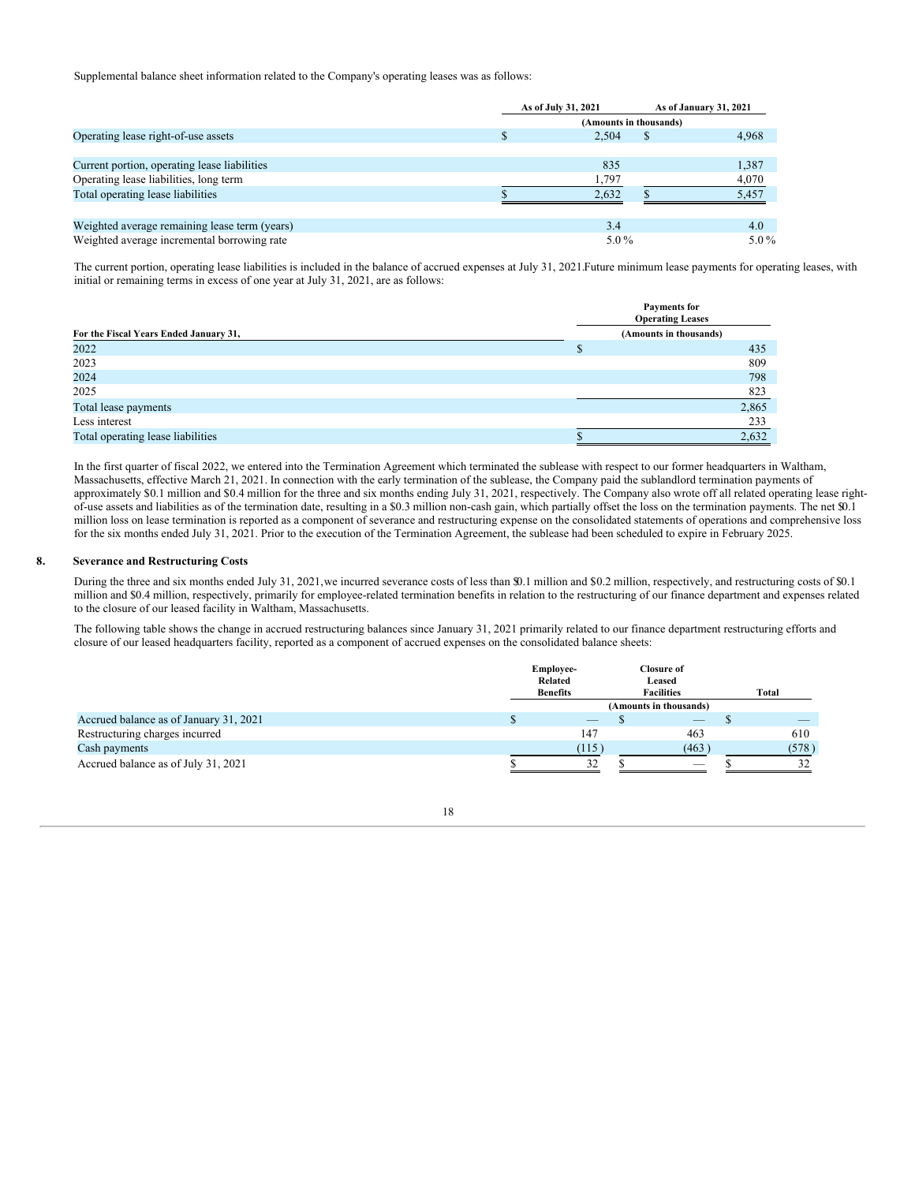Supplemental balance sheet information related to the Company's operating leases was as follows:

|                                               | As of July 31, 2021    |              | As of January 31, 2021 |
|-----------------------------------------------|------------------------|--------------|------------------------|
|                                               | (Amounts in thousands) |              |                        |
| Operating lease right-of-use assets           | 2.504                  | <sup>S</sup> | 4,968                  |
|                                               |                        |              |                        |
| Current portion, operating lease liabilities  | 835                    |              | 1.387                  |
| Operating lease liabilities, long term        | 1,797                  |              | 4,070                  |
| Total operating lease liabilities             | 2.632                  |              | 5.457                  |
|                                               |                        |              |                        |
| Weighted average remaining lease term (years) | 3.4                    |              | 4.0                    |
| Weighted average incremental borrowing rate   | $5.0\%$                |              | $5.0\%$                |

The current portion, operating lease liabilities is included in the balance of accrued expenses at July 31, 2021.Future minimum lease payments for operating leases, with initial or remaining terms in excess of one year at July 31, 2021, are as follows:

|                                        | Payments for<br><b>Operating Leases</b> |
|----------------------------------------|-----------------------------------------|
| For the Fiscal Years Ended January 31, | (Amounts in thousands)                  |
| 2022                                   | 435                                     |
| 2023                                   | 809                                     |
| 2024                                   | 798                                     |
| 2025                                   | 823                                     |
| Total lease payments                   | 2,865                                   |
| Less interest                          | 233                                     |
| Total operating lease liabilities      | 2,632                                   |

In the first quarter of fiscal 2022, we entered into the Termination Agreement which terminated the sublease with respect to our former headquarters in Waltham, Massachusetts, effective March 21, 2021. In connection with the early termination of the sublease, the Company paid the sublandlord termination payments of approximately \$0.1 million and \$0.4 million for the three and six months ending July 31, 2021, respectively. The Company also wrote off all related operating lease rightof-use assets and liabilities as of the termination date, resulting in a \$0.3 million non-cash gain, which partially offset the loss on the termination payments. The net \$0.1 million loss on lease termination is reported as a component of severance and restructuring expense on the consolidated statements of operations and comprehensive loss for the six months ended July 31, 2021. Prior to the execution of the Termination Agreement, the sublease had been scheduled to expire in February 2025.

#### **8. Severance and Restructuring Costs**

During the three and six months ended July 31, 2021,we incurred severance costs of less than \$0.1 million and \$0.2 million, respectively, and restructuring costs of \$0.1 million and \$0.4 million, respectively, primarily for employee-related termination benefits in relation to the restructuring of our finance department and expenses related to the closure of our leased facility in Waltham, Massachusetts.

The following table shows the change in accrued restructuring balances since January 31, 2021 primarily related to our finance department restructuring efforts and closure of our leased headquarters facility, reported as a component of accrued expenses on the consolidated balance sheets:

|                                        | <b>Employee-</b><br>Related<br><b>Benefits</b> | <b>Closure of</b><br>Leased<br><b>Facilities</b> |   | Total |
|----------------------------------------|------------------------------------------------|--------------------------------------------------|---|-------|
|                                        |                                                | (Amounts in thousands)                           |   |       |
| Accrued balance as of January 31, 2021 | $-$                                            | $\overbrace{\hspace{25mm}}^{}$                   | D |       |
| Restructuring charges incurred         | 147                                            | 463                                              |   | 610   |
| Cash payments                          | (115)                                          | (463)                                            |   | (578) |
| Accrued balance as of July 31, 2021    | 32                                             | $\sim$                                           |   |       |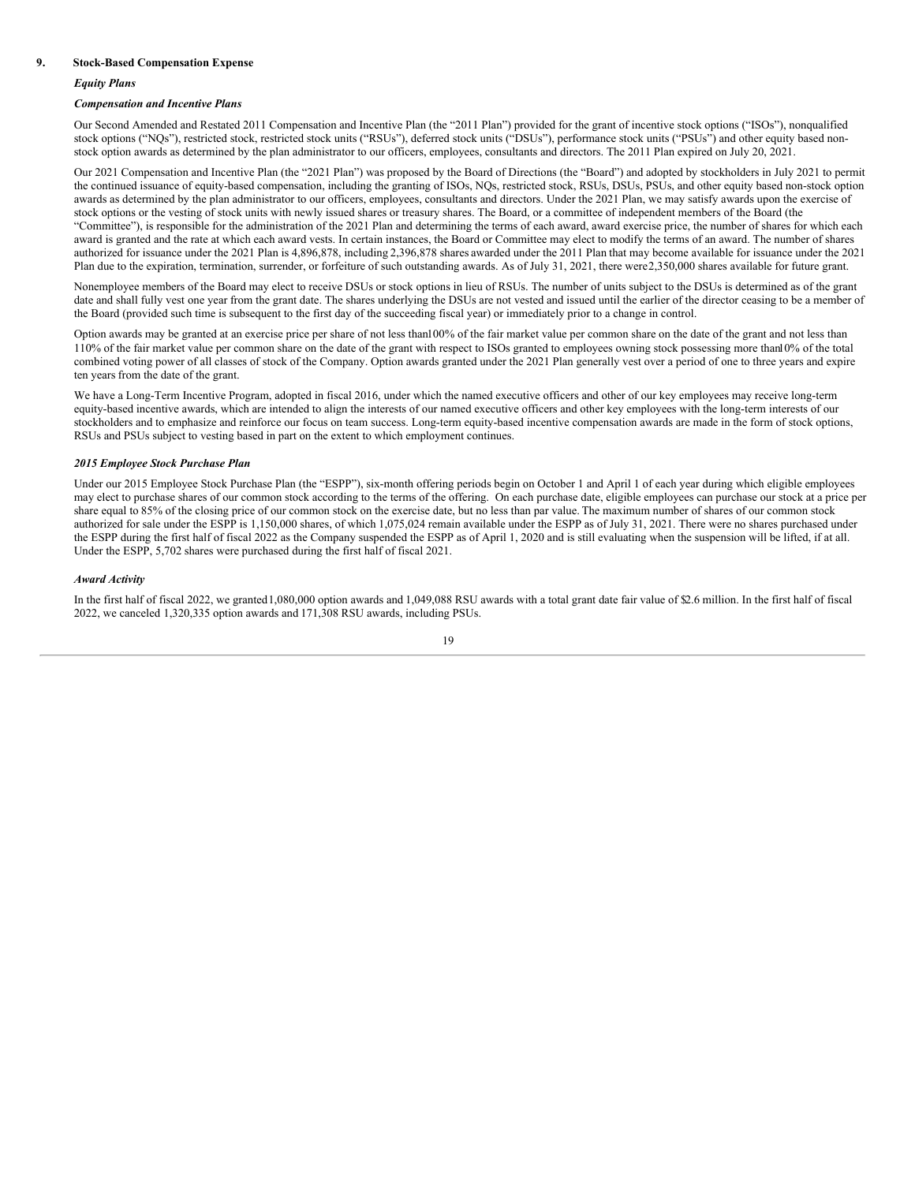#### **9. Stock-Based Compensation Expense**

#### *Equity Plans*

#### *Compensation and Incentive Plans*

Our Second Amended and Restated 2011 Compensation and Incentive Plan (the "2011 Plan") provided for the grant of incentive stock options ("ISOs"), nonqualified stock options ("NQs"), restricted stock, restricted stock units ("RSUs"), deferred stock units ("DSUs"), performance stock units ("PSUs") and other equity based nonstock option awards as determined by the plan administrator to our officers, employees, consultants and directors. The 2011 Plan expired on July 20, 2021.

Our 2021 Compensation and Incentive Plan (the "2021 Plan") was proposed by the Board of Directions (the "Board") and adopted by stockholders in July 2021 to permit the continued issuance of equity-based compensation, including the granting of ISOs, NQs, restricted stock, RSUs, DSUs, PSUs, and other equity based non-stock option awards as determined by the plan administrator to our officers, employees, consultants and directors. Under the 2021 Plan, we may satisfy awards upon the exercise of stock options or the vesting of stock units with newly issued shares or treasury shares. The Board, or a committee of independent members of the Board (the "Committee"), is responsible for the administration of the 2021 Plan and determining the terms of each award, award exercise price, the number of shares for which each award is granted and the rate at which each award vests. In certain instances, the Board or Committee may elect to modify the terms of an award. The number of shares authorized for issuance under the 2021 Plan is 4,896,878, including 2,396,878 shares awarded under the 2011 Plan that may become available for issuance under the 2021 Plan due to the expiration, termination, surrender, or forfeiture of such outstanding awards. As of July 31, 2021, there were2,350,000 shares available for future grant.

Nonemployee members of the Board may elect to receive DSUs or stock options in lieu of RSUs. The number of units subject to the DSUs is determined as of the grant date and shall fully vest one year from the grant date. The shares underlying the DSUs are not vested and issued until the earlier of the director ceasing to be a member of the Board (provided such time is subsequent to the first day of the succeeding fiscal year) or immediately prior to a change in control.

Option awards may be granted at an exercise price per share of not less than100% of the fair market value per common share on the date of the grant and not less than 110% of the fair market value per common share on the date of the grant with respect to ISOs granted to employees owning stock possessing more than10% of the total combined voting power of all classes of stock of the Company. Option awards granted under the 2021 Plan generally vest over a period of one to three years and expire ten years from the date of the grant.

We have a Long-Term Incentive Program, adopted in fiscal 2016, under which the named executive officers and other of our key employees may receive long-term equity-based incentive awards, which are intended to align the interests of our named executive officers and other key employees with the long-term interests of our stockholders and to emphasize and reinforce our focus on team success. Long-term equity-based incentive compensation awards are made in the form of stock options, RSUs and PSUs subject to vesting based in part on the extent to which employment continues.

#### *2015 Employee Stock Purchase Plan*

Under our 2015 Employee Stock Purchase Plan (the "ESPP"), six-month offering periods begin on October 1 and April 1 of each year during which eligible employees may elect to purchase shares of our common stock according to the terms of the offering. On each purchase date, eligible employees can purchase our stock at a price per share equal to 85% of the closing price of our common stock on the exercise date, but no less than par value. The maximum number of shares of our common stock authorized for sale under the ESPP is 1,150,000 shares, of which 1,075,024 remain available under the ESPP as of July 31, 2021. There were no shares purchased under the ESPP during the first half of fiscal 2022 as the Company suspended the ESPP as of April 1, 2020 and is still evaluating when the suspension will be lifted, if at all. Under the ESPP, 5,702 shares were purchased during the first half of fiscal 2021.

#### *Award Activity*

In the first half of fiscal 2022, we granted1,080,000 option awards and 1,049,088 RSU awards with a total grant date fair value of \$2.6 million. In the first half of fiscal 2022, we canceled 1,320,335 option awards and 171,308 RSU awards, including PSUs.

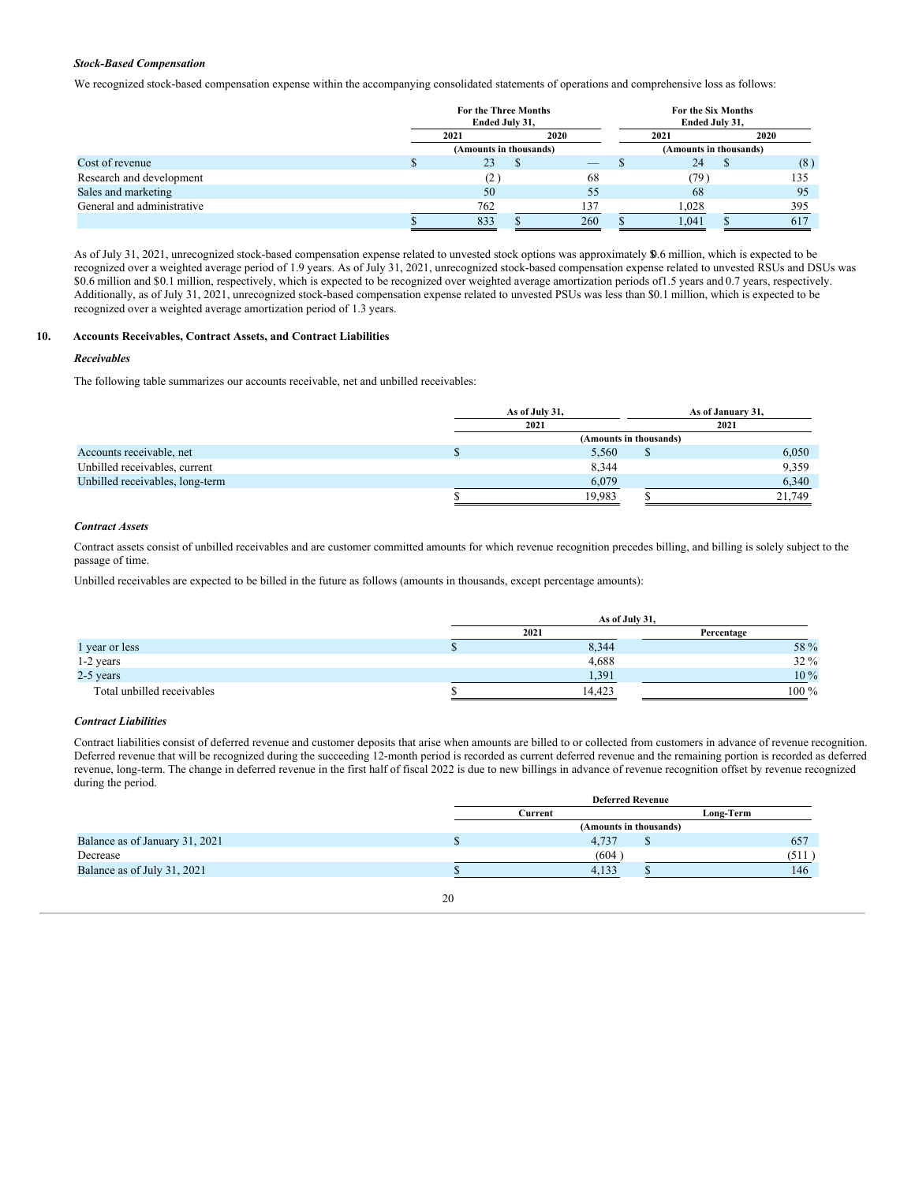#### *Stock-Based Compensation*

We recognized stock-based compensation expense within the accompanying consolidated statements of operations and comprehensive loss as follows:

|                            | <b>For the Three Months</b><br>Ended July 31, |      | For the Six Months<br>Ended July 31, |       |                        |     |  |
|----------------------------|-----------------------------------------------|------|--------------------------------------|-------|------------------------|-----|--|
|                            | 2021                                          | 2020 | 2021                                 |       | 2020                   |     |  |
|                            | (Amounts in thousands)                        |      |                                      |       | (Amounts in thousands) |     |  |
| Cost of revenue            | 23                                            |      | $-$                                  | 24    |                        | (8) |  |
| Research and development   | (2)                                           |      | 68                                   | (79)  |                        | 135 |  |
| Sales and marketing        | 50                                            |      | 55                                   | 68    |                        | 95  |  |
| General and administrative | 762                                           |      | 137                                  | 1,028 |                        | 395 |  |
|                            | 833                                           |      | 260                                  | 1.041 |                        | 617 |  |

As of July 31, 2021, unrecognized stock-based compensation expense related to unvested stock options was approximately \$0.6 million, which is expected to be recognized over a weighted average period of 1.9 years. As of July 31, 2021, unrecognized stock-based compensation expense related to unvested RSUs and DSUs was \$0.6 million and \$0.1 million, respectively, which is expected to be recognized over weighted average amortization periods of1.5 years and 0.7 years, respectively. Additionally, as of July 31, 2021, unrecognized stock-based compensation expense related to unvested PSUs was less than \$0.1 million, which is expected to be recognized over a weighted average amortization period of 1.3 years.

# **10. Accounts Receivables, Contract Assets, and Contract Liabilities**

#### *Receivables*

The following table summarizes our accounts receivable, net and unbilled receivables:

|                                 | As of July 31,         | As of January 31, |
|---------------------------------|------------------------|-------------------|
|                                 | 2021                   | 2021              |
|                                 | (Amounts in thousands) |                   |
| Accounts receivable, net        | 5,560                  | 6,050             |
| Unbilled receivables, current   | 8,344                  | 9,359             |
| Unbilled receivables, long-term | 6,079                  | 6,340             |
|                                 | 19.983                 | 21,749            |

#### *Contract Assets*

Contract assets consist of unbilled receivables and are customer committed amounts for which revenue recognition precedes billing, and billing is solely subject to the passage of time.

Unbilled receivables are expected to be billed in the future as follows (amounts in thousands, except percentage amounts):

|                            | As of July 31, |             |  |  |  |  |  |  |  |  |
|----------------------------|----------------|-------------|--|--|--|--|--|--|--|--|
|                            | 2021           | Percentage  |  |  |  |  |  |  |  |  |
| 1 year or less             | 8,344          | 58 %        |  |  |  |  |  |  |  |  |
| 1-2 years                  | 4,688          | <b>32</b> % |  |  |  |  |  |  |  |  |
| 2-5 years                  | 1,391          | 10 %        |  |  |  |  |  |  |  |  |
| Total unbilled receivables | 14.423         | $100\ \%$   |  |  |  |  |  |  |  |  |

#### *Contract Liabilities*

Contract liabilities consist of deferred revenue and customer deposits that arise when amounts are billed to or collected from customers in advance of revenue recognition. Deferred revenue that will be recognized during the succeeding 12-month period is recorded as current deferred revenue and the remaining portion is recorded as deferred revenue, long-term. The change in deferred revenue in the first half of fiscal 2022 is due to new billings in advance of revenue recognition offset by revenue recognized during the period.

|                                | <b>Deferred Revenue</b> |                        |   |           |  |  |  |
|--------------------------------|-------------------------|------------------------|---|-----------|--|--|--|
|                                |                         | Current                |   | Long-Term |  |  |  |
|                                |                         | (Amounts in thousands) |   |           |  |  |  |
| Balance as of January 31, 2021 |                         | 4.737                  | Φ | 657       |  |  |  |
| Decrease                       |                         | (604)                  |   | (511)     |  |  |  |
| Balance as of July 31, 2021    |                         | 4.133                  |   | 146       |  |  |  |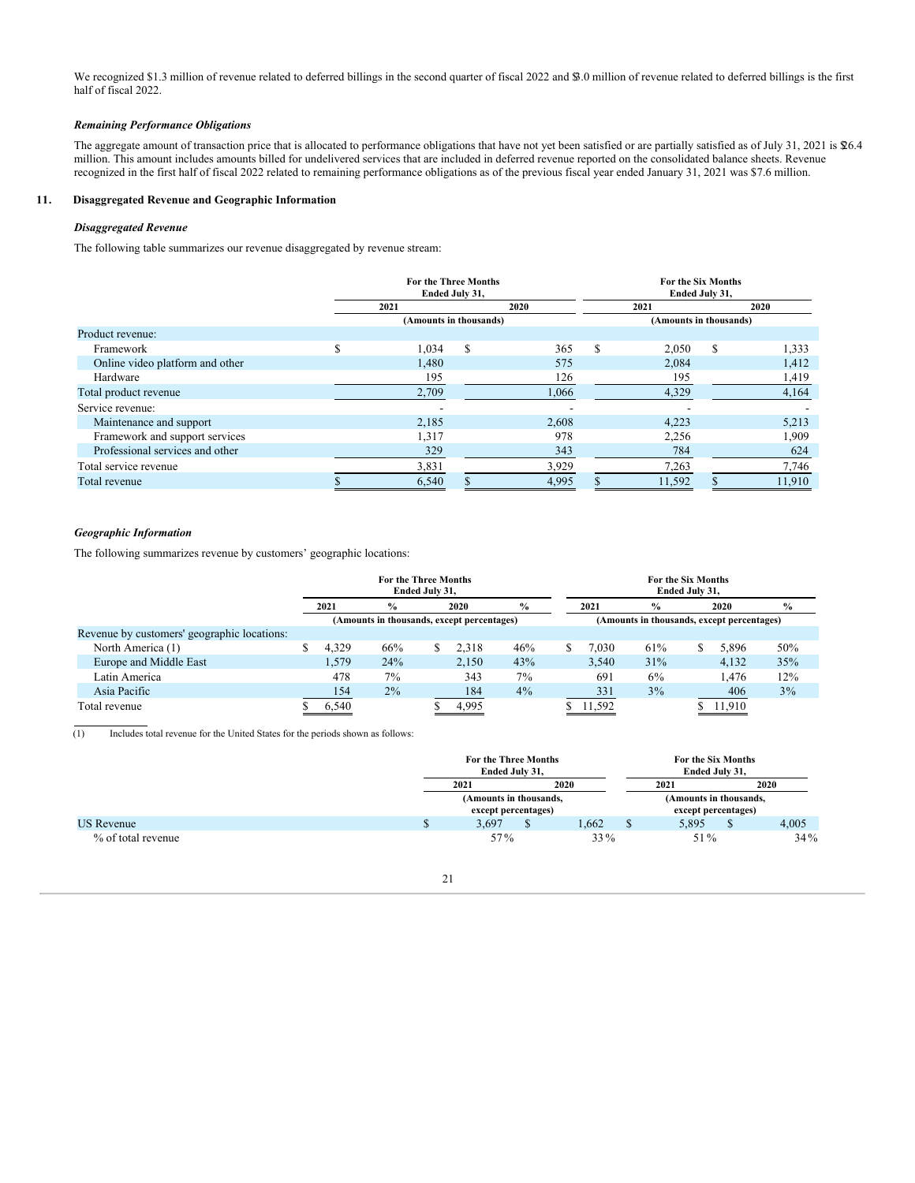We recognized \$1.3 million of revenue related to deferred billings in the second quarter of fiscal 2022 and \$3.0 million of revenue related to deferred billings is the first half of fiscal 2022.

#### *Remaining Performance Obligations*

The aggregate amount of transaction price that is allocated to performance obligations that have not yet been satisfied or are partially satisfied as of July 31, 2021 is \$6.4 million. This amount includes amounts billed for undelivered services that are included in deferred revenue reported on the consolidated balance sheets. Revenue recognized in the first half of fiscal 2022 related to remaining performance obligations as of the previous fiscal year ended January 31, 2021 was \$7.6 million.

### **11. Disaggregated Revenue and Geographic Information**

#### *Disaggregated Revenue*

The following table summarizes our revenue disaggregated by revenue stream:

|                                 |   | For the Three Months   | Ended July 31, |       |     | For the Six Months<br>Ended July 31, |   |        |
|---------------------------------|---|------------------------|----------------|-------|-----|--------------------------------------|---|--------|
|                                 |   | 2021                   |                | 2020  |     | 2021                                 |   | 2020   |
|                                 |   | (Amounts in thousands) |                |       |     | (Amounts in thousands)               |   |        |
| Product revenue:                |   |                        |                |       |     |                                      |   |        |
| Framework                       | S | 1,034                  | <sup>\$</sup>  | 365   | \$. | 2,050                                | S | 1,333  |
| Online video platform and other |   | 1,480                  |                | 575   |     | 2,084                                |   | 1,412  |
| Hardware                        |   | 195                    |                | 126   |     | 195                                  |   | 1,419  |
| Total product revenue           |   | 2,709                  |                | 1,066 |     | 4,329                                |   | 4,164  |
| Service revenue:                |   |                        |                |       |     |                                      |   |        |
| Maintenance and support         |   | 2,185                  |                | 2,608 |     | 4,223                                |   | 5,213  |
| Framework and support services  |   | 1,317                  |                | 978   |     | 2,256                                |   | 1,909  |
| Professional services and other |   | 329                    |                | 343   |     | 784                                  |   | 624    |
| Total service revenue           |   | 3,831                  |                | 3,929 |     | 7,263                                |   | 7,746  |
| Total revenue                   |   | 6,540                  |                | 4,995 |     | 11,592                               |   | 11,910 |

## *Geographic Information*

The following summarizes revenue by customers' geographic locations:

|                                             |       | <b>For the Three Months</b><br>Ended July 31, |      |               | For the Six Months<br>Ended July 31,       |      |               |     |      |        |     |  |
|---------------------------------------------|-------|-----------------------------------------------|------|---------------|--------------------------------------------|------|---------------|-----|------|--------|-----|--|
|                                             | 2021  | $\frac{0}{0}$                                 | 2020 | $\frac{6}{6}$ |                                            | 2021 | $\frac{0}{0}$ |     | 2020 | $\%$   |     |  |
|                                             |       | (Amounts in thousands, except percentages)    |      |               | (Amounts in thousands, except percentages) |      |               |     |      |        |     |  |
| Revenue by customers' geographic locations: |       |                                               |      |               |                                            |      |               |     |      |        |     |  |
| North America (1)                           | 4.329 | 66%                                           | S    | 2,318         | 46%                                        |      | 7.030         | 61% |      | 5,896  | 50% |  |
| Europe and Middle East                      | 1.579 | 24%                                           |      | 2.150         | 43%                                        |      | 3.540         | 31% |      | 4.132  | 35% |  |
| Latin America                               | 478   | 7%                                            |      | 343           | 7%                                         |      | 691           | 6%  |      | 1.476  | 12% |  |
| Asia Pacific                                | 154   | $2\%$                                         |      | 184           | $4\%$                                      |      | 331           | 3%  |      | 406    | 3%  |  |
| Total revenue                               | 6.540 |                                               |      | 4,995         |                                            |      | 11,592        |     |      | 11,910 |     |  |

(1) Includes total revenue for the United States for the periods shown as follows:

|                    |    | For the Three Months<br>Ended July 31,        |   |       |   | For the Six Months<br>Ended July 31,          |  |        |  |  |
|--------------------|----|-----------------------------------------------|---|-------|---|-----------------------------------------------|--|--------|--|--|
|                    |    | 2020<br>2021                                  |   |       |   | 2021                                          |  | 2020   |  |  |
|                    |    | (Amounts in thousands,<br>except percentages) |   |       |   | (Amounts in thousands,<br>except percentages) |  |        |  |  |
| <b>US Revenue</b>  | ٠D | 3.697                                         | D | 1.662 | D | 5.895                                         |  | 4,005  |  |  |
| % of total revenue |    | 57%                                           |   | 33 %  |   | 51%                                           |  | $34\%$ |  |  |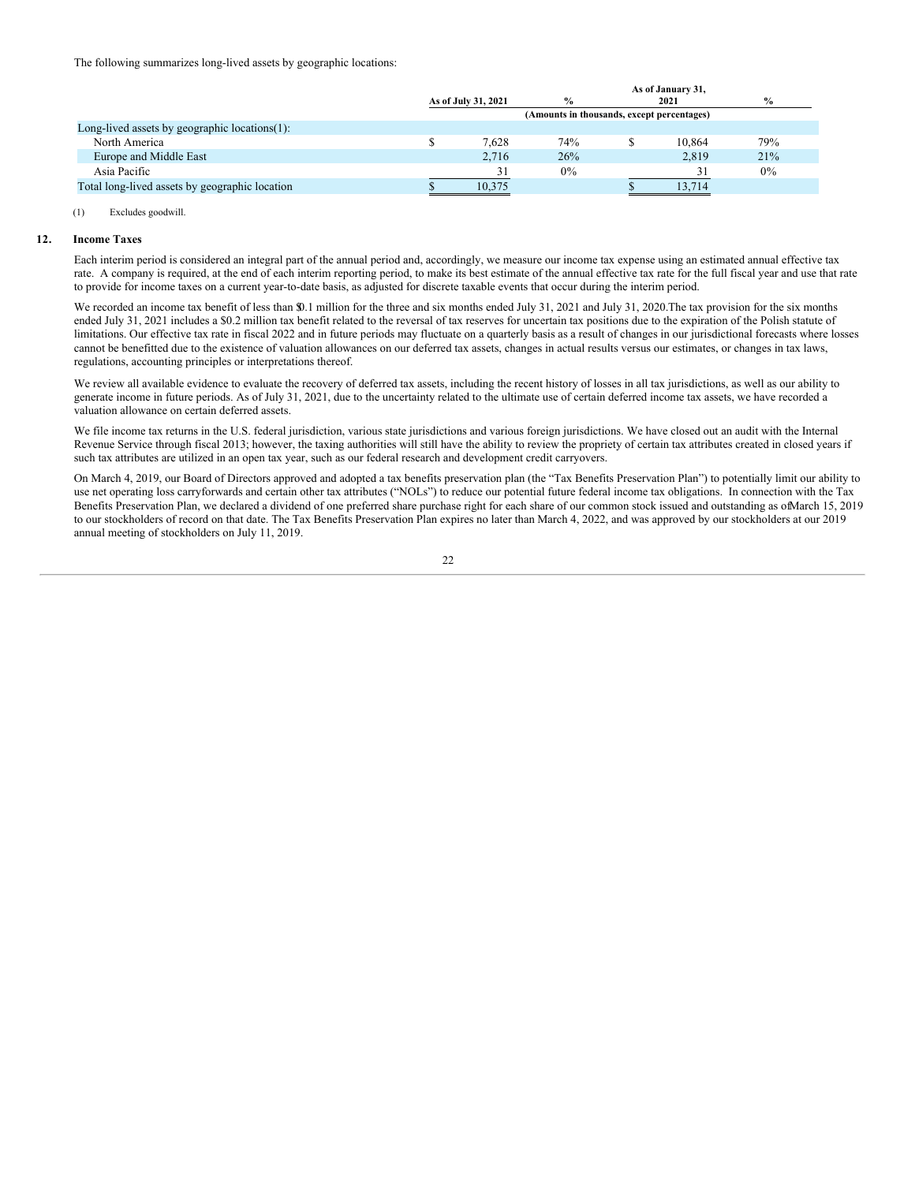The following summarizes long-lived assets by geographic locations:

|                                                   |                                            | As of January 31, |  |        |               |  |  |  |  |  |  |  |
|---------------------------------------------------|--------------------------------------------|-------------------|--|--------|---------------|--|--|--|--|--|--|--|
|                                                   | As of July 31, 2021                        | $\frac{0}{0}$     |  | 2021   | $\frac{6}{9}$ |  |  |  |  |  |  |  |
|                                                   | (Amounts in thousands, except percentages) |                   |  |        |               |  |  |  |  |  |  |  |
| Long-lived assets by geographic locations $(1)$ : |                                            |                   |  |        |               |  |  |  |  |  |  |  |
| North America                                     | 7.628                                      | 74%               |  | 10.864 | 79%           |  |  |  |  |  |  |  |
| Europe and Middle East                            | 2.716                                      | 26%               |  | 2.819  | 21%           |  |  |  |  |  |  |  |
| Asia Pacific                                      |                                            | $0\%$             |  | 31     | $0\%$         |  |  |  |  |  |  |  |
| Total long-lived assets by geographic location    | 10.375                                     |                   |  | 13.714 |               |  |  |  |  |  |  |  |
|                                                   |                                            |                   |  |        |               |  |  |  |  |  |  |  |

#### (1) Excludes goodwill.

#### **12. Income Taxes**

Each interim period is considered an integral part of the annual period and, accordingly, we measure our income tax expense using an estimated annual effective tax rate. A company is required, at the end of each interim reporting period, to make its best estimate of the annual effective tax rate for the full fiscal year and use that rate to provide for income taxes on a current year-to-date basis, as adjusted for discrete taxable events that occur during the interim period.

We recorded an income tax benefit of less than \$0.1 million for the three and six months ended July 31, 2021 and July 31, 2020. The tax provision for the six months ended July 31, 2021 includes a \$0.2 million tax benefit related to the reversal of tax reserves for uncertain tax positions due to the expiration of the Polish statute of limitations. Our effective tax rate in fiscal 2022 and in future periods may fluctuate on a quarterly basis as a result of changes in our jurisdictional forecasts where losses cannot be benefitted due to the existence of valuation allowances on our deferred tax assets, changes in actual results versus our estimates, or changes in tax laws, regulations, accounting principles or interpretations thereof.

We review all available evidence to evaluate the recovery of deferred tax assets, including the recent history of losses in all tax jurisdictions, as well as our ability to generate income in future periods. As of July 31, 2021, due to the uncertainty related to the ultimate use of certain deferred income tax assets, we have recorded a valuation allowance on certain deferred assets.

We file income tax returns in the U.S. federal jurisdiction, various state jurisdictions and various foreign jurisdictions. We have closed out an audit with the Internal Revenue Service through fiscal 2013; however, the taxing authorities will still have the ability to review the propriety of certain tax attributes created in closed years if such tax attributes are utilized in an open tax year, such as our federal research and development credit carryovers.

On March 4, 2019, our Board of Directors approved and adopted a tax benefits preservation plan (the "Tax Benefits Preservation Plan") to potentially limit our ability to use net operating loss carryforwards and certain other tax attributes ("NOLs") to reduce our potential future federal income tax obligations. In connection with the Tax Benefits Preservation Plan, we declared a dividend of one preferred share purchase right for each share of our common stock issued and outstanding as ofMarch 15, 2019 to our stockholders of record on that date. The Tax Benefits Preservation Plan expires no later than March 4, 2022, and was approved by our stockholders at our 2019 annual meeting of stockholders on July 11, 2019.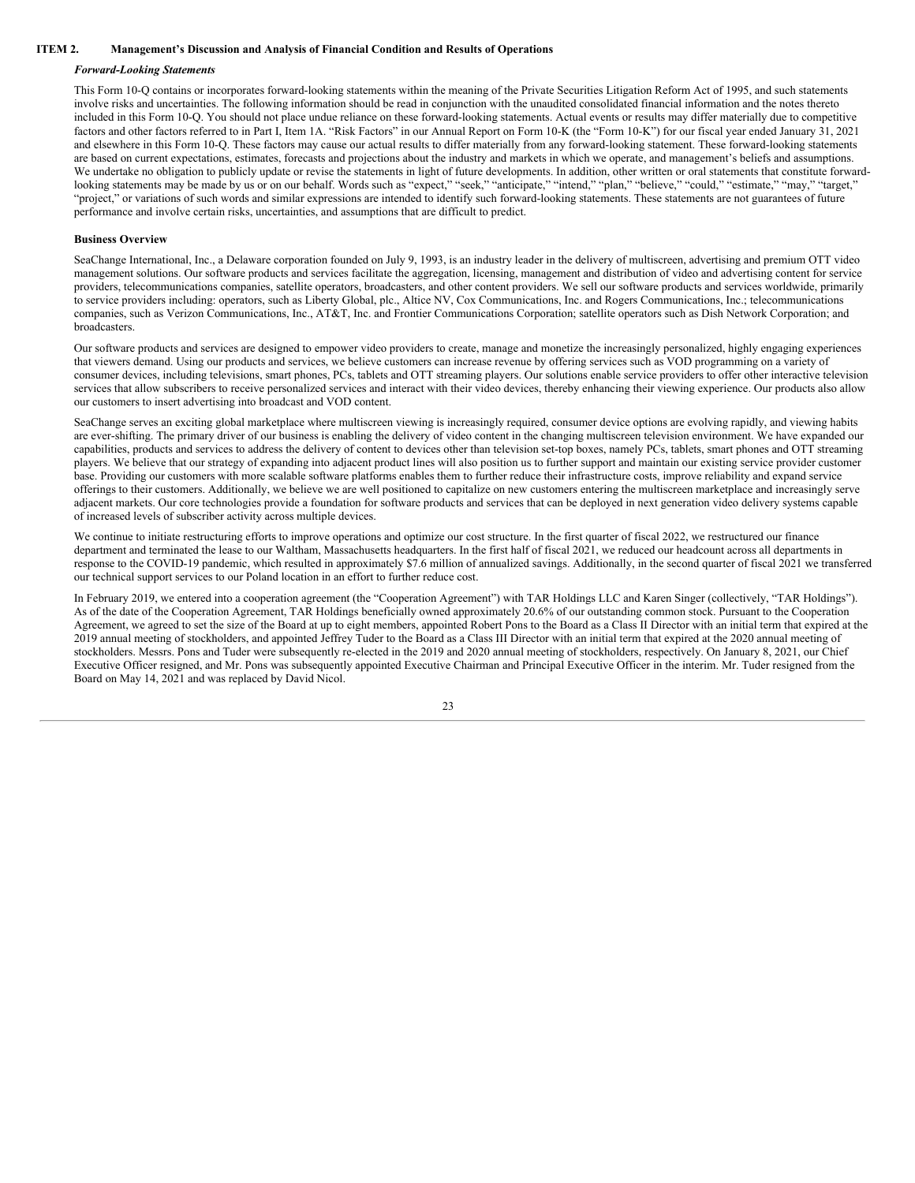#### **ITEM 2. Management's Discussion and Analysis of Financial Condition and Results of Operations**

#### <span id="page-23-0"></span>*Forward-Looking Statements*

This Form 10-Q contains or incorporates forward-looking statements within the meaning of the Private Securities Litigation Reform Act of 1995, and such statements involve risks and uncertainties. The following information should be read in conjunction with the unaudited consolidated financial information and the notes thereto included in this Form 10-Q. You should not place undue reliance on these forward-looking statements. Actual events or results may differ materially due to competitive factors and other factors referred to in Part I, Item 1A. "Risk Factors" in our Annual Report on Form 10-K (the "Form 10-K") for our fiscal year ended January 31, 2021 and elsewhere in this Form 10-Q. These factors may cause our actual results to differ materially from any forward-looking statement. These forward-looking statements are based on current expectations, estimates, forecasts and projections about the industry and markets in which we operate, and management's beliefs and assumptions. We undertake no obligation to publicly update or revise the statements in light of future developments. In addition, other written or oral statements that constitute forwardlooking statements may be made by us or on our behalf. Words such as "expect," "seek," "anticipate," "intend," "plan," "believe," "could," "estimate," "may," "target," "project," or variations of such words and similar expressions are intended to identify such forward-looking statements. These statements are not guarantees of future performance and involve certain risks, uncertainties, and assumptions that are difficult to predict.

#### **Business Overview**

SeaChange International, Inc., a Delaware corporation founded on July 9, 1993, is an industry leader in the delivery of multiscreen, advertising and premium OTT video management solutions. Our software products and services facilitate the aggregation, licensing, management and distribution of video and advertising content for service providers, telecommunications companies, satellite operators, broadcasters, and other content providers. We sell our software products and services worldwide, primarily to service providers including: operators, such as Liberty Global, plc., Altice NV, Cox Communications, Inc. and Rogers Communications, Inc.; telecommunications companies, such as Verizon Communications, Inc., AT&T, Inc. and Frontier Communications Corporation; satellite operators such as Dish Network Corporation; and broadcasters.

Our software products and services are designed to empower video providers to create, manage and monetize the increasingly personalized, highly engaging experiences that viewers demand. Using our products and services, we believe customers can increase revenue by offering services such as VOD programming on a variety of consumer devices, including televisions, smart phones, PCs, tablets and OTT streaming players. Our solutions enable service providers to offer other interactive television services that allow subscribers to receive personalized services and interact with their video devices, thereby enhancing their viewing experience. Our products also allow our customers to insert advertising into broadcast and VOD content.

SeaChange serves an exciting global marketplace where multiscreen viewing is increasingly required, consumer device options are evolving rapidly, and viewing habits are ever-shifting. The primary driver of our business is enabling the delivery of video content in the changing multiscreen television environment. We have expanded our capabilities, products and services to address the delivery of content to devices other than television set-top boxes, namely PCs, tablets, smart phones and OTT streaming players. We believe that our strategy of expanding into adjacent product lines will also position us to further support and maintain our existing service provider customer base. Providing our customers with more scalable software platforms enables them to further reduce their infrastructure costs, improve reliability and expand service offerings to their customers. Additionally, we believe we are well positioned to capitalize on new customers entering the multiscreen marketplace and increasingly serve adjacent markets. Our core technologies provide a foundation for software products and services that can be deployed in next generation video delivery systems capable of increased levels of subscriber activity across multiple devices.

We continue to initiate restructuring efforts to improve operations and optimize our cost structure. In the first quarter of fiscal 2022, we restructured our finance department and terminated the lease to our Waltham, Massachusetts headquarters. In the first half of fiscal 2021, we reduced our headcount across all departments in response to the COVID-19 pandemic, which resulted in approximately \$7.6 million of annualized savings. Additionally, in the second quarter of fiscal 2021 we transferred our technical support services to our Poland location in an effort to further reduce cost.

In February 2019, we entered into a cooperation agreement (the "Cooperation Agreement") with TAR Holdings LLC and Karen Singer (collectively, "TAR Holdings"). As of the date of the Cooperation Agreement, TAR Holdings beneficially owned approximately 20.6% of our outstanding common stock. Pursuant to the Cooperation Agreement, we agreed to set the size of the Board at up to eight members, appointed Robert Pons to the Board as a Class II Director with an initial term that expired at the 2019 annual meeting of stockholders, and appointed Jeffrey Tuder to the Board as a Class III Director with an initial term that expired at the 2020 annual meeting of stockholders. Messrs. Pons and Tuder were subsequently re-elected in the 2019 and 2020 annual meeting of stockholders, respectively. On January 8, 2021, our Chief Executive Officer resigned, and Mr. Pons was subsequently appointed Executive Chairman and Principal Executive Officer in the interim. Mr. Tuder resigned from the Board on May 14, 2021 and was replaced by David Nicol.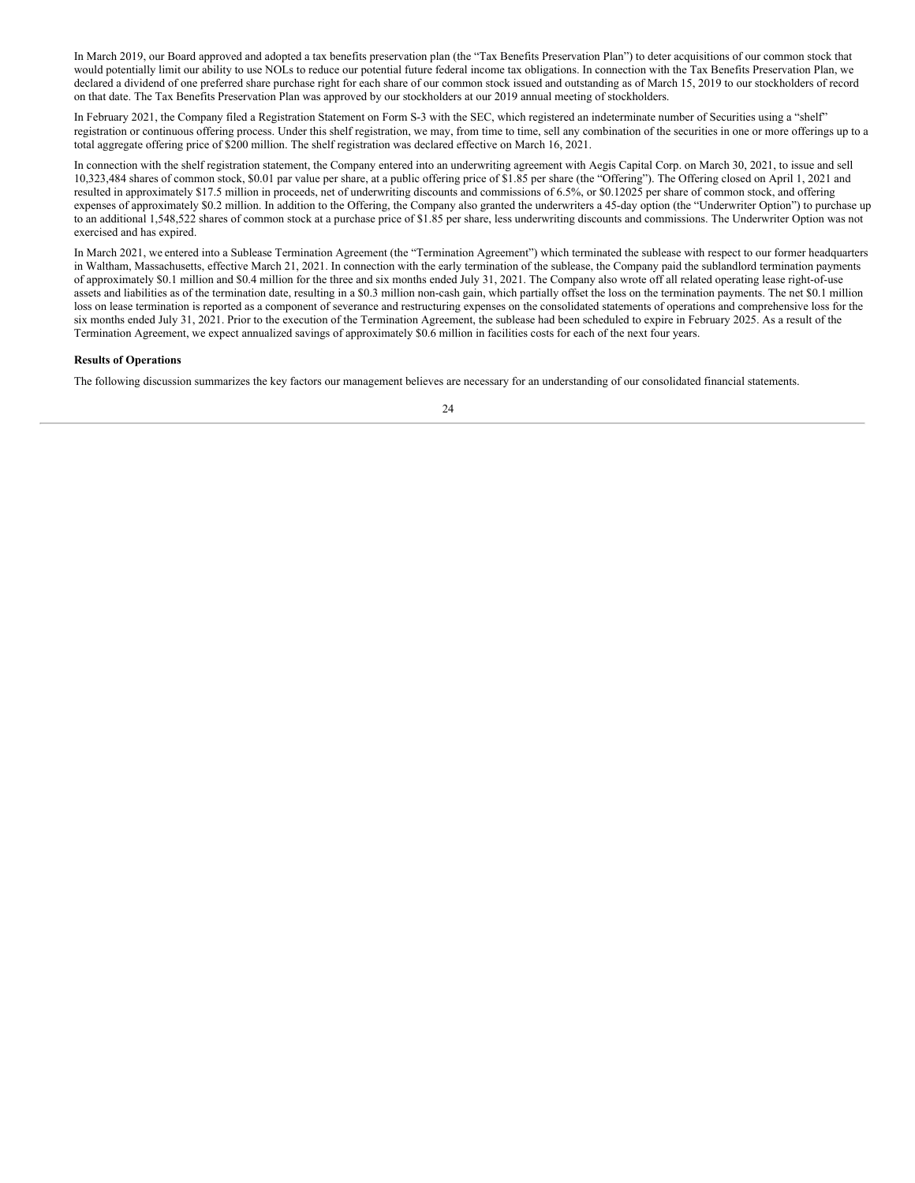In March 2019, our Board approved and adopted a tax benefits preservation plan (the "Tax Benefits Preservation Plan") to deter acquisitions of our common stock that would potentially limit our ability to use NOLs to reduce our potential future federal income tax obligations. In connection with the Tax Benefits Preservation Plan, we declared a dividend of one preferred share purchase right for each share of our common stock issued and outstanding as of March 15, 2019 to our stockholders of record on that date. The Tax Benefits Preservation Plan was approved by our stockholders at our 2019 annual meeting of stockholders.

In February 2021, the Company filed a Registration Statement on Form S-3 with the SEC, which registered an indeterminate number of Securities using a "shelf" registration or continuous offering process. Under this shelf registration, we may, from time to time, sell any combination of the securities in one or more offerings up to a total aggregate offering price of \$200 million. The shelf registration was declared effective on March 16, 2021.

In connection with the shelf registration statement, the Company entered into an underwriting agreement with Aegis Capital Corp. on March 30, 2021, to issue and sell 10,323,484 shares of common stock, \$0.01 par value per share, at a public offering price of \$1.85 per share (the "Offering"). The Offering closed on April 1, 2021 and resulted in approximately \$17.5 million in proceeds, net of underwriting discounts and commissions of 6.5%, or \$0.12025 per share of common stock, and offering expenses of approximately \$0.2 million. In addition to the Offering, the Company also granted the underwriters a 45-day option (the "Underwriter Option") to purchase up to an additional 1,548,522 shares of common stock at a purchase price of \$1.85 per share, less underwriting discounts and commissions. The Underwriter Option was not exercised and has expired.

In March 2021, we entered into a Sublease Termination Agreement (the "Termination Agreement") which terminated the sublease with respect to our former headquarters in Waltham, Massachusetts, effective March 21, 2021. In connection with the early termination of the sublease, the Company paid the sublandlord termination payments of approximately \$0.1 million and \$0.4 million for the three and six months ended July 31, 2021. The Company also wrote off all related operating lease right-of-use assets and liabilities as of the termination date, resulting in a \$0.3 million non-cash gain, which partially offset the loss on the termination payments. The net \$0.1 million loss on lease termination is reported as a component of severance and restructuring expenses on the consolidated statements of operations and comprehensive loss for the six months ended July 31, 2021. Prior to the execution of the Termination Agreement, the sublease had been scheduled to expire in February 2025. As a result of the Termination Agreement, we expect annualized savings of approximately \$0.6 million in facilities costs for each of the next four years.

#### **Results of Operations**

The following discussion summarizes the key factors our management believes are necessary for an understanding of our consolidated financial statements.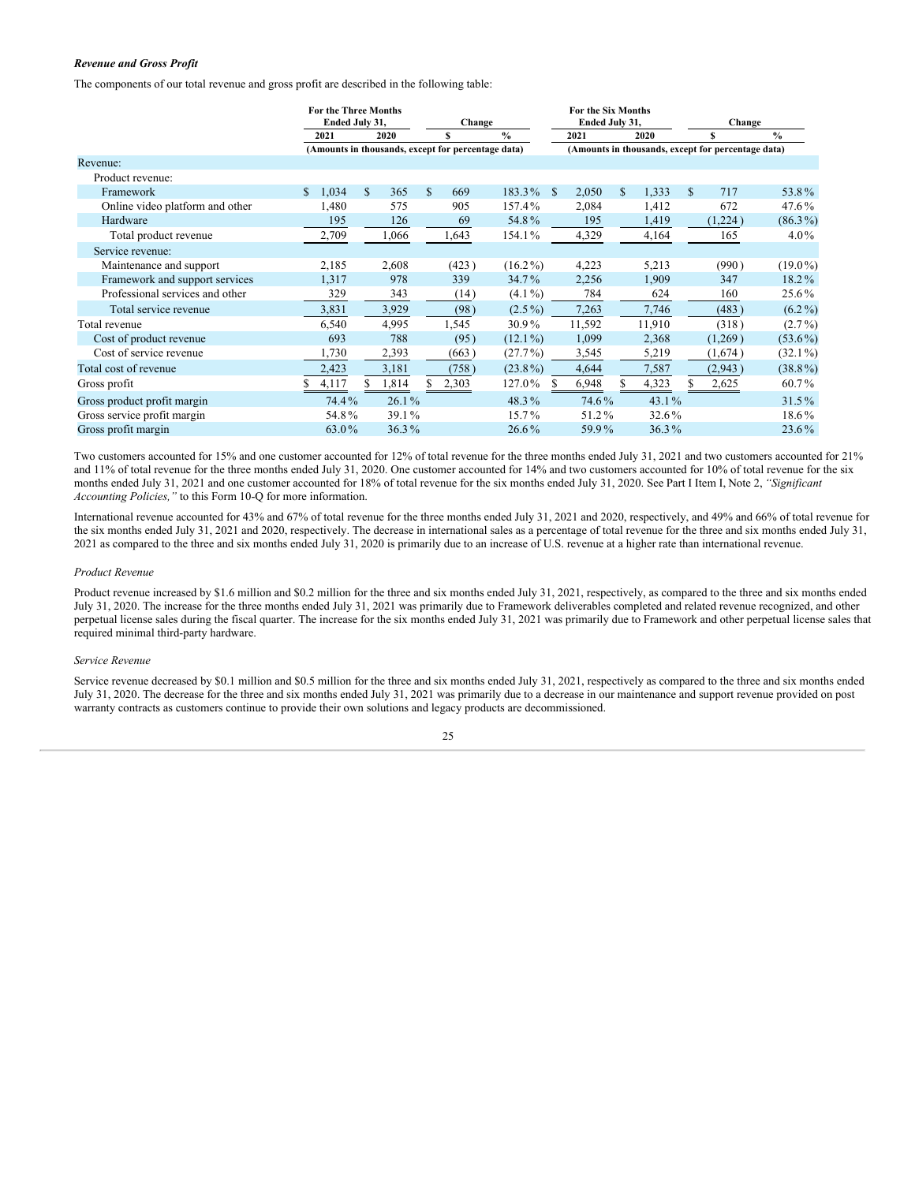#### *Revenue and Gross Profit*

The components of our total revenue and gross profit are described in the following table:

|                                 | <b>For the Three Months</b><br>Ended July 31, |             | Change                                             |                        | For the Six Months<br>Ended July 31, |          | Change                                             |               |
|---------------------------------|-----------------------------------------------|-------------|----------------------------------------------------|------------------------|--------------------------------------|----------|----------------------------------------------------|---------------|
|                                 | 2021                                          | 2020        |                                                    | $\frac{0}{0}$          | 2021                                 | 2020     | \$                                                 | $\frac{6}{6}$ |
|                                 |                                               |             | (Amounts in thousands, except for percentage data) |                        |                                      |          | (Amounts in thousands, except for percentage data) |               |
| Revenue:                        |                                               |             |                                                    |                        |                                      |          |                                                    |               |
| Product revenue:                |                                               |             |                                                    |                        |                                      |          |                                                    |               |
| Framework                       | 1,034<br>\$                                   | \$<br>365   | \$<br>669                                          | 183.3%<br><sup>S</sup> | 2,050<br>S.                          | 1,333    | 717<br>S.                                          | 53.8%         |
| Online video platform and other | 1,480                                         | 575         | 905                                                | 157.4%                 | 2,084                                | 1,412    | 672                                                | 47.6%         |
| Hardware                        | 195                                           | 126         | 69                                                 | 54.8%                  | 195                                  | 1,419    | (1,224)                                            | $(86.3\%)$    |
| Total product revenue           | 2,709                                         | 1,066       | 1,643                                              | 154.1%                 | 4,329                                | 4,164    | 165                                                | $4.0\%$       |
| Service revenue:                |                                               |             |                                                    |                        |                                      |          |                                                    |               |
| Maintenance and support         | 2,185                                         | 2,608       | (423)                                              | $(16.2\%)$             | 4,223                                | 5,213    | (990)                                              | $(19.0\%)$    |
| Framework and support services  | 1,317                                         | 978         | 339                                                | 34.7%                  | 2,256                                | 1,909    | 347                                                | $18.2\%$      |
| Professional services and other | 329                                           | 343         | (14)                                               | $(4.1\%)$              | 784                                  | 624      | 160                                                | 25.6%         |
| Total service revenue           | 3,831                                         | 3,929       | (98)                                               | $(2.5\%)$              | 7,263                                | 7,746    | (483)                                              | $(6.2\%)$     |
| Total revenue                   | 6,540                                         | 4,995       | 1,545                                              | 30.9%                  | 11,592                               | 11,910   | (318)                                              | $(2.7\%)$     |
| Cost of product revenue         | 693                                           | 788         | (95)                                               | $(12.1\%)$             | 1,099                                | 2,368    | (1,269)                                            | $(53.6\%)$    |
| Cost of service revenue         | 1,730                                         | 2,393       | (663)                                              | $(27.7\%)$             | 3,545                                | 5,219    | (1,674)                                            | $(32.1\%)$    |
| Total cost of revenue           | 2,423                                         | 3,181       | (758)                                              | $(23.8\%)$             | 4,644                                | 7,587    | (2,943)                                            | $(38.8\%)$    |
| Gross profit                    | 4,117                                         | S.<br>1,814 | S.<br>2,303                                        | 127.0%<br>\$.          | 6,948                                | 4,323    | 2,625                                              | 60.7%         |
| Gross product profit margin     | 74.4%                                         | $26.1\%$    |                                                    | 48.3%                  | 74.6%                                | 43.1%    |                                                    | $31.5\%$      |
| Gross service profit margin     | 54.8%                                         | 39.1%       |                                                    | $15.7\%$               | 51.2%                                | 32.6%    |                                                    | 18.6%         |
| Gross profit margin             | 63.0%                                         | 36.3%       |                                                    | 26.6%                  | 59.9%                                | $36.3\%$ |                                                    | 23.6%         |

Two customers accounted for 15% and one customer accounted for 12% of total revenue for the three months ended July 31, 2021 and two customers accounted for 21% and 11% of total revenue for the three months ended July 31, 2020. One customer accounted for 14% and two customers accounted for 10% of total revenue for the six months ended July 31, 2021 and one customer accounted for 18% of total revenue for the six months ended July 31, 2020. See Part I Item I, Note 2, *"Significant Accounting Policies,"* to this Form 10-Q for more information.

International revenue accounted for 43% and 67% of total revenue for the three months ended July 31, 2021 and 2020, respectively, and 49% and 66% of total revenue for the six months ended July 31, 2021 and 2020, respectively. The decrease in international sales as a percentage of total revenue for the three and six months ended July 31, 2021 as compared to the three and six months ended July 31, 2020 is primarily due to an increase of U.S. revenue at a higher rate than international revenue.

#### *Product Revenue*

Product revenue increased by \$1.6 million and \$0.2 million for the three and six months ended July 31, 2021, respectively, as compared to the three and six months ended July 31, 2020. The increase for the three months ended July 31, 2021 was primarily due to Framework deliverables completed and related revenue recognized, and other perpetual license sales during the fiscal quarter. The increase for the six months ended July 31, 2021 was primarily due to Framework and other perpetual license sales that required minimal third-party hardware.

#### *Service Revenue*

Service revenue decreased by \$0.1 million and \$0.5 million for the three and six months ended July 31, 2021, respectively as compared to the three and six months ended July 31, 2020. The decrease for the three and six months ended July 31, 2021 was primarily due to a decrease in our maintenance and support revenue provided on post warranty contracts as customers continue to provide their own solutions and legacy products are decommissioned.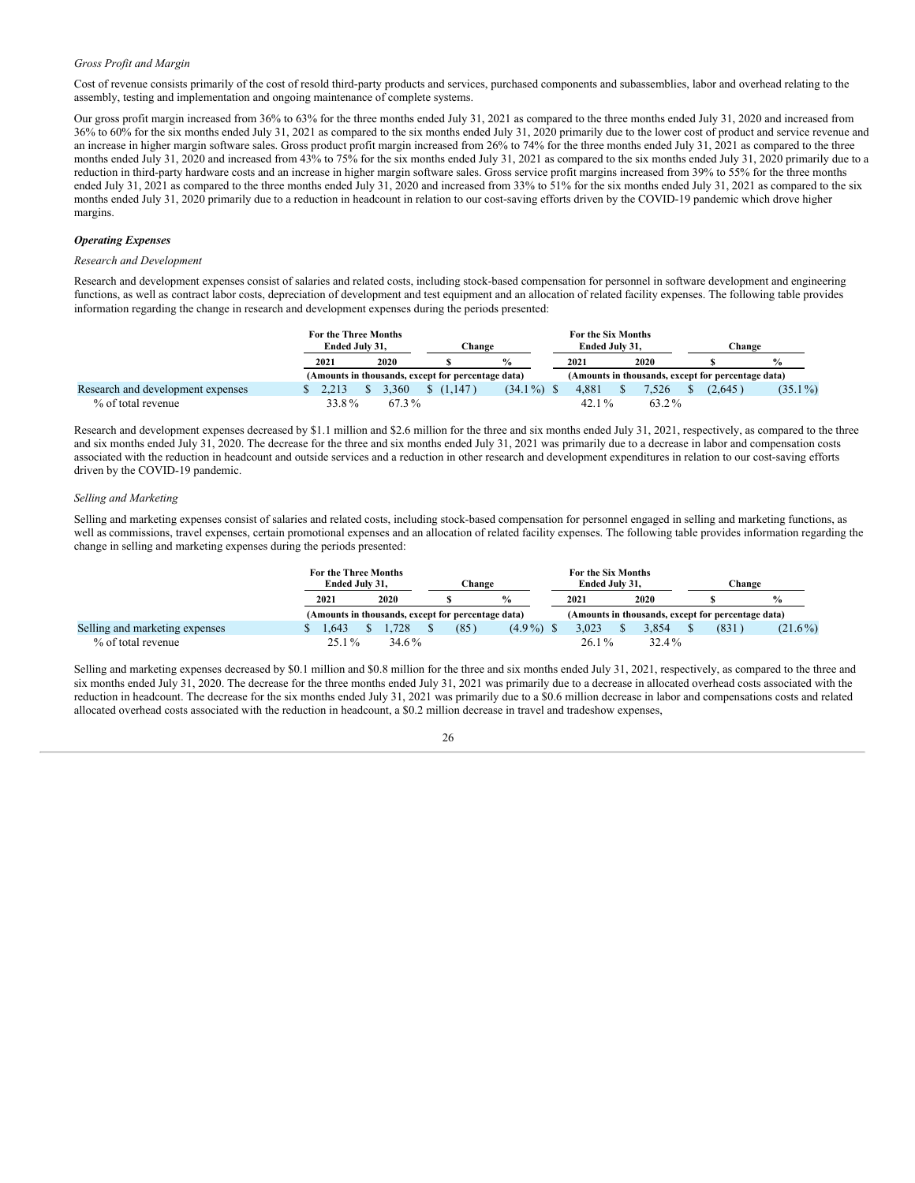#### *Gross Profit and Margin*

Cost of revenue consists primarily of the cost of resold third-party products and services, purchased components and subassemblies, labor and overhead relating to the assembly, testing and implementation and ongoing maintenance of complete systems.

Our gross profit margin increased from 36% to 63% for the three months ended July 31, 2021 as compared to the three months ended July 31, 2020 and increased from 36% to 60% for the six months ended July 31, 2021 as compared to the six months ended July 31, 2020 primarily due to the lower cost of product and service revenue and an increase in higher margin software sales. Gross product profit margin increased from 26% to 74% for the three months ended July 31, 2021 as compared to the three months ended July 31, 2020 and increased from 43% to 75% for the six months ended July 31, 2021 as compared to the six months ended July 31, 2020 primarily due to a reduction in third-party hardware costs and an increase in higher margin software sales. Gross service profit margins increased from 39% to 55% for the three months ended July 31, 2021 as compared to the three months ended July 31, 2020 and increased from 33% to 51% for the six months ended July 31, 2021 as compared to the six months ended July 31, 2020 primarily due to a reduction in headcount in relation to our cost-saving efforts driven by the COVID-19 pandemic which drove higher margins.

#### *Operating Expenses*

#### *Research and Development*

Research and development expenses consist of salaries and related costs, including stock-based compensation for personnel in software development and engineering functions, as well as contract labor costs, depreciation of development and test equipment and an allocation of related facility expenses. The following table provides information regarding the change in research and development expenses during the periods presented:

|                                   | For the Three Months<br>Ended July 31, |       | Change    |                                                    |  |  | For the Six Months<br>Ended July 31. |       | <b>Change</b>                                      |               |
|-----------------------------------|----------------------------------------|-------|-----------|----------------------------------------------------|--|--|--------------------------------------|-------|----------------------------------------------------|---------------|
|                                   | 2021                                   | 2020  |           | $\frac{0}{0}$                                      |  |  | 2021                                 | 2020  |                                                    | $\frac{0}{0}$ |
|                                   |                                        |       |           | (Amounts in thousands, except for percentage data) |  |  |                                      |       | (Amounts in thousands, except for percentage data) |               |
| Research and development expenses | 2.213                                  | 3.360 | \$(1.147) | $(34.1\%)$                                         |  |  | 4.881                                | 7.526 | (2.645)                                            | $(35.1\%)$    |
| % of total revenue                | 33.8%                                  | 67.3% |           |                                                    |  |  | $42.1\%$                             | 63.2% |                                                    |               |

Research and development expenses decreased by \$1.1 million and \$2.6 million for the three and six months ended July 31, 2021, respectively, as compared to the three and six months ended July 31, 2020. The decrease for the three and six months ended July 31, 2021 was primarily due to a decrease in labor and compensation costs associated with the reduction in headcount and outside services and a reduction in other research and development expenditures in relation to our cost-saving efforts driven by the COVID-19 pandemic.

#### *Selling and Marketing*

Selling and marketing expenses consist of salaries and related costs, including stock-based compensation for personnel engaged in selling and marketing functions, as well as commissions, travel expenses, certain promotional expenses and an allocation of related facility expenses. The following table provides information regarding the change in selling and marketing expenses during the periods presented:

|                                | For the Three Months<br>Ended July 31. |  |       |  |                                                    | Change        | For the Six Months<br>Ended July 31. |             | <b>Change</b>                                      |               |  |
|--------------------------------|----------------------------------------|--|-------|--|----------------------------------------------------|---------------|--------------------------------------|-------------|----------------------------------------------------|---------------|--|
|                                | 2021                                   |  | 2020  |  |                                                    | $\frac{0}{0}$ | 2021                                 | <b>2020</b> |                                                    | $\frac{6}{9}$ |  |
|                                |                                        |  |       |  | (Amounts in thousands, except for percentage data) |               |                                      |             | (Amounts in thousands, except for percentage data) |               |  |
| Selling and marketing expenses | .643                                   |  | .728  |  | (85)                                               | $(4.9\%)$     | 3.023                                | 3.854       | (831)                                              | $(21.6\%)$    |  |
| % of total revenue             | $25.1\%$                               |  | 34.6% |  |                                                    |               | $26.1\%$                             | 32.4%       |                                                    |               |  |

Selling and marketing expenses decreased by \$0.1 million and \$0.8 million for the three and six months ended July 31, 2021, respectively, as compared to the three and six months ended July 31, 2020. The decrease for the three months ended July 31, 2021 was primarily due to a decrease in allocated overhead costs associated with the reduction in headcount. The decrease for the six months ended July 31, 2021 was primarily due to a \$0.6 million decrease in labor and compensations costs and related allocated overhead costs associated with the reduction in headcount, a \$0.2 million decrease in travel and tradeshow expenses,

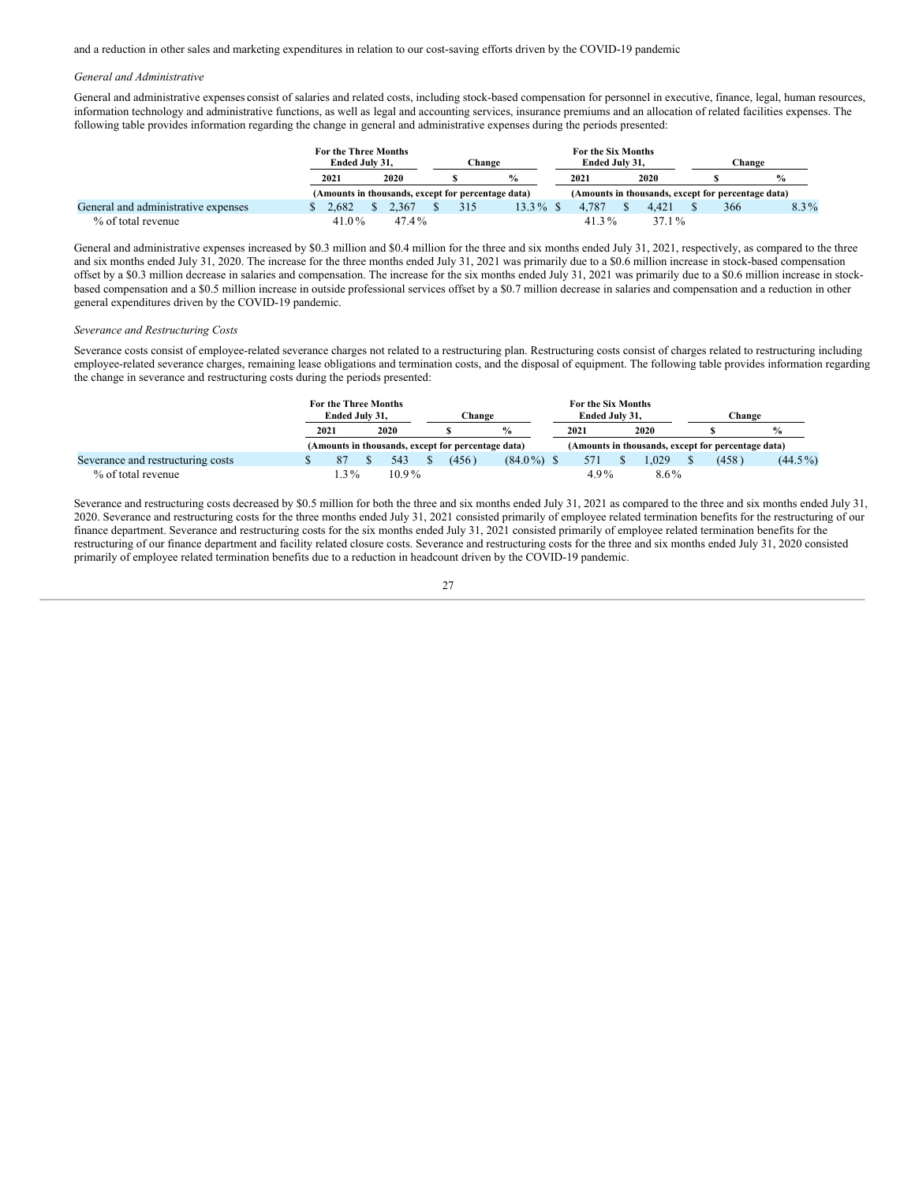and a reduction in other sales and marketing expenditures in relation to our cost-saving efforts driven by the COVID-19 pandemic.

#### *General and Administrative*

General and administrative expenses consist of salaries and related costs, including stock-based compensation for personnel in executive, finance, legal, human resources, information technology and administrative functions, as well as legal and accounting services, insurance premiums and an allocation of related facilities expenses. The following table provides information regarding the change in general and administrative expenses during the periods presented:

|                                     | <b>For the Three Months</b><br>Ended July 31. |  |          |  |     | Change                                             | For the Six Months<br>Ended July 31. |       | Change                                             |               |  |
|-------------------------------------|-----------------------------------------------|--|----------|--|-----|----------------------------------------------------|--------------------------------------|-------|----------------------------------------------------|---------------|--|
|                                     | 2021                                          |  | 2020     |  |     | $\frac{0}{0}$                                      | 2021                                 | 2020  |                                                    | $\frac{0}{0}$ |  |
|                                     |                                               |  |          |  |     | (Amounts in thousands, except for percentage data) |                                      |       | (Amounts in thousands, except for percentage data) |               |  |
| General and administrative expenses | 2.682                                         |  | 2.367    |  | 315 | $13.3\%$ \$                                        | 4.787                                | 4.421 | 366                                                | $8.3\%$       |  |
| % of total revenue                  | 41.0 $\%$                                     |  | $47.4\%$ |  |     |                                                    | 41.3%                                | 37.1% |                                                    |               |  |

General and administrative expenses increased by \$0.3 million and \$0.4 million for the three and six months ended July 31, 2021, respectively, as compared to the three and six months ended July 31, 2020. The increase for the three months ended July 31, 2021 was primarily due to a \$0.6 million increase in stock-based compensation offset by a \$0.3 million decrease in salaries and compensation. The increase for the six months ended July 31, 2021 was primarily due to a \$0.6 million increase in stockbased compensation and a \$0.5 million increase in outside professional services offset by a \$0.7 million decrease in salaries and compensation and a reduction in other general expenditures driven by the COVID-19 pandemic.

#### *Severance and Restructuring Costs*

Severance costs consist of employee-related severance charges not related to a restructuring plan. Restructuring costs consist of charges related to restructuring including employee-related severance charges, remaining lease obligations and termination costs, and the disposal of equipment. The following table provides information regarding the change in severance and restructuring costs during the periods presented:

|                                   | For the Three Months |  |          |  |                                                    |               |  | For the Six Months |  |             |  |                                                    |               |
|-----------------------------------|----------------------|--|----------|--|----------------------------------------------------|---------------|--|--------------------|--|-------------|--|----------------------------------------------------|---------------|
|                                   | Ended July 31.       |  |          |  | <b>Change</b>                                      |               |  | Ended July 31.     |  |             |  | <b>Change</b>                                      |               |
|                                   | 2021                 |  | 2020     |  |                                                    | $\frac{0}{0}$ |  | 2021               |  | <b>2020</b> |  |                                                    | $\frac{6}{9}$ |
|                                   |                      |  |          |  | (Amounts in thousands, except for percentage data) |               |  |                    |  |             |  | (Amounts in thousands, except for percentage data) |               |
| Severance and restructuring costs |                      |  | 543      |  | (456)                                              | $(84.0\%)$ \$ |  | 571                |  | .029        |  | (458)                                              | $(44.5\%)$    |
| % of total revenue                | $.3\%$               |  | $10.9\%$ |  |                                                    |               |  | $4.9\%$            |  | $8.6\%$     |  |                                                    |               |

Severance and restructuring costs decreased by \$0.5 million for both the three and six months ended July 31, 2021 as compared to the three and six months ended July 31, 2020. Severance and restructuring costs for the three months ended July 31, 2021 consisted primarily of employee related termination benefits for the restructuring of our finance department. Severance and restructuring costs for the six months ended July 31, 2021 consisted primarily of employee related termination benefits for the restructuring of our finance department and facility related closure costs. Severance and restructuring costs for the three and six months ended July 31, 2020 consisted primarily of employee related termination benefits due to a reduction in headcount driven by the COVID-19 pandemic.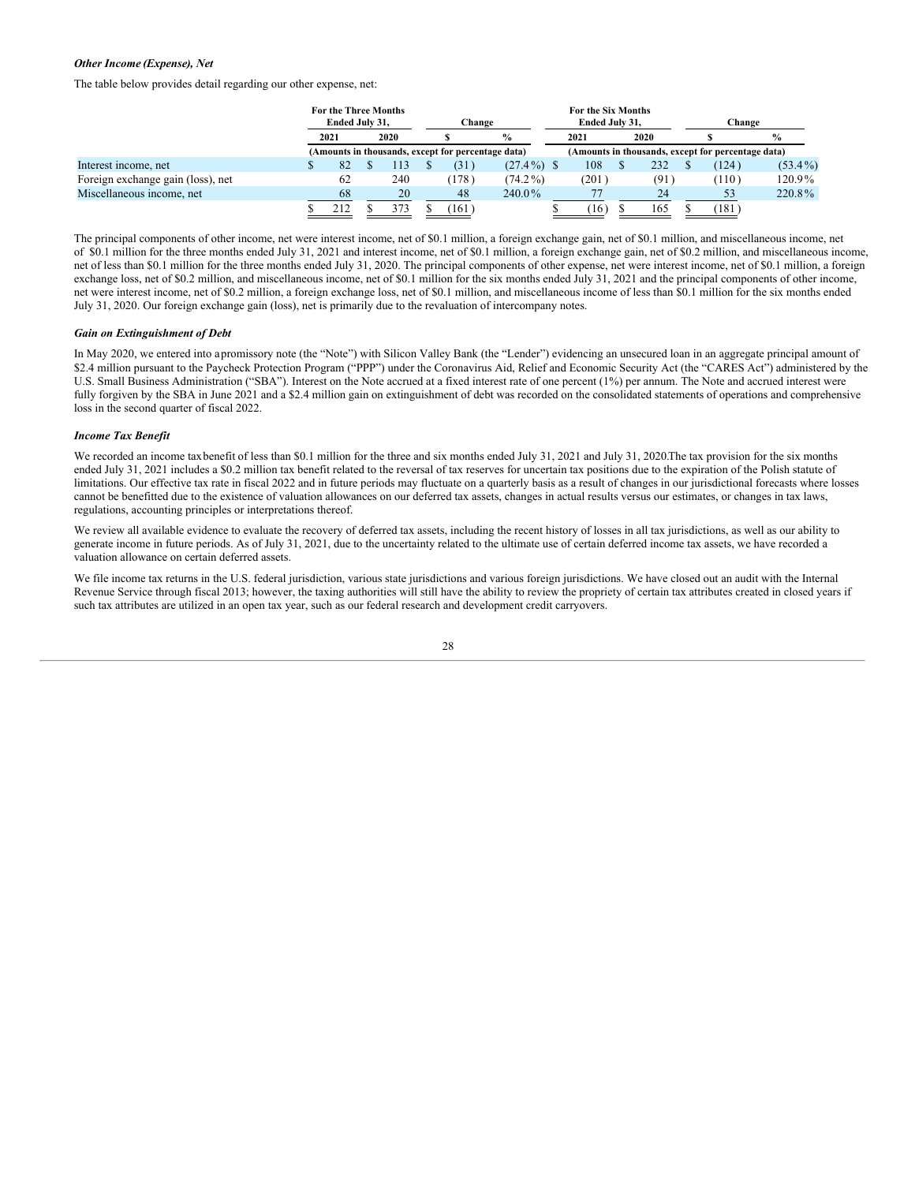#### *Other Income (Expense), Net*

The table below provides detail regarding our other expense, net:

|                                   | <b>For the Three Months</b><br>Ended July 31. |      |  |      | Change |                                                    |               |  | For the Six Months<br>Ended July 31. |  |      |  | Change                                             |               |  |
|-----------------------------------|-----------------------------------------------|------|--|------|--------|----------------------------------------------------|---------------|--|--------------------------------------|--|------|--|----------------------------------------------------|---------------|--|
|                                   |                                               | 2021 |  | 2020 |        |                                                    | $\%$          |  | 2021                                 |  | 2020 |  |                                                    | $\frac{0}{0}$ |  |
|                                   |                                               |      |  |      |        | (Amounts in thousands, except for percentage data) |               |  |                                      |  |      |  | (Amounts in thousands, except for percentage data) |               |  |
| Interest income, net              |                                               | 82   |  | 113  |        | (31)                                               | $(27.4\%)$ \$ |  | 108                                  |  | 232  |  | (124)                                              | $(53.4\%)$    |  |
| Foreign exchange gain (loss), net |                                               | 62   |  | 240  |        | (178)                                              | $(74.2\%)$    |  | (201)                                |  | (91) |  | (110)                                              | 120.9%        |  |
| Miscellaneous income, net         |                                               | 68   |  | 20   |        | 48                                                 | 240.0%        |  |                                      |  | 24   |  | 53                                                 | 220.8%        |  |
|                                   |                                               | 212  |  | 373  |        | (161)                                              |               |  | (16)                                 |  | 165  |  | $^{\prime}181^{\prime}$                            |               |  |

The principal components of other income, net were interest income, net of \$0.1 million, a foreign exchange gain, net of \$0.1 million, and miscellaneous income, net of \$0.1 million for the three months ended July 31, 2021 and interest income, net of \$0.1 million, a foreign exchange gain, net of \$0.2 million, and miscellaneous income, net of less than \$0.1 million for the three months ended July 31, 2020. The principal components of other expense, net were interest income, net of \$0.1 million, a foreign exchange loss, net of \$0.2 million, and miscellaneous income, net of \$0.1 million for the six months ended July 31, 2021 and the principal components of other income, net were interest income, net of \$0.2 million, a foreign exchange loss, net of \$0.1 million, and miscellaneous income of less than \$0.1 million for the six months ended July 31, 2020. Our foreign exchange gain (loss), net is primarily due to the revaluation of intercompany notes.

#### *Gain on Extinguishment of Debt*

In May 2020, we entered into apromissory note (the "Note") with Silicon Valley Bank (the "Lender") evidencing an unsecured loan in an aggregate principal amount of \$2.4 million pursuant to the Paycheck Protection Program ("PPP") under the Coronavirus Aid, Relief and Economic Security Act (the "CARES Act") administered by the U.S. Small Business Administration ("SBA"). Interest on the Note accrued at a fixed interest rate of one percent (1%) per annum. The Note and accrued interest were fully forgiven by the SBA in June 2021 and a \$2.4 million gain on extinguishment of debt was recorded on the consolidated statements of operations and comprehensive loss in the second quarter of fiscal 2022.

#### *Income Tax Benefit*

We recorded an income taxbenefit of less than \$0.1 million for the three and six months ended July 31, 2021 and July 31, 2020. The tax provision for the six months ended July 31, 2021 includes a \$0.2 million tax benefit related to the reversal of tax reserves for uncertain tax positions due to the expiration of the Polish statute of limitations. Our effective tax rate in fiscal 2022 and in future periods may fluctuate on a quarterly basis as a result of changes in our jurisdictional forecasts where losses cannot be benefitted due to the existence of valuation allowances on our deferred tax assets, changes in actual results versus our estimates, or changes in tax laws, regulations, accounting principles or interpretations thereof.

We review all available evidence to evaluate the recovery of deferred tax assets, including the recent history of losses in all tax jurisdictions, as well as our ability to generate income in future periods. As of July 31, 2021, due to the uncertainty related to the ultimate use of certain deferred income tax assets, we have recorded a valuation allowance on certain deferred assets.

We file income tax returns in the U.S. federal jurisdiction, various state jurisdictions and various foreign jurisdictions. We have closed out an audit with the Internal Revenue Service through fiscal 2013; however, the taxing authorities will still have the ability to review the propriety of certain tax attributes created in closed years if such tax attributes are utilized in an open tax year, such as our federal research and development credit carryovers.

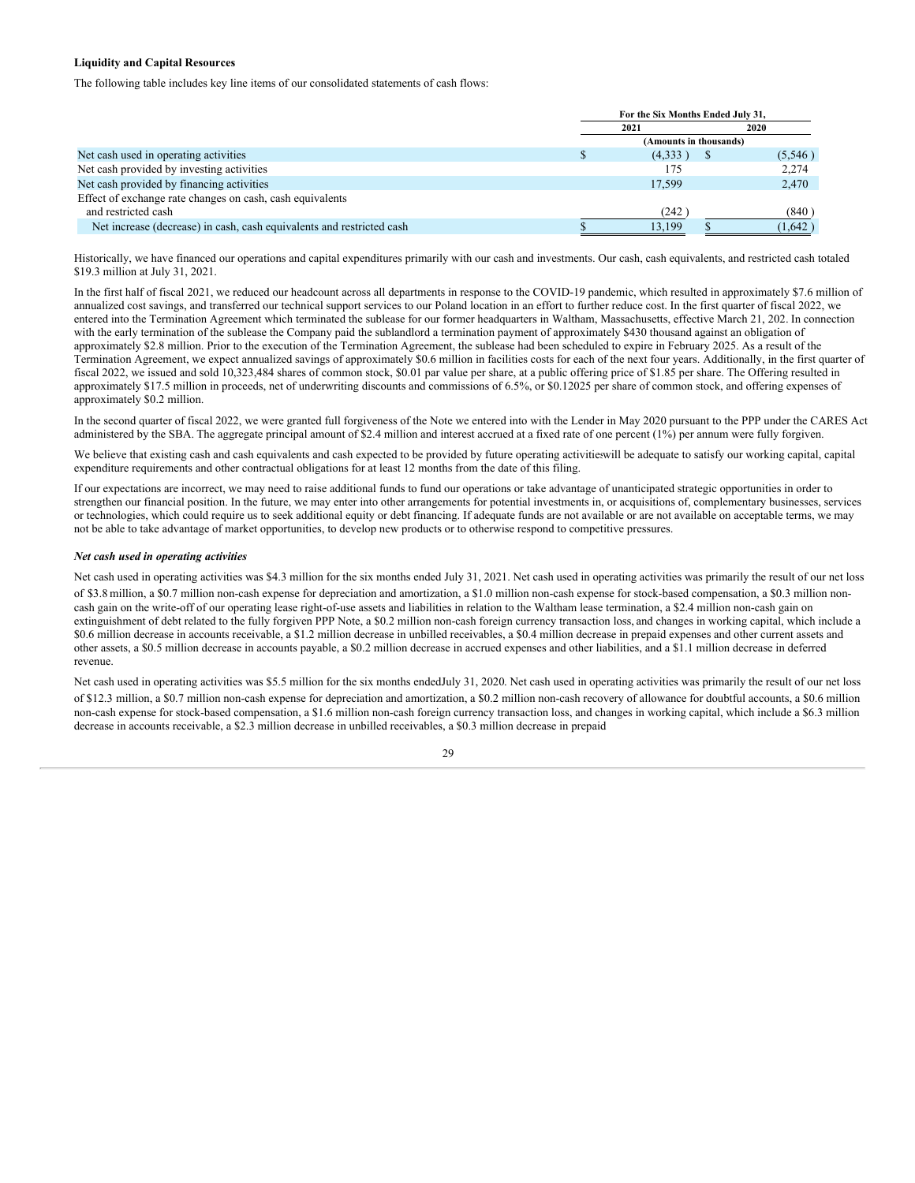#### **Liquidity and Capital Resources**

The following table includes key line items of our consolidated statements of cash flows:

|                                                                       | For the Six Months Ended July 31, |  |         |  |
|-----------------------------------------------------------------------|-----------------------------------|--|---------|--|
|                                                                       | 2021                              |  | 2020    |  |
|                                                                       | (Amounts in thousands)            |  |         |  |
| Net cash used in operating activities                                 | (4,333)                           |  | (5,546) |  |
| Net cash provided by investing activities                             | 175                               |  | 2,274   |  |
| Net cash provided by financing activities                             | 17.599                            |  | 2,470   |  |
| Effect of exchange rate changes on cash, cash equivalents             |                                   |  |         |  |
| and restricted cash                                                   | (242)                             |  | (840)   |  |
| Net increase (decrease) in cash, cash equivalents and restricted cash | 13,199                            |  | (1,642) |  |

Historically, we have financed our operations and capital expenditures primarily with our cash and investments. Our cash, cash equivalents, and restricted cash totaled \$19.3 million at July 31, 2021.

In the first half of fiscal 2021, we reduced our headcount across all departments in response to the COVID-19 pandemic, which resulted in approximately \$7.6 million of annualized cost savings, and transferred our technical support services to our Poland location in an effort to further reduce cost. In the first quarter of fiscal 2022, we entered into the Termination Agreement which terminated the sublease for our former headquarters in Waltham, Massachusetts, effective March 21, 202. In connection with the early termination of the sublease the Company paid the sublandlord a termination payment of approximately \$430 thousand against an obligation of approximately \$2.8 million. Prior to the execution of the Termination Agreement, the sublease had been scheduled to expire in February 2025. As a result of the Termination Agreement, we expect annualized savings of approximately \$0.6 million in facilities costs for each of the next four years. Additionally, in the first quarter of fiscal 2022, we issued and sold 10,323,484 shares of common stock, \$0.01 par value per share, at a public offering price of \$1.85 per share. The Offering resulted in approximately \$17.5 million in proceeds, net of underwriting discounts and commissions of 6.5%, or \$0.12025 per share of common stock, and offering expenses of approximately \$0.2 million.

In the second quarter of fiscal 2022, we were granted full forgiveness of the Note we entered into with the Lender in May 2020 pursuant to the PPP under the CARES Act administered by the SBA. The aggregate principal amount of \$2.4 million and interest accrued at a fixed rate of one percent (1%) per annum were fully forgiven.

We believe that existing cash and cash equivalents and cash expected to be provided by future operating activities ill be adequate to satisfy our working capital, capital expenditure requirements and other contractual obligations for at least 12 months from the date of this filing.

If our expectations are incorrect, we may need to raise additional funds to fund our operations or take advantage of unanticipated strategic opportunities in order to strengthen our financial position. In the future, we may enter into other arrangements for potential investments in, or acquisitions of, complementary businesses, services or technologies, which could require us to seek additional equity or debt financing. If adequate funds are not available or are not available on acceptable terms, we may not be able to take advantage of market opportunities, to develop new products or to otherwise respond to competitive pressures.

#### *Net cash used in operating activities*

Net cash used in operating activities was \$4.3 million for the six months ended July 31, 2021. Net cash used in operating activities was primarily the result of our net loss of \$3.8 million, a \$0.7 million non-cash expense for depreciation and amortization, a \$1.0 million non-cash expense for stock-based compensation, a \$0.3 million noncash gain on the write-off of our operating lease right-of-use assets and liabilities in relation to the Waltham lease termination, a \$2.4 million non-cash gain on extinguishment of debt related to the fully forgiven PPP Note, a \$0.2 million non-cash foreign currency transaction loss, and changes in working capital, which include a \$0.6 million decrease in accounts receivable, a \$1.2 million decrease in unbilled receivables, a \$0.4 million decrease in prepaid expenses and other current assets and other assets, a \$0.5 million decrease in accounts payable, a \$0.2 million decrease in accrued expenses and other liabilities, and a \$1.1 million decrease in deferred revenue.

Net cash used in operating activities was \$5.5 million for the six months endedJuly 31, 2020. Net cash used in operating activities was primarily the result of our net loss of \$12.3 million, a \$0.7 million non-cash expense for depreciation and amortization, a \$0.2 million non-cash recovery of allowance for doubtful accounts, a \$0.6 million non-cash expense for stock-based compensation, a \$1.6 million non-cash foreign currency transaction loss, and changes in working capital, which include a \$6.3 million decrease in accounts receivable, a \$2.3 million decrease in unbilled receivables, a \$0.3 million decrease in prepaid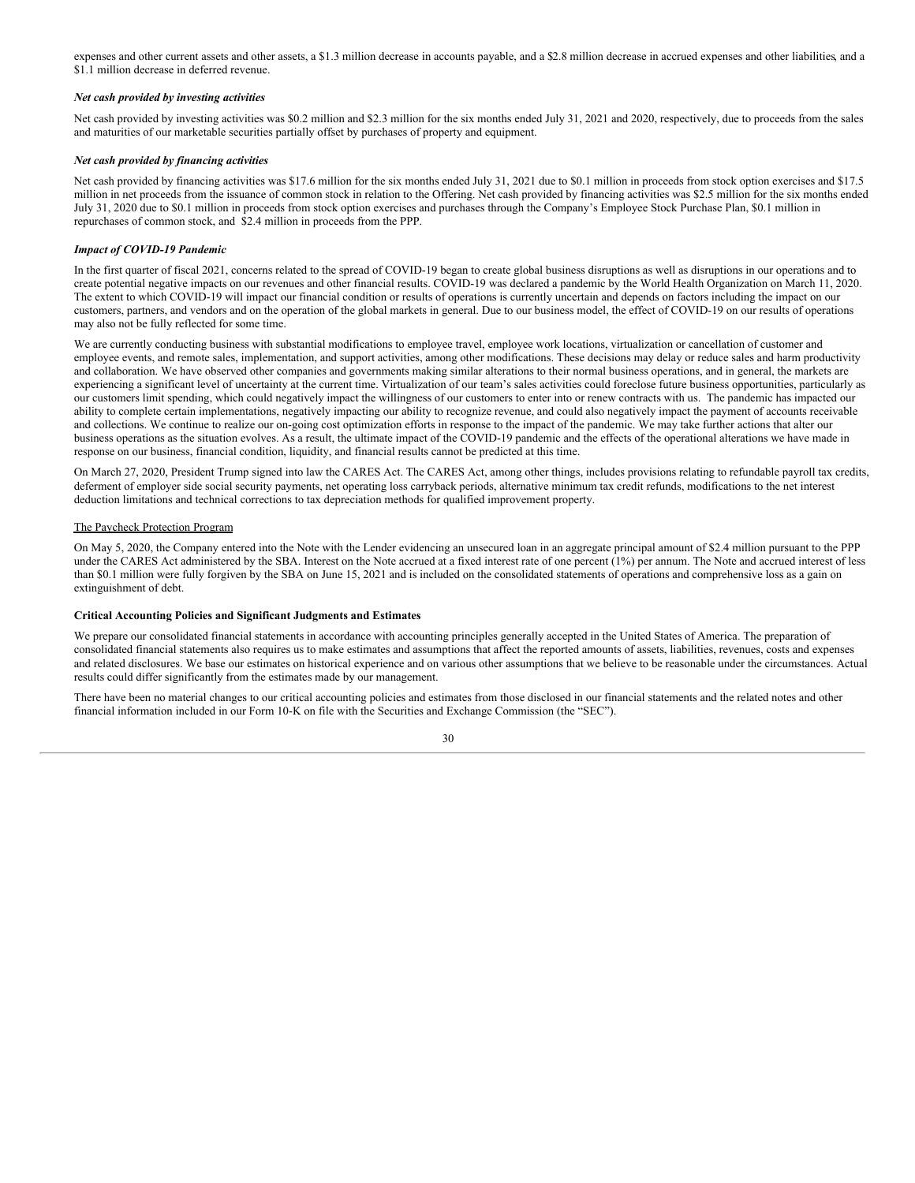expenses and other current assets and other assets, a \$1.3 million decrease in accounts payable, and a \$2.8 million decrease in accrued expenses and other liabilities, and a \$1.1 million decrease in deferred revenue.

#### *Net cash provided by investing activities*

Net cash provided by investing activities was \$0.2 million and \$2.3 million for the six months ended July 31, 2021 and 2020, respectively, due to proceeds from the sales and maturities of our marketable securities partially offset by purchases of property and equipment.

#### *Net cash provided by financing activities*

Net cash provided by financing activities was \$17.6 million for the six months ended July 31, 2021 due to \$0.1 million in proceeds from stock option exercises and \$17.5 million in net proceeds from the issuance of common stock in relation to the Offering. Net cash provided by financing activities was \$2.5 million for the six months ended July 31, 2020 due to \$0.1 million in proceeds from stock option exercises and purchases through the Company's Employee Stock Purchase Plan, \$0.1 million in repurchases of common stock, and \$2.4 million in proceeds from the PPP.

#### *Impact of COVID-19 Pandemic*

In the first quarter of fiscal 2021, concerns related to the spread of COVID-19 began to create global business disruptions as well as disruptions in our operations and to create potential negative impacts on our revenues and other financial results. COVID-19 was declared a pandemic by the World Health Organization on March 11, 2020. The extent to which COVID-19 will impact our financial condition or results of operations is currently uncertain and depends on factors including the impact on our customers, partners, and vendors and on the operation of the global markets in general. Due to our business model, the effect of COVID-19 on our results of operations may also not be fully reflected for some time.

We are currently conducting business with substantial modifications to employee travel, employee work locations, virtualization or cancellation of customer and employee events, and remote sales, implementation, and support activities, among other modifications. These decisions may delay or reduce sales and harm productivity and collaboration. We have observed other companies and governments making similar alterations to their normal business operations, and in general, the markets are experiencing a significant level of uncertainty at the current time. Virtualization of our team's sales activities could foreclose future business opportunities, particularly as our customers limit spending, which could negatively impact the willingness of our customers to enter into or renew contracts with us. The pandemic has impacted our ability to complete certain implementations, negatively impacting our ability to recognize revenue, and could also negatively impact the payment of accounts receivable and collections. We continue to realize our on-going cost optimization efforts in response to the impact of the pandemic. We may take further actions that alter our business operations as the situation evolves. As a result, the ultimate impact of the COVID-19 pandemic and the effects of the operational alterations we have made in response on our business, financial condition, liquidity, and financial results cannot be predicted at this time.

On March 27, 2020, President Trump signed into law the CARES Act. The CARES Act, among other things, includes provisions relating to refundable payroll tax credits, deferment of employer side social security payments, net operating loss carryback periods, alternative minimum tax credit refunds, modifications to the net interest deduction limitations and technical corrections to tax depreciation methods for qualified improvement property.

#### The Paycheck Protection Program

On May 5, 2020, the Company entered into the Note with the Lender evidencing an unsecured loan in an aggregate principal amount of \$2.4 million pursuant to the PPP under the CARES Act administered by the SBA. Interest on the Note accrued at a fixed interest rate of one percent (1%) per annum. The Note and accrued interest of less than \$0.1 million were fully forgiven by the SBA on June 15, 2021 and is included on the consolidated statements of operations and comprehensive loss as a gain on extinguishment of debt.

#### **Critical Accounting Policies and Significant Judgments and Estimates**

We prepare our consolidated financial statements in accordance with accounting principles generally accepted in the United States of America. The preparation of consolidated financial statements also requires us to make estimates and assumptions that affect the reported amounts of assets, liabilities, revenues, costs and expenses and related disclosures. We base our estimates on historical experience and on various other assumptions that we believe to be reasonable under the circumstances. Actual results could differ significantly from the estimates made by our management.

There have been no material changes to our critical accounting policies and estimates from those disclosed in our financial statements and the related notes and other financial information included in our Form 10-K on file with the Securities and Exchange Commission (the "SEC").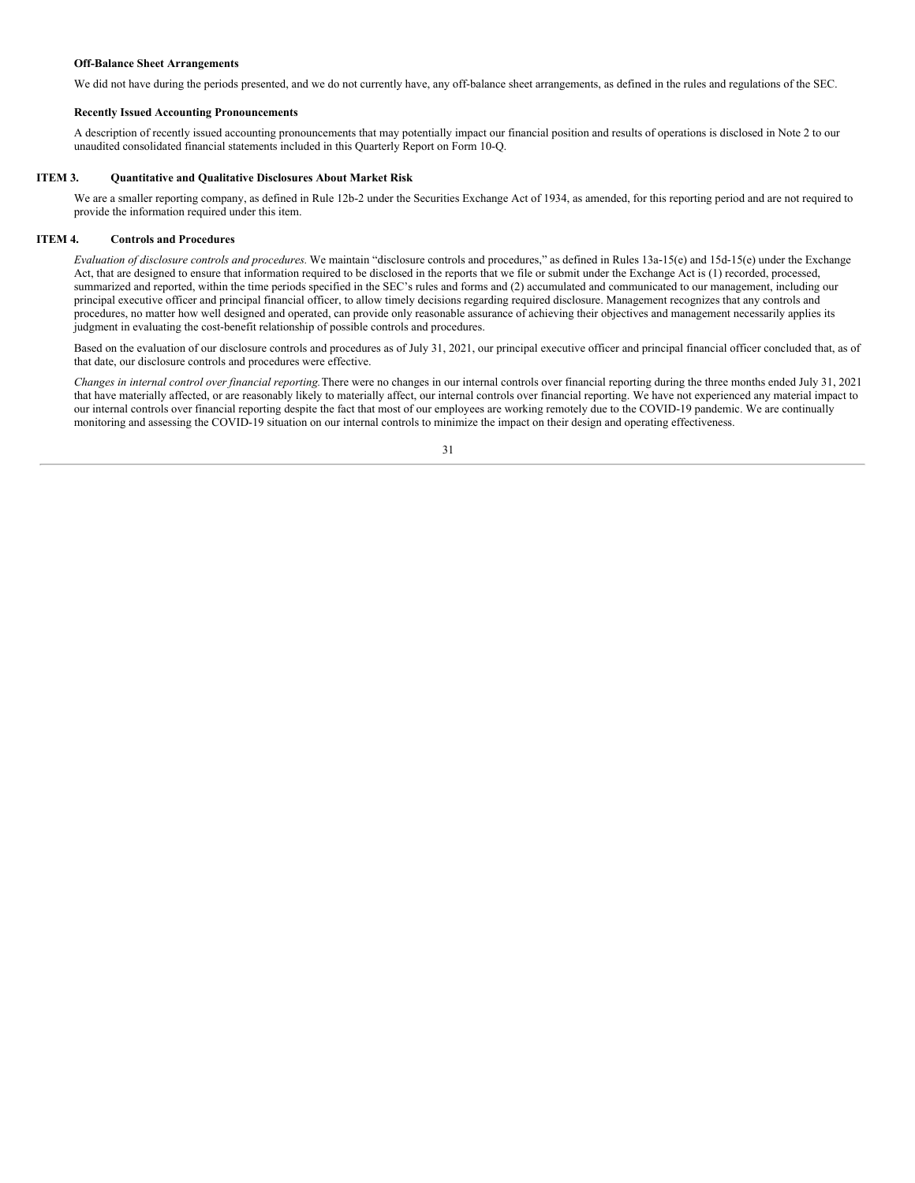#### **Off-Balance Sheet Arrangements**

We did not have during the periods presented, and we do not currently have, any off-balance sheet arrangements, as defined in the rules and regulations of the SEC.

#### **Recently Issued Accounting Pronouncements**

A description of recently issued accounting pronouncements that may potentially impact our financial position and results of operations is disclosed in Note 2 to our unaudited consolidated financial statements included in this Quarterly Report on Form 10-Q.

#### **ITEM 3. Quantitative and Qualitative Disclosures About Market Risk**

<span id="page-31-0"></span>We are a smaller reporting company, as defined in Rule 12b-2 under the Securities Exchange Act of 1934, as amended, for this reporting period and are not required to provide the information required under this item.

#### **ITEM 4. Controls and Procedures**

<span id="page-31-1"></span>*Evaluation of disclosure controls and procedures.* We maintain "disclosure controls and procedures," as defined in Rules 13a‑15(e) and 15d‑15(e) under the Exchange Act, that are designed to ensure that information required to be disclosed in the reports that we file or submit under the Exchange Act is (1) recorded, processed, summarized and reported, within the time periods specified in the SEC's rules and forms and (2) accumulated and communicated to our management, including our principal executive officer and principal financial officer, to allow timely decisions regarding required disclosure. Management recognizes that any controls and procedures, no matter how well designed and operated, can provide only reasonable assurance of achieving their objectives and management necessarily applies its judgment in evaluating the cost-benefit relationship of possible controls and procedures.

Based on the evaluation of our disclosure controls and procedures as of July 31, 2021, our principal executive officer and principal financial officer concluded that, as of that date, our disclosure controls and procedures were effective.

*Changes in internal control over financial reporting.*There were no changes in our internal controls over financial reporting during the three months ended July 31, 2021 that have materially affected, or are reasonably likely to materially affect, our internal controls over financial reporting. We have not experienced any material impact to our internal controls over financial reporting despite the fact that most of our employees are working remotely due to the COVID-19 pandemic. We are continually monitoring and assessing the COVID-19 situation on our internal controls to minimize the impact on their design and operating effectiveness.

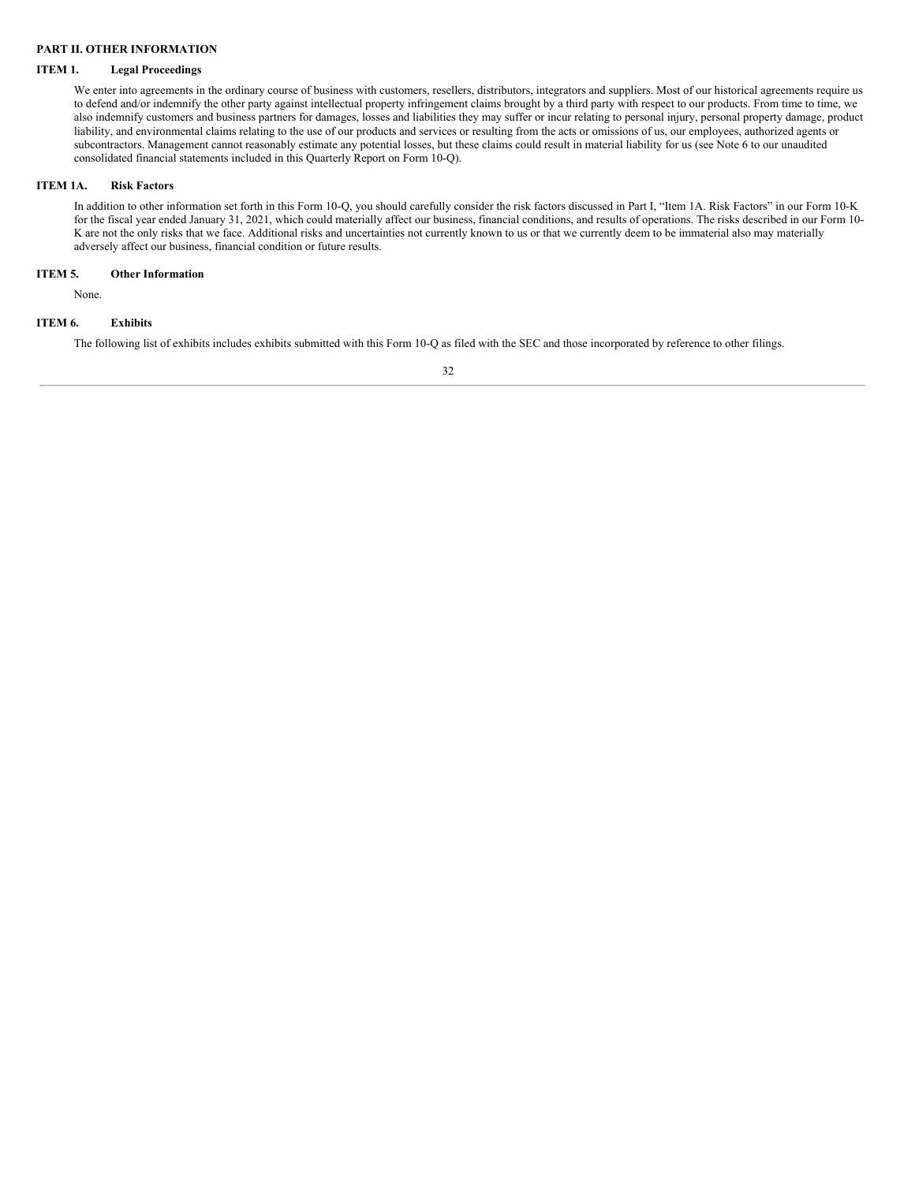# <span id="page-32-0"></span>**PART II. OTHER INFORMATION**

#### **ITEM 1. Legal Proceedings**

<span id="page-32-1"></span>We enter into agreements in the ordinary course of business with customers, resellers, distributors, integrators and suppliers. Most of our historical agreements require us to defend and/or indemnify the other party against intellectual property infringement claims brought by a third party with respect to our products. From time to time, we also indemnify customers and business partners for damages, losses and liabilities they may suffer or incur relating to personal injury, personal property damage, product liability, and environmental claims relating to the use of our products and services or resulting from the acts or omissions of us, our employees, authorized agents or subcontractors. Management cannot reasonably estimate any potential losses, but these claims could result in material liability for us (see Note 6 to our unaudited consolidated financial statements included in this Quarterly Report on Form 10-Q).

#### **ITEM 1A. Risk Factors**

<span id="page-32-2"></span>In addition to other information set forth in this Form 10-Q, you should carefully consider the risk factors discussed in Part I, "Item 1A. Risk Factors" in our Form 10-K for the fiscal year ended January 31, 2021, which could materially affect our business, financial conditions, and results of operations. The risks described in our Form 10- K are not the only risks that we face. Additional risks and uncertainties not currently known to us or that we currently deem to be immaterial also may materially adversely affect our business, financial condition or future results.

#### **ITEM 5. Other Information**

<span id="page-32-3"></span>None.

#### **ITEM 6. Exhibits**

<span id="page-32-4"></span>The following list of exhibits includes exhibits submitted with this Form 10-Q as filed with the SEC and those incorporated by reference to other filings.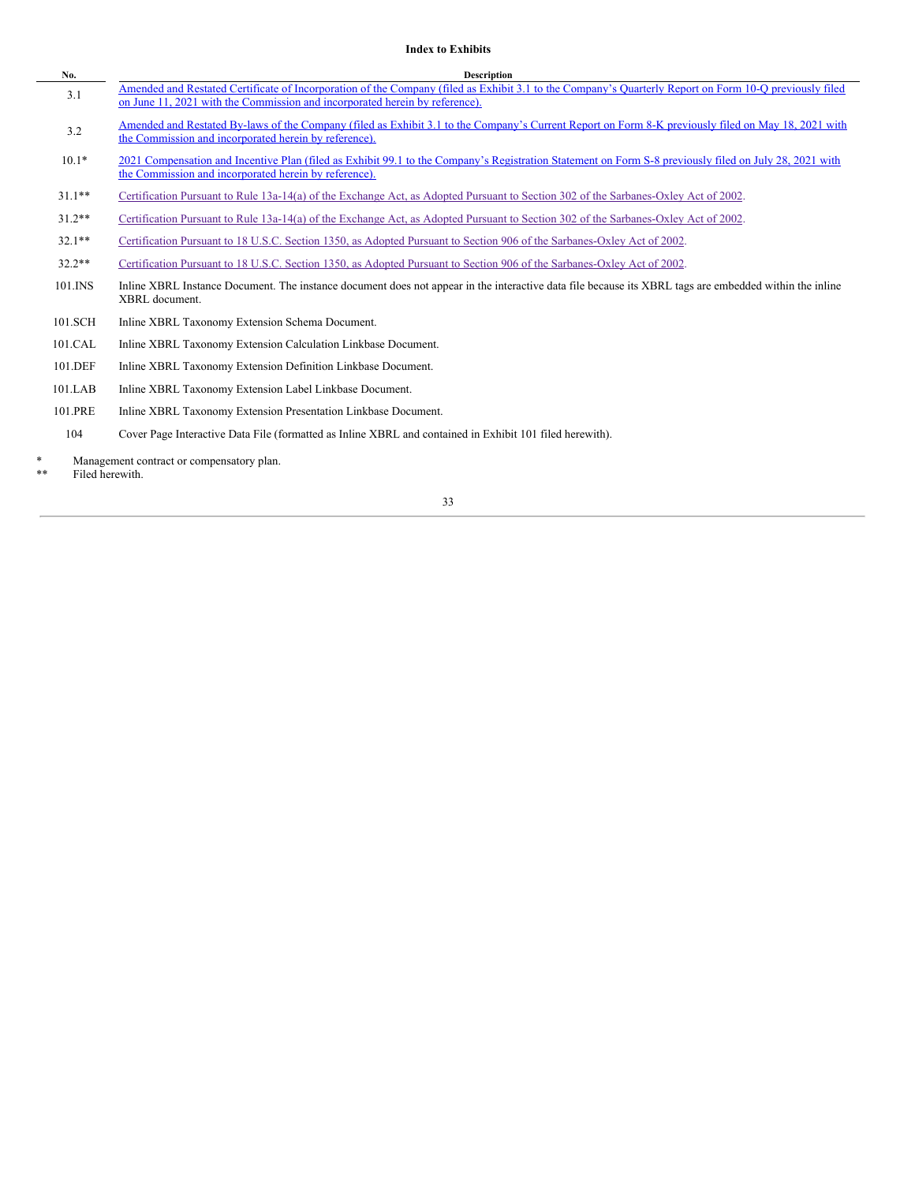# **Index to Exhibits**

| No.       | <b>Description</b>                                                                                                                                                                                                                    |
|-----------|---------------------------------------------------------------------------------------------------------------------------------------------------------------------------------------------------------------------------------------|
| 3.1       | Amended and Restated Certificate of Incorporation of the Company (filed as Exhibit 3.1 to the Company's Quarterly Report on Form 10-Q previously filed<br>on June 11, 2021 with the Commission and incorporated herein by reference). |
| 3.2       | Amended and Restated By-laws of the Company (filed as Exhibit 3.1 to the Company's Current Report on Form 8-K previously filed on May 18, 2021 with<br>the Commission and incorporated herein by reference).                          |
| $10.1*$   | 2021 Compensation and Incentive Plan (filed as Exhibit 99.1 to the Company's Registration Statement on Form S-8 previously filed on July 28, 2021 with<br>the Commission and incorporated herein by reference).                       |
| $31.1***$ | Certification Pursuant to Rule 13a-14(a) of the Exchange Act, as Adopted Pursuant to Section 302 of the Sarbanes-Oxley Act of 2002.                                                                                                   |
| $31.2**$  | Certification Pursuant to Rule 13a-14(a) of the Exchange Act, as Adopted Pursuant to Section 302 of the Sarbanes-Oxley Act of 2002.                                                                                                   |
| $32.1**$  | Certification Pursuant to 18 U.S.C. Section 1350, as Adopted Pursuant to Section 906 of the Sarbanes-Oxley Act of 2002.                                                                                                               |
| $32.2**$  | Certification Pursuant to 18 U.S.C. Section 1350, as Adopted Pursuant to Section 906 of the Sarbanes-Oxley Act of 2002.                                                                                                               |
| 101.INS   | Inline XBRL Instance Document. The instance document does not appear in the interactive data file because its XBRL tags are embedded within the inline<br>XBRL document.                                                              |
| 101.SCH   | Inline XBRL Taxonomy Extension Schema Document.                                                                                                                                                                                       |
| 101.CAL   | Inline XBRL Taxonomy Extension Calculation Linkbase Document.                                                                                                                                                                         |
| 101.DEF   | Inline XBRL Taxonomy Extension Definition Linkbase Document.                                                                                                                                                                          |
| 101.LAB   | Inline XBRL Taxonomy Extension Label Linkbase Document.                                                                                                                                                                               |
| 101.PRE   | Inline XBRL Taxonomy Extension Presentation Linkbase Document.                                                                                                                                                                        |
| 104       | Cover Page Interactive Data File (formatted as Inline XBRL and contained in Exhibit 101 filed herewith).                                                                                                                              |

\* Management contract or compensatory plan.

\*\* Filed herewith.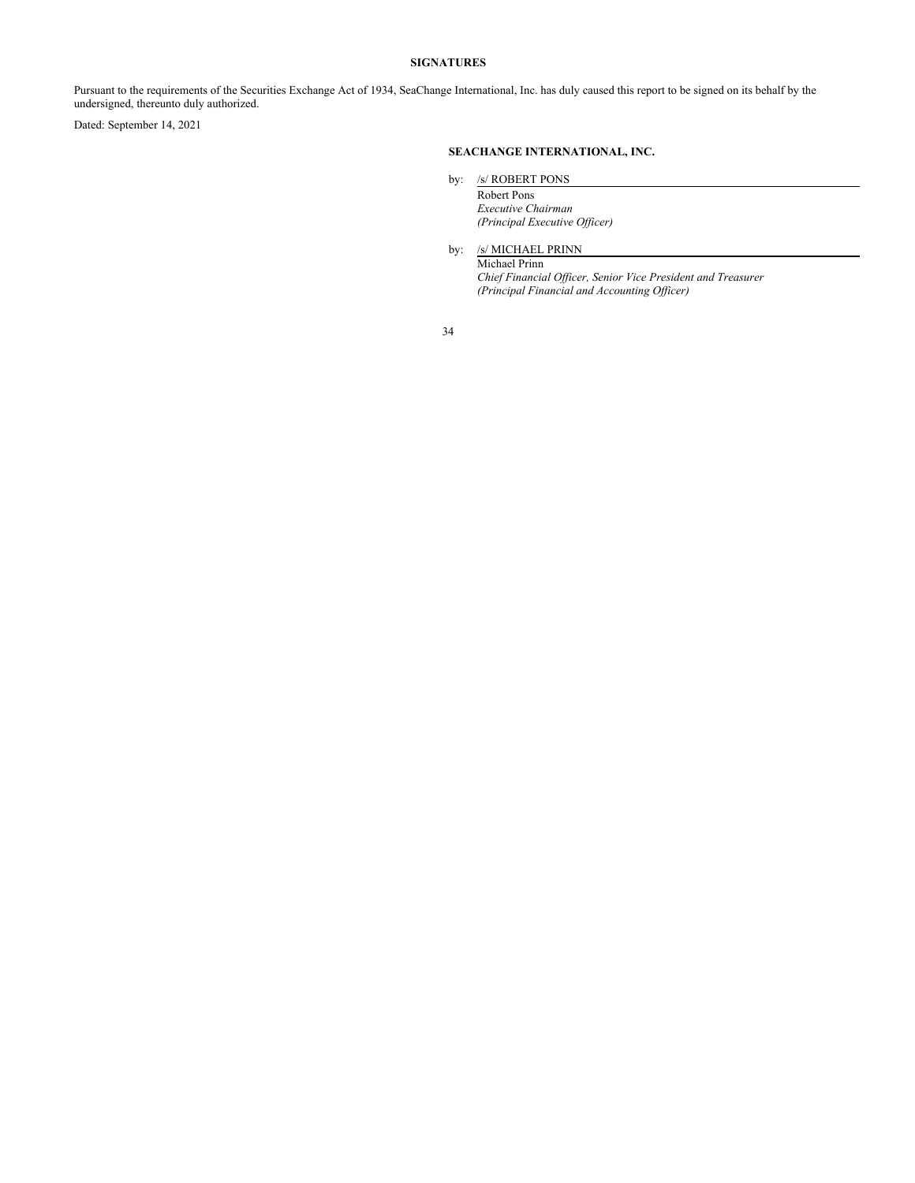#### **SIGNATURES**

<span id="page-34-0"></span>Pursuant to the requirements of the Securities Exchange Act of 1934, SeaChange International, Inc. has duly caused this report to be signed on its behalf by the undersigned, thereunto duly authorized.

Dated: September 14, 2021

# **SEACHANGE INTERNATIONAL, INC.**

by: /s/ ROBERT PONS

Robert Pons *Executive Chairman (Principal Executive Of icer)*

by: /s/ MICHAEL PRINN

Michael Prinn *Chief Financial Of icer, Senior Vice President and Treasurer (Principal Financial and Accounting Of icer)*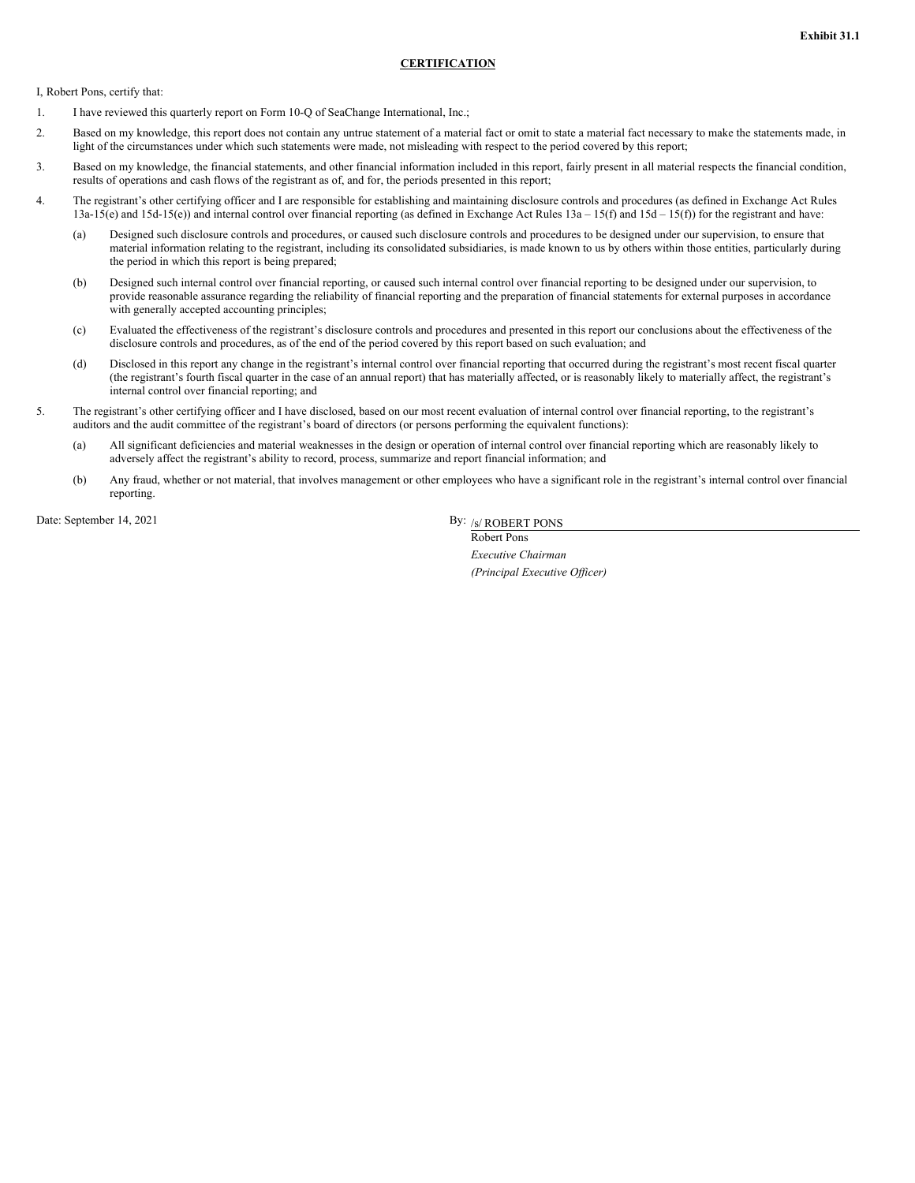#### **CERTIFICATION**

<span id="page-35-0"></span>I, Robert Pons, certify that:

- 1. I have reviewed this quarterly report on Form 10-Q of SeaChange International, Inc.;
- 2. Based on my knowledge, this report does not contain any untrue statement of a material fact or omit to state a material fact necessary to make the statements made, in light of the circumstances under which such statements were made, not misleading with respect to the period covered by this report;
- 3. Based on my knowledge, the financial statements, and other financial information included in this report, fairly present in all material respects the financial condition, results of operations and cash flows of the registrant as of, and for, the periods presented in this report;
- 4. The registrant's other certifying officer and I are responsible for establishing and maintaining disclosure controls and procedures (as defined in Exchange Act Rules 13a-15(e) and 15d-15(e)) and internal control over financial reporting (as defined in Exchange Act Rules 13a – 15(f) and 15d – 15(f)) for the registrant and have:
	- (a) Designed such disclosure controls and procedures, or caused such disclosure controls and procedures to be designed under our supervision, to ensure that material information relating to the registrant, including its consolidated subsidiaries, is made known to us by others within those entities, particularly during the period in which this report is being prepared;
	- (b) Designed such internal control over financial reporting, or caused such internal control over financial reporting to be designed under our supervision, to provide reasonable assurance regarding the reliability of financial reporting and the preparation of financial statements for external purposes in accordance with generally accepted accounting principles;
	- (c) Evaluated the effectiveness of the registrant's disclosure controls and procedures and presented in this report our conclusions about the effectiveness of the disclosure controls and procedures, as of the end of the period covered by this report based on such evaluation; and
	- (d) Disclosed in this report any change in the registrant's internal control over financial reporting that occurred during the registrant's most recent fiscal quarter (the registrant's fourth fiscal quarter in the case of an annual report) that has materially affected, or is reasonably likely to materially affect, the registrant's internal control over financial reporting; and
- 5. The registrant's other certifying officer and I have disclosed, based on our most recent evaluation of internal control over financial reporting, to the registrant's auditors and the audit committee of the registrant's board of directors (or persons performing the equivalent functions):
	- (a) All significant deficiencies and material weaknesses in the design or operation of internal control over financial reporting which are reasonably likely to adversely affect the registrant's ability to record, process, summarize and report financial information; and
	- (b) Any fraud, whether or not material, that involves management or other employees who have a significant role in the registrant's internal control over financial reporting.

Date: September 14, 2021

By: /s/ ROBERT PONS

Robert Pons *Executive Chairman (Principal Executive Of icer)*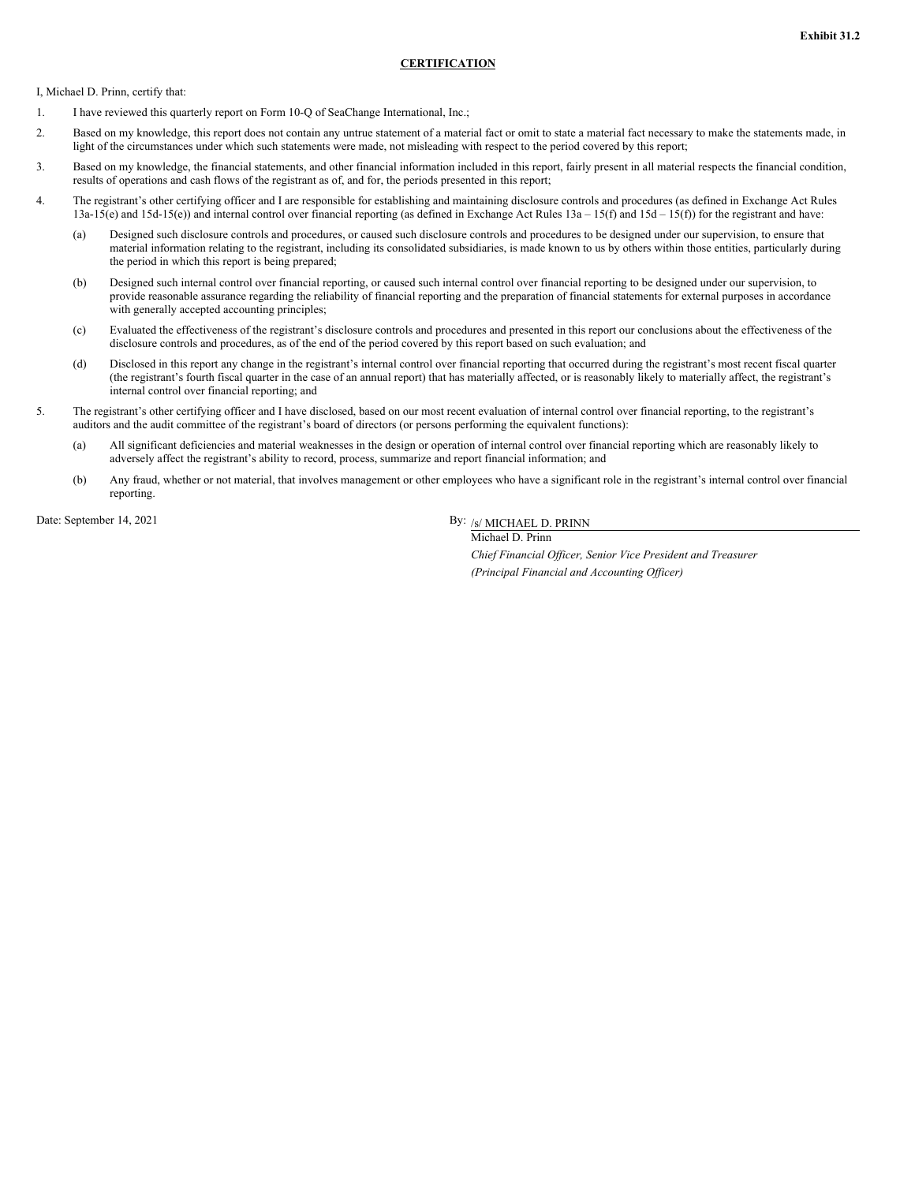#### **CERTIFICATION**

<span id="page-36-0"></span>I, Michael D. Prinn, certify that:

- 1. I have reviewed this quarterly report on Form 10-Q of SeaChange International, Inc.;
- 2. Based on my knowledge, this report does not contain any untrue statement of a material fact or omit to state a material fact necessary to make the statements made, in light of the circumstances under which such statements were made, not misleading with respect to the period covered by this report;
- 3. Based on my knowledge, the financial statements, and other financial information included in this report, fairly present in all material respects the financial condition, results of operations and cash flows of the registrant as of, and for, the periods presented in this report;
- 4. The registrant's other certifying officer and I are responsible for establishing and maintaining disclosure controls and procedures (as defined in Exchange Act Rules 13a-15(e) and 15d-15(e)) and internal control over financial reporting (as defined in Exchange Act Rules 13a – 15(f) and 15d – 15(f)) for the registrant and have:
	- (a) Designed such disclosure controls and procedures, or caused such disclosure controls and procedures to be designed under our supervision, to ensure that material information relating to the registrant, including its consolidated subsidiaries, is made known to us by others within those entities, particularly during the period in which this report is being prepared;
	- (b) Designed such internal control over financial reporting, or caused such internal control over financial reporting to be designed under our supervision, to provide reasonable assurance regarding the reliability of financial reporting and the preparation of financial statements for external purposes in accordance with generally accepted accounting principles;
	- (c) Evaluated the effectiveness of the registrant's disclosure controls and procedures and presented in this report our conclusions about the effectiveness of the disclosure controls and procedures, as of the end of the period covered by this report based on such evaluation; and
	- (d) Disclosed in this report any change in the registrant's internal control over financial reporting that occurred during the registrant's most recent fiscal quarter (the registrant's fourth fiscal quarter in the case of an annual report) that has materially affected, or is reasonably likely to materially affect, the registrant's internal control over financial reporting; and
- 5. The registrant's other certifying officer and I have disclosed, based on our most recent evaluation of internal control over financial reporting, to the registrant's auditors and the audit committee of the registrant's board of directors (or persons performing the equivalent functions):
	- (a) All significant deficiencies and material weaknesses in the design or operation of internal control over financial reporting which are reasonably likely to adversely affect the registrant's ability to record, process, summarize and report financial information; and
	- (b) Any fraud, whether or not material, that involves management or other employees who have a significant role in the registrant's internal control over financial reporting.

Date: September 14, 2021

By: /s/ MICHAEL D. PRINN Michael D. Prinn

> *Chief Financial Of icer, Senior Vice President and Treasurer (Principal Financial and Accounting Of icer)*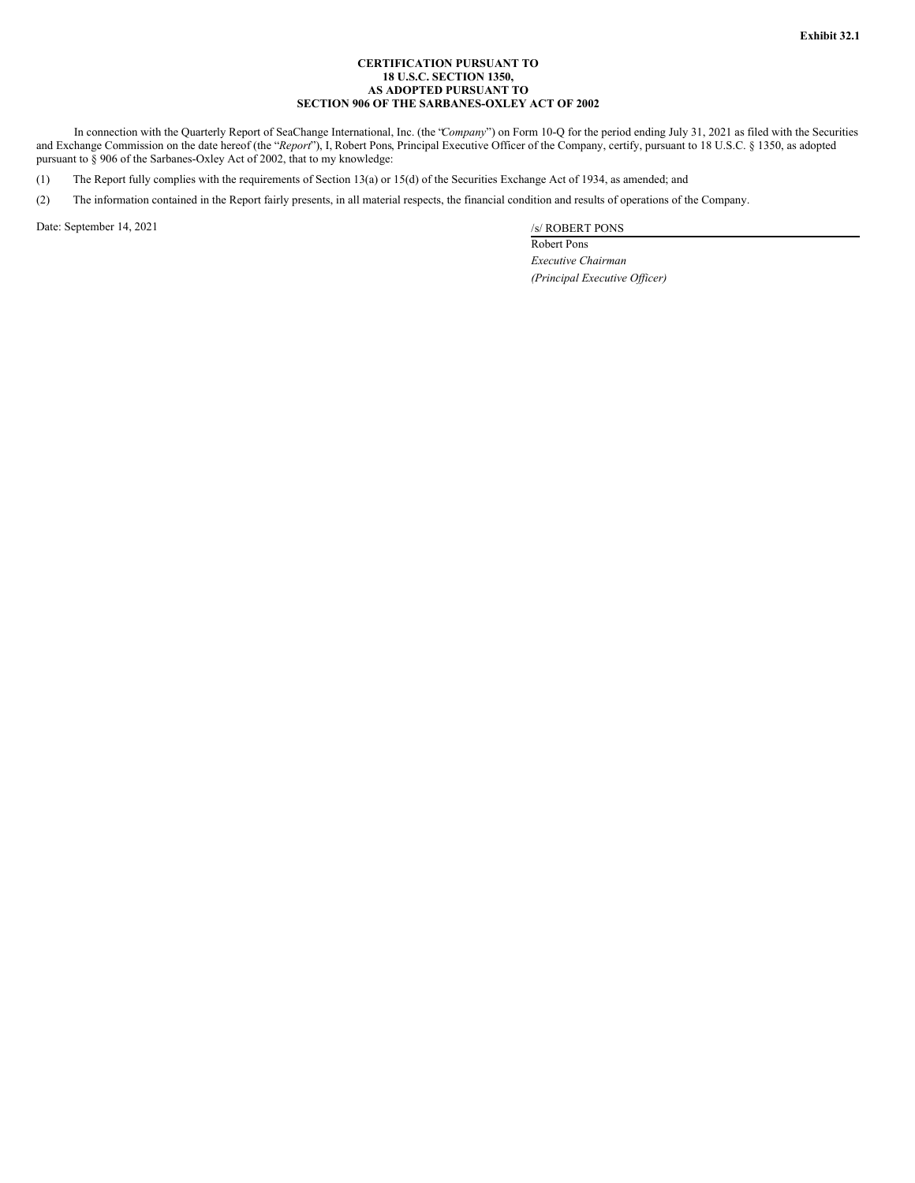#### **CERTIFICATION PURSUANT TO 18 U.S.C. SECTION 1350, AS ADOPTED PURSUANT TO SECTION 906 OF THE SARBANES-OXLEY ACT OF 2002**

<span id="page-37-0"></span>In connection with the Quarterly Report of SeaChange International, Inc. (the "*Company*") on Form 10-Q for the period ending July 31, 2021 as filed with the Securities and Exchange Commission on the date hereof (the "*Report*"), I, Robert Pons, Principal Executive Officer of the Company, certify, pursuant to 18 U.S.C. § 1350, as adopted pursuant to § 906 of the Sarbanes-Oxley Act of 2002, that to my knowledge:

(1) The Report fully complies with the requirements of Section 13(a) or 15(d) of the Securities Exchange Act of 1934, as amended; and

(2) The information contained in the Report fairly presents, in all material respects, the financial condition and results of operations of the Company.

Date: September 14, 2021 /s/ ROBERT PONS

Robert Pons *Executive Chairman (Principal Executive Of icer)*